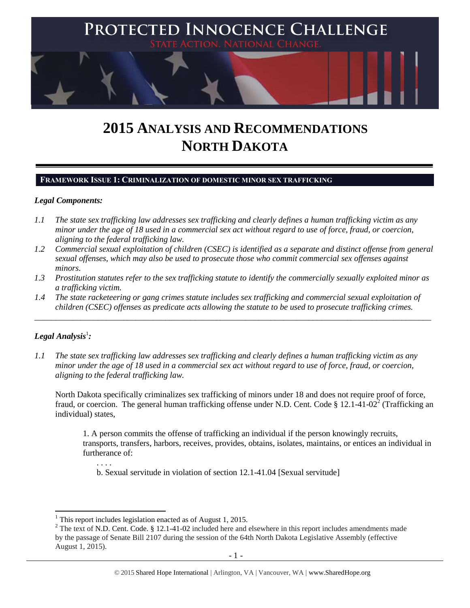

# **2015 ANALYSIS AND RECOMMENDATIONS NORTH DAKOTA**

## **FRAMEWORK ISSUE 1: CRIMINALIZATION OF DOMESTIC MINOR SEX TRAFFICKING**

## *Legal Components:*

- *1.1 The state sex trafficking law addresses sex trafficking and clearly defines a human trafficking victim as any minor under the age of 18 used in a commercial sex act without regard to use of force, fraud, or coercion, aligning to the federal trafficking law.*
- *1.2 Commercial sexual exploitation of children (CSEC) is identified as a separate and distinct offense from general sexual offenses, which may also be used to prosecute those who commit commercial sex offenses against minors.*
- *1.3 Prostitution statutes refer to the sex trafficking statute to identify the commercially sexually exploited minor as a trafficking victim.*
- *1.4 The state racketeering or gang crimes statute includes sex trafficking and commercial sexual exploitation of children (CSEC) offenses as predicate acts allowing the statute to be used to prosecute trafficking crimes.*

\_\_\_\_\_\_\_\_\_\_\_\_\_\_\_\_\_\_\_\_\_\_\_\_\_\_\_\_\_\_\_\_\_\_\_\_\_\_\_\_\_\_\_\_\_\_\_\_\_\_\_\_\_\_\_\_\_\_\_\_\_\_\_\_\_\_\_\_\_\_\_\_\_\_\_\_\_\_\_\_\_\_\_\_\_\_\_\_\_\_\_\_\_\_

# $\bm{L}$ egal Analysis $^1$ :

l

*1.1 The state sex trafficking law addresses sex trafficking and clearly defines a human trafficking victim as any minor under the age of 18 used in a commercial sex act without regard to use of force, fraud, or coercion, aligning to the federal trafficking law.*

North Dakota specifically criminalizes sex trafficking of minors under 18 and does not require proof of force, fraud, or coercion. The general human trafficking offense under N.D. Cent. Code § 12.1-41-02<sup>2</sup> (Trafficking an individual) states,

1. A person commits the offense of trafficking an individual if the person knowingly recruits, transports, transfers, harbors, receives, provides, obtains, isolates, maintains, or entices an individual in furtherance of:

<span id="page-0-0"></span>b. Sexual servitude in violation of section 12.1-41.04 [Sexual servitude]

 $1$  This report includes legislation enacted as of August 1, 2015.

<sup>&</sup>lt;sup>2</sup> The text of N.D. Cent. Code. § 12.1-41-02 included here and elsewhere in this report includes amendments made by the passage of Senate Bill 2107 during the session of the 64th North Dakota Legislative Assembly (effective August 1, 2015).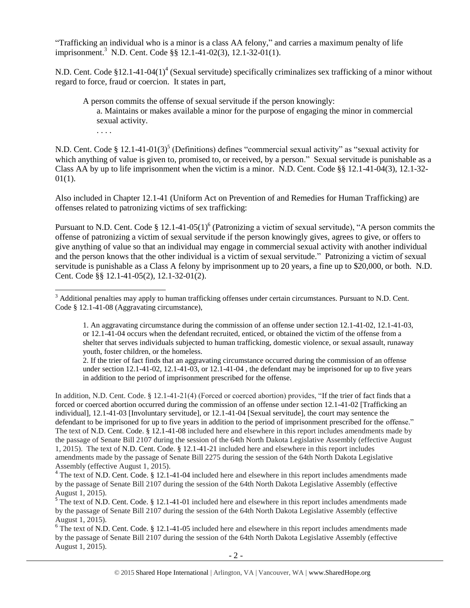"Trafficking an individual who is a minor is a class AA felony," and carries a maximum penalty of life imprisonment.<sup>3</sup> N.D. Cent. Code §§ 12.1-41-02(3), 12.1-32-01(1).

N.D. Cent. Code  $$12.1-41-04(1)^4$  (Sexual servitude) specifically criminalizes sex trafficking of a minor without regard to force, fraud or coercion. It states in part,

<span id="page-1-2"></span><span id="page-1-1"></span>A person commits the offense of sexual servitude if the person knowingly: a. Maintains or makes available a minor for the purpose of engaging the minor in commercial sexual activity. . . . .

N.D. Cent. Code § 12.1-41-01(3)<sup>5</sup> (Definitions) defines "commercial sexual activity" as "sexual activity for which anything of value is given to, promised to, or received, by a person." Sexual servitude is punishable as a Class AA by up to life imprisonment when the victim is a minor. N.D. Cent. Code §§ 12.1-41-04(3), 12.1-32-  $01(1)$ .

Also included in Chapter 12.1-41 (Uniform Act on Prevention of and Remedies for Human Trafficking) are offenses related to patronizing victims of sex trafficking:

<span id="page-1-0"></span>Pursuant to N.D. Cent. Code § 12.1-41-05(1)<sup>6</sup> (Patronizing a victim of sexual servitude), "A person commits the offense of patronizing a victim of sexual servitude if the person knowingly gives, agrees to give, or offers to give anything of value so that an individual may engage in commercial sexual activity with another individual and the person knows that the other individual is a victim of sexual servitude." Patronizing a victim of sexual servitude is punishable as a Class A felony by imprisonment up to 20 years, a fine up to \$20,000, or both. N.D. Cent. Code §§ 12.1-41-05(2), 12.1-32-01(2).

 $\overline{\phantom{a}}$ 

1. An aggravating circumstance during the commission of an offense under section 12.1-41-02, 12.1-41-03, or 12.1-41-04 occurs when the defendant recruited, enticed, or obtained the victim of the offense from a shelter that serves individuals subjected to human trafficking, domestic violence, or sexual assault, runaway youth, foster children, or the homeless.

2. If the trier of fact finds that an aggravating circumstance occurred during the commission of an offense under section 12.1-41-02, 12.1-41-03, or 12.1-41-04 , the defendant may be imprisoned for up to five years in addition to the period of imprisonment prescribed for the offense.

In addition, N.D. Cent. Code. § 12.1-41-21(4) (Forced or coerced abortion) provides, "If the trier of fact finds that a forced or coerced abortion occurred during the commission of an offense under section 12.1-41-02 [Trafficking an individual], 12.1-41-03 [Involuntary servitude], or 12.1-41-04 [Sexual servitude], the court may sentence the defendant to be imprisoned for up to five years in addition to the period of imprisonment prescribed for the offense." The text of N.D. Cent. Code. § 12.1-41-08 included here and elsewhere in this report includes amendments made by the passage of Senate Bill 2107 during the session of the 64th North Dakota Legislative Assembly (effective August 1, 2015). The text of N.D. Cent. Code. § 12.1-41-21 included here and elsewhere in this report includes amendments made by the passage of Senate Bill 2275 during the session of the 64th North Dakota Legislative Assembly (effective August 1, 2015).

<sup>4</sup> The text of N.D. Cent. Code. § 12.1-41-04 included here and elsewhere in this report includes amendments made by the passage of Senate Bill 2107 during the session of the 64th North Dakota Legislative Assembly (effective August 1, 2015).

 $5$  The text of N.D. Cent. Code. § 12.1-41-01 included here and elsewhere in this report includes amendments made by the passage of Senate Bill 2107 during the session of the 64th North Dakota Legislative Assembly (effective August 1, 2015).

<sup>6</sup> The text of N.D. Cent. Code. § 12.1-41-05 included here and elsewhere in this report includes amendments made by the passage of Senate Bill 2107 during the session of the 64th North Dakota Legislative Assembly (effective August 1, 2015).

 $3$  Additional penalties may apply to human trafficking offenses under certain circumstances. Pursuant to N.D. Cent. Code § 12.1-41-08 (Aggravating circumstance),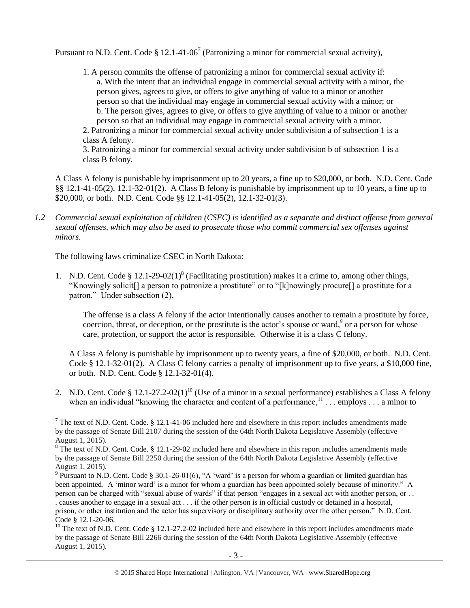Pursuant to N.D. Cent. Code  $\S 12.1$ -41-06<sup>7</sup> (Patronizing a minor for commercial sexual activity),

<span id="page-2-0"></span>1. A person commits the offense of patronizing a minor for commercial sexual activity if: a. With the intent that an individual engage in commercial sexual activity with a minor, the person gives, agrees to give, or offers to give anything of value to a minor or another person so that the individual may engage in commercial sexual activity with a minor; or b. The person gives, agrees to give, or offers to give anything of value to a minor or another person so that an individual may engage in commercial sexual activity with a minor.

2. Patronizing a minor for commercial sexual activity under subdivision a of subsection 1 is a class A felony.

3. Patronizing a minor for commercial sexual activity under subdivision b of subsection 1 is a class B felony.

A Class A felony is punishable by imprisonment up to 20 years, a fine up to \$20,000, or both. N.D. Cent. Code §§ 12.1-41-05(2), 12.1-32-01(2). A Class B felony is punishable by imprisonment up to 10 years, a fine up to \$20,000, or both. N.D. Cent. Code §§ 12.1-41-05(2), 12.1-32-01(3).

*1.2 Commercial sexual exploitation of children (CSEC) is identified as a separate and distinct offense from general sexual offenses, which may also be used to prosecute those who commit commercial sex offenses against minors.*

The following laws criminalize CSEC in North Dakota:

1. N.D. Cent. Code  $\S 12.1-29-02(1)^8$  (Facilitating prostitution) makes it a crime to, among other things, "Knowingly solicit[] a person to patronize a prostitute" or to "[k]nowingly procure[] a prostitute for a patron." Under subsection (2),

<span id="page-2-1"></span>The offense is a class A felony if the actor intentionally causes another to remain a prostitute by force, coercion, threat, or deception, or the prostitute is the actor's spouse or ward,  $9$  or a person for whose care, protection, or support the actor is responsible. Otherwise it is a class C felony.

<span id="page-2-3"></span><span id="page-2-2"></span>A Class A felony is punishable by imprisonment up to twenty years, a fine of \$20,000, or both. N.D. Cent. Code § 12.1-32-01(2). A Class C felony carries a penalty of imprisonment up to five years, a \$10,000 fine, or both. N.D. Cent. Code § 12.1-32-01(4).

2. N.D. Cent. Code § 12.1-27.2-02(1)<sup>10</sup> (Use of a minor in a sexual performance) establishes a Class A felony when an individual "knowing the character and content of a performance,  $1, 1, \ldots$  employs  $\ldots$  a minor to

 $\overline{a}$ <sup>7</sup> The text of N.D. Cent. Code. § 12.1-41-06 included here and elsewhere in this report includes amendments made by the passage of Senate Bill 2107 during the session of the 64th North Dakota Legislative Assembly (effective August 1, 2015).

<sup>&</sup>lt;sup>8</sup> The text of N.D. Cent. Code. § 12.1-29-02 included here and elsewhere in this report includes amendments made by the passage of Senate Bill 2250 during the session of the 64th North Dakota Legislative Assembly (effective

August 1, 2015).<br><sup>9</sup> Pursuant to N.D. Cent. Code § 30.1-26-01(6), "A 'ward' is a person for whom a guardian or limited guardian has been appointed. A 'minor ward' is a minor for whom a guardian has been appointed solely because of minority." A person can be charged with "sexual abuse of wards" if that person "engages in a sexual act with another person, or . . . causes another to engage in a sexual act . . . if the other person is in official custody or detained in a hospital, prison, or other institution and the actor has supervisory or disciplinary authority over the other person." N.D. Cent. Code § 12.1-20-06.

<sup>&</sup>lt;sup>10</sup> The text of N.D. Cent. Code § 12.1-27.2-02 included here and elsewhere in this report includes amendments made by the passage of Senate Bill 2266 during the session of the 64th North Dakota Legislative Assembly (effective August 1, 2015).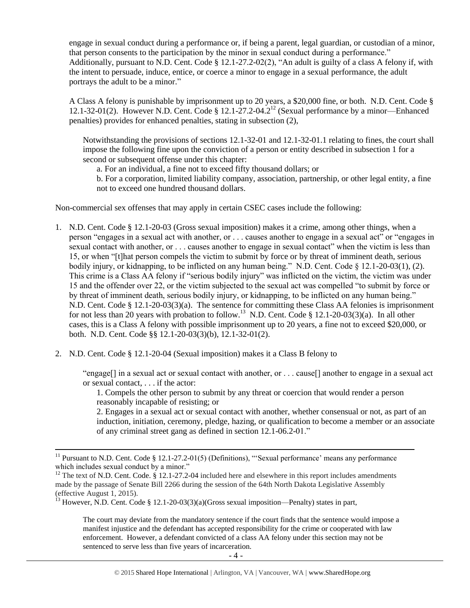engage in sexual conduct during a performance or, if being a parent, legal guardian, or custodian of a minor, that person consents to the participation by the minor in sexual conduct during a performance." Additionally, pursuant to N.D. Cent. Code § 12.1-27.2-02(2), "An adult is guilty of a class A felony if, with the intent to persuade, induce, entice, or coerce a minor to engage in a sexual performance, the adult portrays the adult to be a minor."

A Class A felony is punishable by imprisonment up to 20 years, a \$20,000 fine, or both. N.D. Cent. Code § 12.1-32-01(2). However N.D. Cent. Code § 12.1-27.2-04.2<sup>12</sup> (Sexual performance by a minor—Enhanced penalties) provides for enhanced penalties, stating in subsection (2),

Notwithstanding the provisions of sections 12.1-32-01 and 12.1-32-01.1 relating to fines, the court shall impose the following fine upon the conviction of a person or entity described in subsection 1 for a second or subsequent offense under this chapter:

<span id="page-3-0"></span>a. For an individual, a fine not to exceed fifty thousand dollars; or

b. For a corporation, limited liability company, association, partnership, or other legal entity, a fine not to exceed one hundred thousand dollars.

Non-commercial sex offenses that may apply in certain CSEC cases include the following:

- 1. N.D. Cent. Code § 12.1-20-03 (Gross sexual imposition) makes it a crime, among other things, when a person "engages in a sexual act with another, or . . . causes another to engage in a sexual act" or "engages in sexual contact with another, or . . . causes another to engage in sexual contact" when the victim is less than 15, or when "[t]hat person compels the victim to submit by force or by threat of imminent death, serious bodily injury, or kidnapping, to be inflicted on any human being." N.D. Cent. Code § 12.1-20-03(1), (2). This crime is a Class AA felony if "serious bodily injury" was inflicted on the victim, the victim was under 15 and the offender over 22, or the victim subjected to the sexual act was compelled "to submit by force or by threat of imminent death, serious bodily injury, or kidnapping, to be inflicted on any human being." N.D. Cent. Code § 12.1-20-03(3)(a). The sentence for committing these Class AA felonies is imprisonment for not less than 20 years with probation to follow.<sup>13</sup> N.D. Cent. Code § 12.1-20-03(3)(a). In all other cases, this is a Class A felony with possible imprisonment up to 20 years, a fine not to exceed \$20,000, or both. N.D. Cent. Code §§ 12.1-20-03(3)(b), 12.1-32-01(2).
- 2. N.D. Cent. Code § 12.1-20-04 (Sexual imposition) makes it a Class B felony to

 $\overline{\phantom{a}}$ 

"engage[] in a sexual act or sexual contact with another, or . . . cause[] another to engage in a sexual act or sexual contact, . . . if the actor:

1. Compels the other person to submit by any threat or coercion that would render a person reasonably incapable of resisting; or

2. Engages in a sexual act or sexual contact with another, whether consensual or not, as part of an induction, initiation, ceremony, pledge, hazing, or qualification to become a member or an associate of any criminal street gang as defined in section 12.1-06.2-01."

The court may deviate from the mandatory sentence if the court finds that the sentence would impose a manifest injustice and the defendant has accepted responsibility for the crime or cooperated with law enforcement. However, a defendant convicted of a class AA felony under this section may not be sentenced to serve less than five years of incarceration.

<sup>&</sup>lt;sup>11</sup> Pursuant to N.D. Cent. Code  $\S 12.1-27.2-01(5)$  (Definitions), "Sexual performance' means any performance which includes sexual conduct by a minor."

<sup>&</sup>lt;sup>12</sup> The text of N.D. Cent. Code. § 12.1-27.2-04 included here and elsewhere in this report includes amendments made by the passage of Senate Bill 2266 during the session of the 64th North Dakota Legislative Assembly (effective August 1, 2015).

<sup>&</sup>lt;sup>13</sup> However, N.D. Cent. Code § 12.1-20-03(3)(a)(Gross sexual imposition—Penalty) states in part,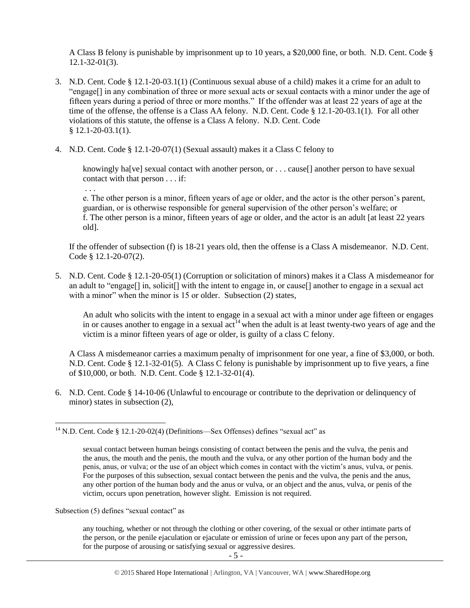A Class B felony is punishable by imprisonment up to 10 years, a \$20,000 fine, or both. N.D. Cent. Code § 12.1-32-01(3).

- 3. N.D. Cent. Code § 12.1-20-03.1(1) (Continuous sexual abuse of a child) makes it a crime for an adult to "engage[] in any combination of three or more sexual acts or sexual contacts with a minor under the age of fifteen years during a period of three or more months." If the offender was at least 22 years of age at the time of the offense, the offense is a Class AA felony. N.D. Cent. Code § 12.1-20-03.1(1). For all other violations of this statute, the offense is a Class A felony. N.D. Cent. Code  $§ 12.1 - 20 - 03.1(1).$
- 4. N.D. Cent. Code § 12.1-20-07(1) (Sexual assault) makes it a Class C felony to

knowingly ha<sup>[</sup>ve] sexual contact with another person, or . . . cause<sup>[]</sup> another person to have sexual contact with that person . . . if:

. . .

 $\overline{\phantom{a}}$ 

e. The other person is a minor, fifteen years of age or older, and the actor is the other person's parent, guardian, or is otherwise responsible for general supervision of the other person's welfare; or f. The other person is a minor, fifteen years of age or older, and the actor is an adult [at least 22 years old].

If the offender of subsection (f) is 18-21 years old, then the offense is a Class A misdemeanor. N.D. Cent. Code § 12.1-20-07(2).

5. N.D. Cent. Code § 12.1-20-05(1) (Corruption or solicitation of minors) makes it a Class A misdemeanor for an adult to "engage[] in, solicit[] with the intent to engage in, or cause[] another to engage in a sexual act with a minor" when the minor is 15 or older. Subsection (2) states,

An adult who solicits with the intent to engage in a sexual act with a minor under age fifteen or engages in or causes another to engage in a sexual  $\alpha t^{14}$  when the adult is at least twenty-two years of age and the victim is a minor fifteen years of age or older, is guilty of a class C felony.

A Class A misdemeanor carries a maximum penalty of imprisonment for one year, a fine of \$3,000, or both. N.D. Cent. Code § 12.1-32-01(5). A Class C felony is punishable by imprisonment up to five years, a fine of \$10,000, or both. N.D. Cent. Code § 12.1-32-01(4).

6. N.D. Cent. Code § 14-10-06 (Unlawful to encourage or contribute to the deprivation or delinquency of minor) states in subsection (2),

Subsection (5) defines "sexual contact" as

any touching, whether or not through the clothing or other covering, of the sexual or other intimate parts of the person, or the penile ejaculation or ejaculate or emission of urine or feces upon any part of the person, for the purpose of arousing or satisfying sexual or aggressive desires.

<sup>&</sup>lt;sup>14</sup> N.D. Cent. Code § 12.1-20-02(4) (Definitions—Sex Offenses) defines "sexual act" as

sexual contact between human beings consisting of contact between the penis and the vulva, the penis and the anus, the mouth and the penis, the mouth and the vulva, or any other portion of the human body and the penis, anus, or vulva; or the use of an object which comes in contact with the victim's anus, vulva, or penis. For the purposes of this subsection, sexual contact between the penis and the vulva, the penis and the anus, any other portion of the human body and the anus or vulva, or an object and the anus, vulva, or penis of the victim, occurs upon penetration, however slight. Emission is not required.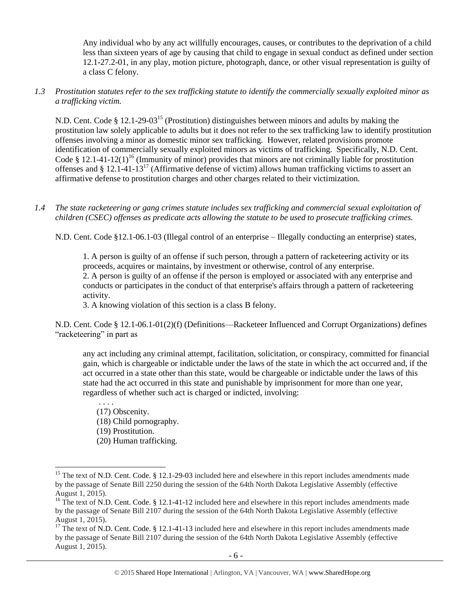Any individual who by any act willfully encourages, causes, or contributes to the deprivation of a child less than sixteen years of age by causing that child to engage in sexual conduct as defined under section 12.1-27.2-01, in any play, motion picture, photograph, dance, or other visual representation is guilty of a class C felony.

*1.3 Prostitution statutes refer to the sex trafficking statute to identify the commercially sexually exploited minor as a trafficking victim.* 

<span id="page-5-0"></span>N.D. Cent. Code § 12.1-29-03<sup>15</sup> (Prostitution) distinguishes between minors and adults by making the prostitution law solely applicable to adults but it does not refer to the sex trafficking law to identify prostitution offenses involving a minor as domestic minor sex trafficking. However, related provisions promote identification of commercially sexually exploited minors as victims of trafficking. Specifically, N.D. Cent. Code § 12.1-41-12(1)<sup>16</sup> (Immunity of minor) provides that minors are not criminally liable for prostitution offenses and § 12.1-41-13<sup>17</sup> (Affirmative defense of victim) allows human trafficking victims to assert an affirmative defense to prostitution charges and other charges related to their victimization.

*1.4 The state racketeering or gang crimes statute includes sex trafficking and commercial sexual exploitation of children (CSEC) offenses as predicate acts allowing the statute to be used to prosecute trafficking crimes.* 

N.D. Cent. Code §12.1-06.1-03 (Illegal control of an enterprise – Illegally conducting an enterprise) states,

1. A person is guilty of an offense if such person, through a pattern of racketeering activity or its proceeds, acquires or maintains, by investment or otherwise, control of any enterprise. 2. A person is guilty of an offense if the person is employed or associated with any enterprise and conducts or participates in the conduct of that enterprise's affairs through a pattern of racketeering activity.

3. A knowing violation of this section is a class B felony.

N.D. Cent. Code § 12.1-06.1-01(2)(f) (Definitions—Racketeer Influenced and Corrupt Organizations) defines "racketeering" in part as

any act including any criminal attempt, facilitation, solicitation, or conspiracy, committed for financial gain, which is chargeable or indictable under the laws of the state in which the act occurred and, if the act occurred in a state other than this state, would be chargeable or indictable under the laws of this state had the act occurred in this state and punishable by imprisonment for more than one year, regardless of whether such act is charged or indicted, involving:

. . . . (17) Obscenity. (18) Child pornography. (19) Prostitution. (20) Human trafficking.

 $\overline{a}$ 

<sup>&</sup>lt;sup>15</sup> The text of N.D. Cent. Code. § 12.1-29-03 included here and elsewhere in this report includes amendments made by the passage of Senate Bill 2250 during the session of the 64th North Dakota Legislative Assembly (effective August 1, 2015).

<sup>&</sup>lt;sup>16</sup> The text of N.D. Cent. Code. § 12.1-41-12 included here and elsewhere in this report includes amendments made by the passage of Senate Bill 2107 during the session of the 64th North Dakota Legislative Assembly (effective August 1, 2015).

 $17$  The text of N.D. Cent. Code. § 12.1-41-13 included here and elsewhere in this report includes amendments made by the passage of Senate Bill 2107 during the session of the 64th North Dakota Legislative Assembly (effective August 1, 2015).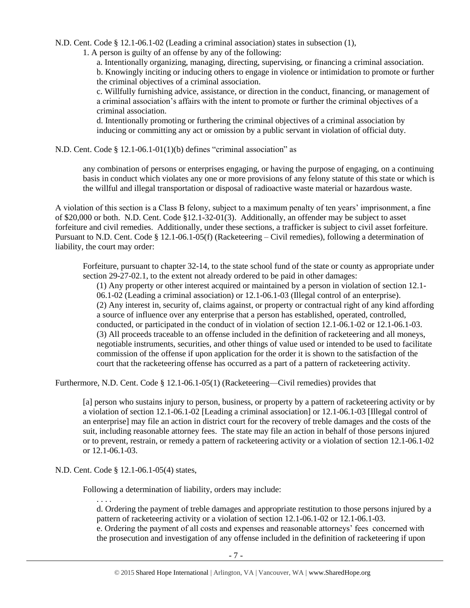N.D. Cent. Code § 12.1-06.1-02 (Leading a criminal association) states in subsection (1),

1. A person is guilty of an offense by any of the following:

a. Intentionally organizing, managing, directing, supervising, or financing a criminal association. b. Knowingly inciting or inducing others to engage in violence or intimidation to promote or further the criminal objectives of a criminal association.

c. Willfully furnishing advice, assistance, or direction in the conduct, financing, or management of a criminal association's affairs with the intent to promote or further the criminal objectives of a criminal association.

d. Intentionally promoting or furthering the criminal objectives of a criminal association by inducing or committing any act or omission by a public servant in violation of official duty.

N.D. Cent. Code § 12.1-06.1-01(1)(b) defines "criminal association" as

any combination of persons or enterprises engaging, or having the purpose of engaging, on a continuing basis in conduct which violates any one or more provisions of any felony statute of this state or which is the willful and illegal transportation or disposal of radioactive waste material or hazardous waste.

A violation of this section is a Class B felony, subject to a maximum penalty of ten years' imprisonment, a fine of \$20,000 or both. N.D. Cent. Code §12.1-32-01(3). Additionally, an offender may be subject to asset forfeiture and civil remedies. Additionally, under these sections, a trafficker is subject to civil asset forfeiture. Pursuant to N.D. Cent. Code § 12.1-06.1-05(f) (Racketeering – Civil remedies), following a determination of liability, the court may order:

Forfeiture, pursuant to chapter 32-14, to the state school fund of the state or county as appropriate under section 29-27-02.1, to the extent not already ordered to be paid in other damages:

(1) Any property or other interest acquired or maintained by a person in violation of section 12.1- 06.1-02 (Leading a criminal association) or 12.1-06.1-03 (Illegal control of an enterprise). (2) Any interest in, security of, claims against, or property or contractual right of any kind affording a source of influence over any enterprise that a person has established, operated, controlled, conducted, or participated in the conduct of in violation of section 12.1-06.1-02 or 12.1-06.1-03. (3) All proceeds traceable to an offense included in the definition of racketeering and all moneys, negotiable instruments, securities, and other things of value used or intended to be used to facilitate commission of the offense if upon application for the order it is shown to the satisfaction of the court that the racketeering offense has occurred as a part of a pattern of racketeering activity.

Furthermore, N.D. Cent. Code § 12.1-06.1-05(1) (Racketeering—Civil remedies) provides that

[a] person who sustains injury to person, business, or property by a pattern of racketeering activity or by a violation of section 12.1-06.1-02 [Leading a criminal association] or 12.1-06.1-03 [Illegal control of an enterprise] may file an action in district court for the recovery of treble damages and the costs of the suit, including reasonable attorney fees. The state may file an action in behalf of those persons injured or to prevent, restrain, or remedy a pattern of racketeering activity or a violation of section 12.1-06.1-02 or 12.1-06.1-03.

N.D. Cent. Code § 12.1-06.1-05(4) states,

Following a determination of liability, orders may include:

. . . .

d. Ordering the payment of treble damages and appropriate restitution to those persons injured by a pattern of racketeering activity or a violation of section 12.1-06.1-02 or 12.1-06.1-03. e. Ordering the payment of all costs and expenses and reasonable attorneys' fees concerned with the prosecution and investigation of any offense included in the definition of racketeering if upon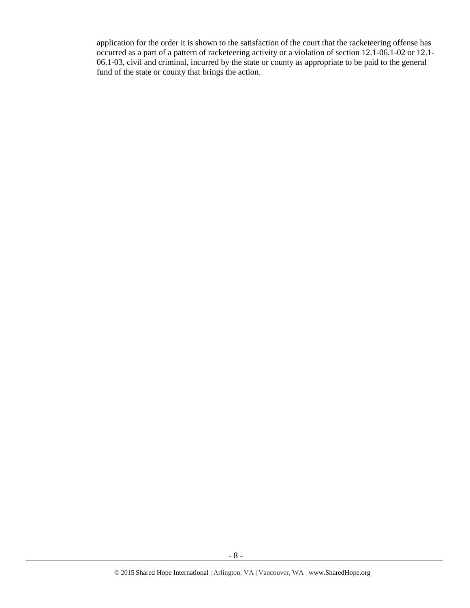application for the order it is shown to the satisfaction of the court that the racketeering offense has occurred as a part of a pattern of racketeering activity or a violation of section 12.1-06.1-02 or 12.1- 06.1-03, civil and criminal, incurred by the state or county as appropriate to be paid to the general fund of the state or county that brings the action.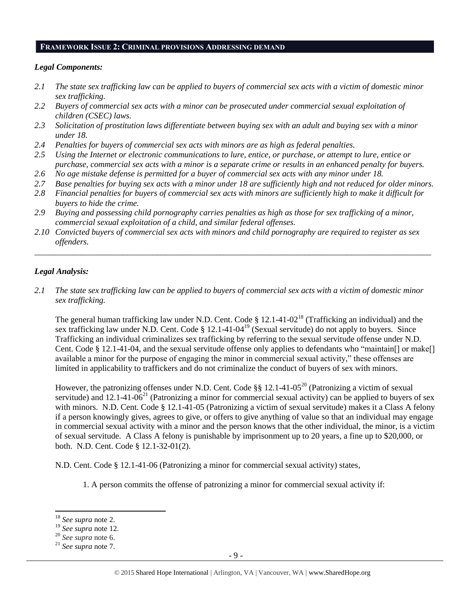#### **FRAMEWORK ISSUE 2: CRIMINAL PROVISIONS ADDRESSING DEMAND**

## *Legal Components:*

- *2.1 The state sex trafficking law can be applied to buyers of commercial sex acts with a victim of domestic minor sex trafficking.*
- *2.2 Buyers of commercial sex acts with a minor can be prosecuted under commercial sexual exploitation of children (CSEC) laws.*
- *2.3 Solicitation of prostitution laws differentiate between buying sex with an adult and buying sex with a minor under 18.*
- *2.4 Penalties for buyers of commercial sex acts with minors are as high as federal penalties.*
- *2.5 Using the Internet or electronic communications to lure, entice, or purchase, or attempt to lure, entice or purchase, commercial sex acts with a minor is a separate crime or results in an enhanced penalty for buyers.*
- *2.6 No age mistake defense is permitted for a buyer of commercial sex acts with any minor under 18.*
- *2.7 Base penalties for buying sex acts with a minor under 18 are sufficiently high and not reduced for older minors.*
- *2.8 Financial penalties for buyers of commercial sex acts with minors are sufficiently high to make it difficult for buyers to hide the crime.*
- *2.9 Buying and possessing child pornography carries penalties as high as those for sex trafficking of a minor, commercial sexual exploitation of a child, and similar federal offenses.*
- *2.10 Convicted buyers of commercial sex acts with minors and child pornography are required to register as sex offenders.*

\_\_\_\_\_\_\_\_\_\_\_\_\_\_\_\_\_\_\_\_\_\_\_\_\_\_\_\_\_\_\_\_\_\_\_\_\_\_\_\_\_\_\_\_\_\_\_\_\_\_\_\_\_\_\_\_\_\_\_\_\_\_\_\_\_\_\_\_\_\_\_\_\_\_\_\_\_\_\_\_\_\_\_\_\_\_\_\_\_\_\_\_\_\_

### *Legal Analysis:*

*2.1 The state sex trafficking law can be applied to buyers of commercial sex acts with a victim of domestic minor sex trafficking.* 

The general human trafficking law under N.D. Cent. Code § 12.1-41-02<sup>18</sup> (Trafficking an individual) and the sex trafficking law under N.D. Cent. Code § 12.1-41-04<sup>19</sup> (Sexual servitude) do not apply to buyers. Since Trafficking an individual criminalizes sex trafficking by referring to the sexual servitude offense under N.D. Cent. Code § 12.1-41-04, and the sexual servitude offense only applies to defendants who "maintain[] or make[] available a minor for the purpose of engaging the minor in commercial sexual activity," these offenses are limited in applicability to traffickers and do not criminalize the conduct of buyers of sex with minors.

<span id="page-8-0"></span>However, the patronizing offenses under N.D. Cent. Code §§ 12.1-41-05<sup>20</sup> (Patronizing a victim of sexual servitude) and 12.1-41-06<sup>21</sup> (Patronizing a minor for commercial sexual activity) can be applied to buyers of sex with minors. N.D. Cent. Code § 12.1-41-05 (Patronizing a victim of sexual servitude) makes it a Class A felony if a person knowingly gives, agrees to give, or offers to give anything of value so that an individual may engage in commercial sexual activity with a minor and the person knows that the other individual, the minor, is a victim of sexual servitude. A Class A felony is punishable by imprisonment up to 20 years, a fine up to \$20,000, or both. N.D. Cent. Code § 12.1-32-01(2).

N.D. Cent. Code § 12.1-41-06 (Patronizing a minor for commercial sexual activity) states,

1. A person commits the offense of patronizing a minor for commercial sexual activity if:

l

<sup>18</sup> *See supra* note [2.](#page-0-0)

<sup>19</sup> *See supra* note [12.](#page-3-0)

<sup>20</sup> *See supra* note [6.](#page-1-0)

<sup>21</sup> *See supra* note [7.](#page-2-0)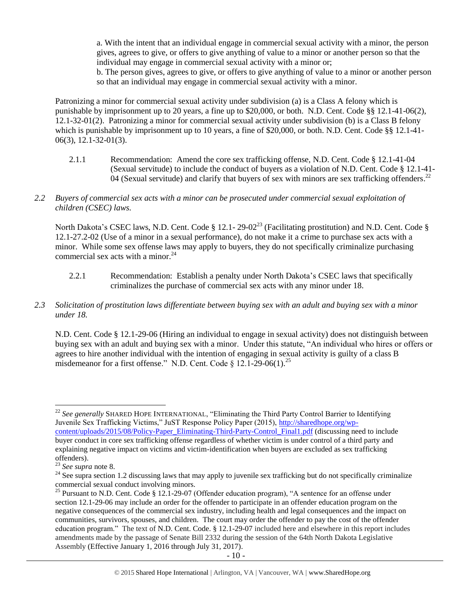a. With the intent that an individual engage in commercial sexual activity with a minor, the person gives, agrees to give, or offers to give anything of value to a minor or another person so that the individual may engage in commercial sexual activity with a minor or;

b. The person gives, agrees to give, or offers to give anything of value to a minor or another person so that an individual may engage in commercial sexual activity with a minor.

Patronizing a minor for commercial sexual activity under subdivision (a) is a Class A felony which is punishable by imprisonment up to 20 years, a fine up to \$20,000, or both. N.D. Cent. Code §§ 12.1-41-06(2), 12.1-32-01(2). Patronizing a minor for commercial sexual activity under subdivision (b) is a Class B felony which is punishable by imprisonment up to 10 years, a fine of \$20,000, or both. N.D. Cent. Code §§ 12.1-41-06(3), 12.1-32-01(3).

- 2.1.1 Recommendation: Amend the core sex trafficking offense, N.D. Cent. Code § 12.1-41-04 (Sexual servitude) to include the conduct of buyers as a violation of N.D. Cent. Code § 12.1-41- 04 (Sexual servitude) and clarify that buyers of sex with minors are sex trafficking offenders.<sup>22</sup>
- *2.2 Buyers of commercial sex acts with a minor can be prosecuted under commercial sexual exploitation of children (CSEC) laws.*

North Dakota's CSEC laws, N.D. Cent. Code § 12.1- 29-02<sup>23</sup> (Facilitating prostitution) and N.D. Cent. Code § 12.1-27.2-02 (Use of a minor in a sexual performance), do not make it a crime to purchase sex acts with a minor. While some sex offense laws may apply to buyers, they do not specifically criminalize purchasing commercial sex acts with a minor. $^{24}$ 

- 2.2.1 Recommendation: Establish a penalty under North Dakota's CSEC laws that specifically criminalizes the purchase of commercial sex acts with any minor under 18.
- *2.3 Solicitation of prostitution laws differentiate between buying sex with an adult and buying sex with a minor under 18.*

<span id="page-9-0"></span>N.D. Cent. Code § 12.1-29-06 (Hiring an individual to engage in sexual activity) does not distinguish between buying sex with an adult and buying sex with a minor. Under this statute, "An individual who hires or offers or agrees to hire another individual with the intention of engaging in sexual activity is guilty of a class B misdemeanor for a first offense." N.D. Cent. Code  $\S 12.1-29-06(1)$ .<sup>25</sup>

l <sup>22</sup> *See generally* SHARED HOPE INTERNATIONAL, "Eliminating the Third Party Control Barrier to Identifying Juvenile Sex Trafficking Victims," JuST Response Policy Paper (2015), [http://sharedhope.org/wp](http://sharedhope.org/wp-content/uploads/2015/08/Policy-Paper_Eliminating-Third-Party-Control_Final1.pdf)[content/uploads/2015/08/Policy-Paper\\_Eliminating-Third-Party-Control\\_Final1.pdf](http://sharedhope.org/wp-content/uploads/2015/08/Policy-Paper_Eliminating-Third-Party-Control_Final1.pdf) (discussing need to include buyer conduct in core sex trafficking offense regardless of whether victim is under control of a third party and explaining negative impact on victims and victim-identification when buyers are excluded as sex trafficking offenders).

<sup>23</sup> *See supra* note [8.](#page-2-1)

 $24$  See supra section 1.2 discussing laws that may apply to juvenile sex trafficking but do not specifically criminalize commercial sexual conduct involving minors.

<sup>&</sup>lt;sup>25</sup> Pursuant to N.D. Cent. Code § 12.1-29-07 (Offender education program), "A sentence for an offense under section 12.1-29-06 may include an order for the offender to participate in an offender education program on the negative consequences of the commercial sex industry, including health and legal consequences and the impact on communities, survivors, spouses, and children. The court may order the offender to pay the cost of the offender education program." The text of N.D. Cent. Code. § 12.1-29-07 included here and elsewhere in this report includes amendments made by the passage of Senate Bill 2332 during the session of the 64th North Dakota Legislative Assembly (Effective January 1, 2016 through July 31, 2017).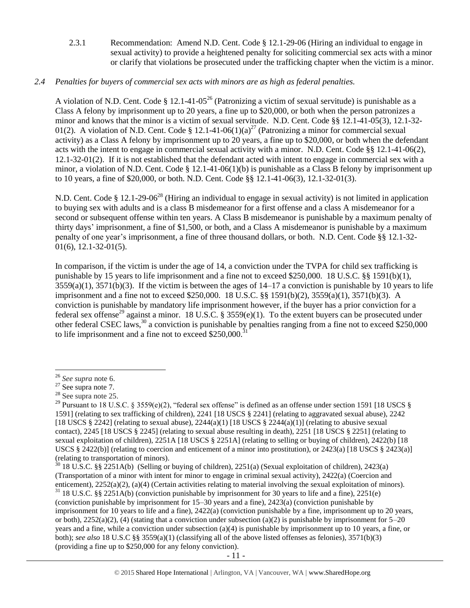2.3.1 Recommendation: Amend N.D. Cent. Code § 12.1-29-06 (Hiring an individual to engage in sexual activity) to provide a heightened penalty for soliciting commercial sex acts with a minor or clarify that violations be prosecuted under the trafficking chapter when the victim is a minor.

## *2.4 Penalties for buyers of commercial sex acts with minors are as high as federal penalties.*

A violation of N.D. Cent. Code § 12.1-41-05<sup>26</sup> (Patronizing a victim of sexual servitude) is punishable as a Class A felony by imprisonment up to 20 years, a fine up to \$20,000, or both when the person patronizes a minor and knows that the minor is a victim of sexual servitude. N.D. Cent. Code §§ 12.1-41-05(3), 12.1-32- 01(2). A violation of N.D. Cent. Code § 12.1-41-06(1)(a)<sup>27</sup> (Patronizing a minor for commercial sexual activity) as a Class A felony by imprisonment up to 20 years, a fine up to \$20,000, or both when the defendant acts with the intent to engage in commercial sexual activity with a minor. N.D. Cent. Code §§ 12.1-41-06(2), 12.1-32-01(2). If it is not established that the defendant acted with intent to engage in commercial sex with a minor, a violation of N.D. Cent. Code § 12.1-41-06(1)(b) is punishable as a Class B felony by imprisonment up to 10 years, a fine of \$20,000, or both. N.D. Cent. Code §§ 12.1-41-06(3), 12.1-32-01(3).

N.D. Cent. Code § 12.1-29-06<sup>28</sup> (Hiring an individual to engage in sexual activity) is not limited in application to buying sex with adults and is a class B misdemeanor for a first offense and a class A misdemeanor for a second or subsequent offense within ten years. A Class B misdemeanor is punishable by a maximum penalty of thirty days' imprisonment, a fine of \$1,500, or both, and a Class A misdemeanor is punishable by a maximum penalty of one year's imprisonment, a fine of three thousand dollars, or both. N.D. Cent. Code §§ 12.1-32- 01(6), 12.1-32-01(5).

<span id="page-10-0"></span>In comparison, if the victim is under the age of 14, a conviction under the TVPA for child sex trafficking is punishable by 15 years to life imprisonment and a fine not to exceed \$250,000. 18 U.S.C. §§ 1591(b)(1),  $3559(a)(1)$ ,  $3571(b)(3)$ . If the victim is between the ages of  $14-17$  a conviction is punishable by 10 years to life imprisonment and a fine not to exceed \$250,000. 18 U.S.C. §§ 1591(b)(2), 3559(a)(1), 3571(b)(3). A conviction is punishable by mandatory life imprisonment however, if the buyer has a prior conviction for a federal sex offense<sup>29</sup> against a minor. 18 U.S.C. § 3559(e)(1). To the extent buyers can be prosecuted under other federal CSEC laws,  $30$  a conviction is punishable by penalties ranging from a fine not to exceed \$250,000 to life imprisonment and a fine not to exceed  $$250,000$ .<sup>3</sup>

<sup>26</sup> *See supra* note [6.](#page-1-0)

 $27$  See supra note [7.](#page-2-0)

<sup>28</sup> See supra note [25.](#page-9-0)

<sup>&</sup>lt;sup>29</sup> Pursuant to 18 U.S.C. § 3559(e)(2), "federal sex offense" is defined as an offense under section 1591 [18 USCS § 1591] (relating to sex trafficking of children), 2241 [18 USCS § 2241] (relating to aggravated sexual abuse), 2242 [18 USCS § 2242] (relating to sexual abuse),  $2244(a)(1)$  [18 USCS § 2244(a)(1)] (relating to abusive sexual contact), 2245 [18 USCS § 2245] (relating to sexual abuse resulting in death), 2251 [18 USCS § 2251] (relating to sexual exploitation of children), 2251A [18 USCS § 2251A] (relating to selling or buying of children), 2422(b) [18 USCS § 2422(b)] (relating to coercion and enticement of a minor into prostitution), or 2423(a) [18 USCS § 2423(a)] (relating to transportation of minors).

 $30$  18 U.S.C. §§ 2251A(b) (Selling or buying of children), 2251(a) (Sexual exploitation of children), 2423(a) (Transportation of a minor with intent for minor to engage in criminal sexual activity), 2422(a) (Coercion and enticement), 2252(a)(2), (a)(4) (Certain activities relating to material involving the sexual exploitation of minors).

 $31$  18 U.S.C. §§ 2251A(b) (conviction punishable by imprisonment for 30 years to life and a fine), 2251(e) (conviction punishable by imprisonment for 15–30 years and a fine), 2423(a) (conviction punishable by imprisonment for 10 years to life and a fine), 2422(a) (conviction punishable by a fine, imprisonment up to 20 years, or both),  $2252(a)(2)$ , (4) (stating that a conviction under subsection (a)(2) is punishable by imprisonment for  $5-20$ years and a fine, while a conviction under subsection (a)(4) is punishable by imprisonment up to 10 years, a fine, or both); *see also* 18 U.S.C §§ 3559(a)(1) (classifying all of the above listed offenses as felonies), 3571(b)(3) (providing a fine up to \$250,000 for any felony conviction).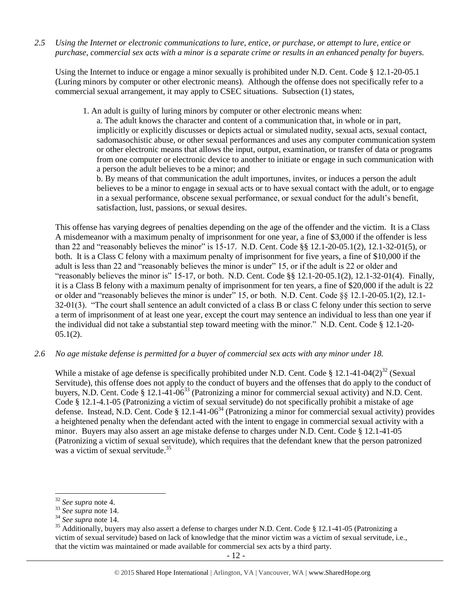*2.5 Using the Internet or electronic communications to lure, entice, or purchase, or attempt to lure, entice or purchase, commercial sex acts with a minor is a separate crime or results in an enhanced penalty for buyers.*

Using the Internet to induce or engage a minor sexually is prohibited under N.D. Cent. Code § 12.1-20-05.1 (Luring minors by computer or other electronic means). Although the offense does not specifically refer to a commercial sexual arrangement, it may apply to CSEC situations. Subsection (1) states,

1. An adult is guilty of luring minors by computer or other electronic means when:

a. The adult knows the character and content of a communication that, in whole or in part, implicitly or explicitly discusses or depicts actual or simulated nudity, sexual acts, sexual contact, sadomasochistic abuse, or other sexual performances and uses any computer communication system or other electronic means that allows the input, output, examination, or transfer of data or programs from one computer or electronic device to another to initiate or engage in such communication with a person the adult believes to be a minor; and

b. By means of that communication the adult importunes, invites, or induces a person the adult believes to be a minor to engage in sexual acts or to have sexual contact with the adult, or to engage in a sexual performance, obscene sexual performance, or sexual conduct for the adult's benefit, satisfaction, lust, passions, or sexual desires.

This offense has varying degrees of penalties depending on the age of the offender and the victim. It is a Class A misdemeanor with a maximum penalty of imprisonment for one year, a fine of \$3,000 if the offender is less than 22 and "reasonably believes the minor" is 15-17. N.D. Cent. Code §§ 12.1-20-05.1(2), 12.1-32-01(5), or both. It is a Class C felony with a maximum penalty of imprisonment for five years, a fine of \$10,000 if the adult is less than 22 and "reasonably believes the minor is under" 15, or if the adult is 22 or older and "reasonably believes the minor is" 15-17, or both. N.D. Cent. Code §§ 12.1-20-05.1(2), 12.1-32-01(4). Finally, it is a Class B felony with a maximum penalty of imprisonment for ten years, a fine of \$20,000 if the adult is 22 or older and "reasonably believes the minor is under" 15, or both. N.D. Cent. Code §§ 12.1-20-05.1(2), 12.1- 32-01(3). "The court shall sentence an adult convicted of a class B or class C felony under this section to serve a term of imprisonment of at least one year, except the court may sentence an individual to less than one year if the individual did not take a substantial step toward meeting with the minor." N.D. Cent. Code § 12.1-20-  $05.1(2)$ .

*2.6 No age mistake defense is permitted for a buyer of commercial sex acts with any minor under 18.*

While a mistake of age defense is specifically prohibited under N.D. Cent. Code § 12.1-41-04(2)<sup>32</sup> (Sexual Servitude), this offense does not apply to the conduct of buyers and the offenses that do apply to the conduct of buyers, N.D. Cent. Code  $\S 12.1-41-06^{33}$  (Patronizing a minor for commercial sexual activity) and N.D. Cent. Code § 12.1-4.1-05 (Patronizing a victim of sexual servitude) do not specifically prohibit a mistake of age defense. Instead, N.D. Cent. Code § 12.1-41-06<sup>34</sup> (Patronizing a minor for commercial sexual activity) provides a heightened penalty when the defendant acted with the intent to engage in commercial sexual activity with a minor. Buyers may also assert an age mistake defense to charges under N.D. Cent. Code § 12.1-41-05 (Patronizing a victim of sexual servitude), which requires that the defendant knew that the person patronized was a victim of sexual servitude.<sup>35</sup>

l

<sup>32</sup> *See supra* note [4.](#page-1-1)

<sup>33</sup> *See supra* note 14.

<sup>34</sup> *See supra* note 14.

<sup>&</sup>lt;sup>35</sup> Additionally, buyers may also assert a defense to charges under N.D. Cent. Code § 12.1-41-05 (Patronizing a victim of sexual servitude) based on lack of knowledge that the minor victim was a victim of sexual servitude, i.e., that the victim was maintained or made available for commercial sex acts by a third party.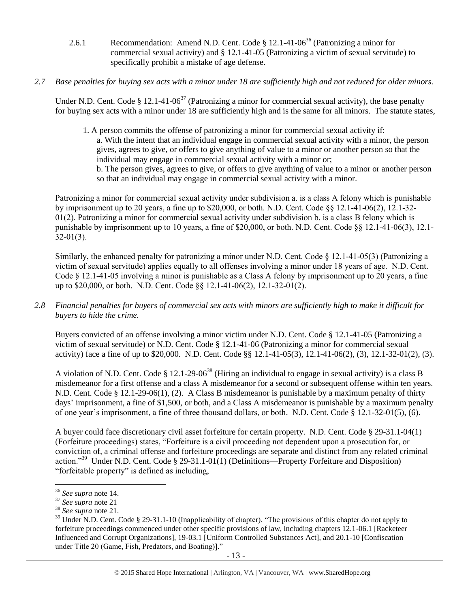- 2.6.1 Recommendation: Amend N.D. Cent. Code  $\S$  12.1-41-06<sup>36</sup> (Patronizing a minor for commercial sexual activity) and § 12.1-41-05 (Patronizing a victim of sexual servitude) to specifically prohibit a mistake of age defense.
- *2.7 Base penalties for buying sex acts with a minor under 18 are sufficiently high and not reduced for older minors.*

Under N.D. Cent. Code § 12.1-41-06<sup>37</sup> (Patronizing a minor for commercial sexual activity), the base penalty for buying sex acts with a minor under 18 are sufficiently high and is the same for all minors. The statute states,

1. A person commits the offense of patronizing a minor for commercial sexual activity if: a. With the intent that an individual engage in commercial sexual activity with a minor, the person gives, agrees to give, or offers to give anything of value to a minor or another person so that the individual may engage in commercial sexual activity with a minor or; b. The person gives, agrees to give, or offers to give anything of value to a minor or another person

so that an individual may engage in commercial sexual activity with a minor.

Patronizing a minor for commercial sexual activity under subdivision a. is a class A felony which is punishable by imprisonment up to 20 years, a fine up to \$20,000, or both. N.D. Cent. Code §§ 12.1-41-06(2), 12.1-32-  $01(2)$ . Patronizing a minor for commercial sexual activity under subdivision b. is a class B felony which is punishable by imprisonment up to 10 years, a fine of \$20,000, or both. N.D. Cent. Code §§ 12.1-41-06(3), 12.1- 32-01(3).

Similarly, the enhanced penalty for patronizing a minor under N.D. Cent. Code § 12.1-41-05(3) (Patronizing a victim of sexual servitude) applies equally to all offenses involving a minor under 18 years of age. N.D. Cent. Code § 12.1-41-05 involving a minor is punishable as a Class A felony by imprisonment up to 20 years, a fine up to \$20,000, or both. N.D. Cent. Code §§ 12.1-41-06(2), 12.1-32-01(2).

*2.8 Financial penalties for buyers of commercial sex acts with minors are sufficiently high to make it difficult for buyers to hide the crime.*

Buyers convicted of an offense involving a minor victim under N.D. Cent. Code § 12.1-41-05 (Patronizing a victim of sexual servitude) or N.D. Cent. Code § 12.1-41-06 (Patronizing a minor for commercial sexual activity) face a fine of up to \$20,000. N.D. Cent. Code §§ 12.1-41-05(3), 12.1-41-06(2), (3), 12.1-32-01(2), (3).

A violation of N.D. Cent. Code  $\S 12.1-29-06^{38}$  (Hiring an individual to engage in sexual activity) is a class B misdemeanor for a first offense and a class A misdemeanor for a second or subsequent offense within ten years. N.D. Cent. Code § 12.1-29-06(1), (2). A Class B misdemeanor is punishable by a maximum penalty of thirty days' imprisonment, a fine of \$1,500, or both, and a Class A misdemeanor is punishable by a maximum penalty of one year's imprisonment, a fine of three thousand dollars, or both. N.D. Cent. Code § 12.1-32-01(5), (6).

A buyer could face discretionary civil asset forfeiture for certain property. N.D. Cent. Code § 29-31.1-04(1) (Forfeiture proceedings) states, "Forfeiture is a civil proceeding not dependent upon a prosecution for, or conviction of, a criminal offense and forfeiture proceedings are separate and distinct from any related criminal action."<sup>39</sup> Under N.D. Cent. Code § 29-31.1-01(1) (Definitions—Property Forfeiture and Disposition) "forfeitable property" is defined as including,

<span id="page-12-0"></span> $\overline{\phantom{a}}$ <sup>36</sup> *See supra* note 14.

<sup>37</sup> *See supra* note [21](#page-8-0)

<sup>38</sup> *See supra* note 21.

<sup>&</sup>lt;sup>39</sup> Under N.D. Cent. Code § 29-31.1-10 (Inapplicability of chapter), "The provisions of this chapter do not apply to forfeiture proceedings commenced under other specific provisions of law, including chapters 12.1-06.1 [Racketeer Influenced and Corrupt Organizations], 19-03.1 [Uniform Controlled Substances Act], and 20.1-10 [Confiscation under Title 20 (Game, Fish, Predators, and Boating)]."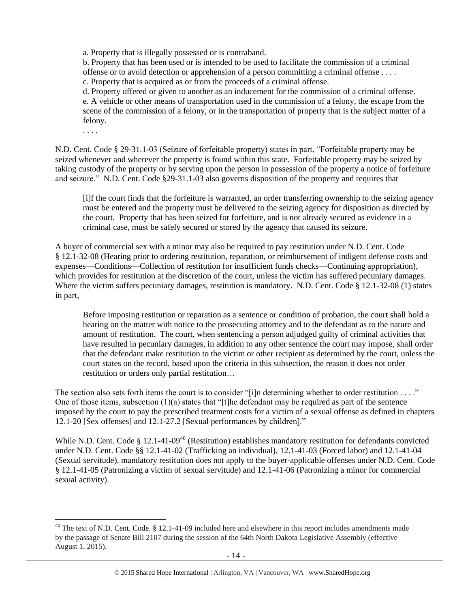a. Property that is illegally possessed or is contraband.

b. Property that has been used or is intended to be used to facilitate the commission of a criminal offense or to avoid detection or apprehension of a person committing a criminal offense . . . . c. Property that is acquired as or from the proceeds of a criminal offense.

d. Property offered or given to another as an inducement for the commission of a criminal offense. e. A vehicle or other means of transportation used in the commission of a felony, the escape from the scene of the commission of a felony, or in the transportation of property that is the subject matter of a felony.

. . . .

 $\overline{a}$ 

N.D. Cent. Code § 29-31.1-03 (Seizure of forfeitable property) states in part, "Forfeitable property may be seized whenever and wherever the property is found within this state. Forfeitable property may be seized by taking custody of the property or by serving upon the person in possession of the property a notice of forfeiture and seizure." N.D. Cent. Code §29-31.1-03 also governs disposition of the property and requires that

[i]f the court finds that the forfeiture is warranted, an order transferring ownership to the seizing agency must be entered and the property must be delivered to the seizing agency for disposition as directed by the court. Property that has been seized for forfeiture, and is not already secured as evidence in a criminal case, must be safely secured or stored by the agency that caused its seizure.

A buyer of commercial sex with a minor may also be required to pay restitution under N.D. Cent. Code § 12.1-32-08 (Hearing prior to ordering restitution, reparation, or reimbursement of indigent defense costs and expenses—Conditions—Collection of restitution for insufficient funds checks—Continuing appropriation), which provides for restitution at the discretion of the court, unless the victim has suffered pecuniary damages. Where the victim suffers pecuniary damages, restitution is mandatory. N.D. Cent. Code § 12.1-32-08 (1) states in part,

Before imposing restitution or reparation as a sentence or condition of probation, the court shall hold a hearing on the matter with notice to the prosecuting attorney and to the defendant as to the nature and amount of restitution. The court, when sentencing a person adjudged guilty of criminal activities that have resulted in pecuniary damages, in addition to any other sentence the court may impose, shall order that the defendant make restitution to the victim or other recipient as determined by the court, unless the court states on the record, based upon the criteria in this subsection, the reason it does not order restitution or orders only partial restitution…

The section also sets forth items the court is to consider "[i]n determining whether to order restitution . . . ." One of those items, subsection (1)(a) states that "[t]he defendant may be required as part of the sentence imposed by the court to pay the prescribed treatment costs for a victim of a sexual offense as defined in chapters 12.1-20 [Sex offenses] and 12.1-27.2 [Sexual performances by children]."

<span id="page-13-0"></span>While N.D. Cent. Code § 12.1-41-09<sup>40</sup> (Restitution) establishes mandatory restitution for defendants convicted under N.D. Cent. Code §§ 12.1-41-02 (Trafficking an individual), 12.1-41-03 (Forced labor) and 12.1-41-04 (Sexual servitude), mandatory restitution does not apply to the buyer-applicable offenses under N.D. Cent. Code § 12.1-41-05 (Patronizing a victim of sexual servitude) and 12.1-41-06 (Patronizing a minor for commercial sexual activity).

 $40$  The text of N.D. Cent. Code. § 12.1-41-09 included here and elsewhere in this report includes amendments made by the passage of Senate Bill 2107 during the session of the 64th North Dakota Legislative Assembly (effective August 1, 2015).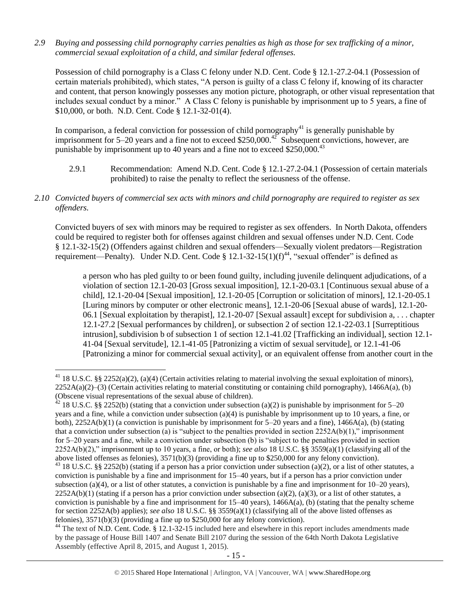*2.9 Buying and possessing child pornography carries penalties as high as those for sex trafficking of a minor, commercial sexual exploitation of a child, and similar federal offenses.*

Possession of child pornography is a Class C felony under N.D. Cent. Code § 12.1-27.2-04.1 (Possession of certain materials prohibited), which states, "A person is guilty of a class C felony if, knowing of its character and content, that person knowingly possesses any motion picture, photograph, or other visual representation that includes sexual conduct by a minor." A Class C felony is punishable by imprisonment up to 5 years, a fine of \$10,000, or both. N.D. Cent. Code § 12.1-32-01(4).

In comparison, a federal conviction for possession of child pornography<sup>41</sup> is generally punishable by imprisonment for 5–20 years and a fine not to exceed \$250,000.<sup>42</sup> Subsequent convictions, however, are punishable by imprisonment up to 40 years and a fine not to exceed \$250,000.<sup>43</sup>

- 2.9.1 Recommendation: Amend N.D. Cent. Code § 12.1-27.2-04.1 (Possession of certain materials prohibited) to raise the penalty to reflect the seriousness of the offense.
- *2.10 Convicted buyers of commercial sex acts with minors and child pornography are required to register as sex offenders.*

Convicted buyers of sex with minors may be required to register as sex offenders. In North Dakota, offenders could be required to register both for offenses against children and sexual offenses under N.D. Cent. Code § 12.1-32-15(2) (Offenders against children and sexual offenders—Sexually violent predators—Registration requirement—Penalty). Under N.D. Cent. Code § 12.1-32-15(1)(f)<sup>44</sup>, "sexual offender" is defined as

<span id="page-14-0"></span>a person who has pled guilty to or been found guilty, including juvenile delinquent adjudications, of a violation of section 12.1-20-03 [Gross sexual imposition], 12.1-20-03.1 [Continuous sexual abuse of a child], 12.1-20-04 [Sexual imposition], 12.1-20-05 [Corruption or solicitation of minors], 12.1-20-05.1 [Luring minors by computer or other electronic means], 12.1-20-06 [Sexual abuse of wards], 12.1-20- 06.1 [Sexual exploitation by therapist], 12.1-20-07 [Sexual assault] except for subdivision a, . . . chapter 12.1-27.2 [Sexual performances by children], or subsection 2 of section 12.1-22-03.1 [Surreptitious intrusion], subdivision b of subsection 1 of section 12.1-41.02 [Trafficking an individual], section 12.1-41-04 [Sexual servitude], 12.1-41-05 [Patronizing a victim of sexual servitude], or 12.1-41-06 [Patronizing a minor for commercial sexual activity], or an equivalent offense from another court in the

<sup>&</sup>lt;sup>41</sup> 18 U.S.C. §§ 2252(a)(2), (a)(4) (Certain activities relating to material involving the sexual exploitation of minors),  $2252A(a)(2)$ –(3) (Certain activities relating to material constituting or containing child pornography), 1466A(a), (b) (Obscene visual representations of the sexual abuse of children).

 $42$  18 U.S.C. §§ 2252(b) (stating that a conviction under subsection (a)(2) is punishable by imprisonment for 5–20 years and a fine, while a conviction under subsection (a)(4) is punishable by imprisonment up to 10 years, a fine, or both), 2252A(b)(1) (a conviction is punishable by imprisonment for 5–20 years and a fine), 1466A(a), (b) (stating that a conviction under subsection (a) is "subject to the penalties provided in section  $2252A(b)(1)$ ," imprisonment for 5–20 years and a fine, while a conviction under subsection (b) is "subject to the penalties provided in section 2252A(b)(2)," imprisonment up to 10 years, a fine, or both); *see also* 18 U.S.C. §§ 3559(a)(1) (classifying all of the above listed offenses as felonies), 3571(b)(3) (providing a fine up to \$250,000 for any felony conviction).

<sup>43 18</sup> U.S.C. §§ 2252(b) (stating if a person has a prior conviction under subsection (a)(2), or a list of other statutes, a conviction is punishable by a fine and imprisonment for 15–40 years, but if a person has a prior conviction under subsection (a)(4), or a list of other statutes, a conviction is punishable by a fine and imprisonment for  $10-20$  years),  $2252A(b)(1)$  (stating if a person has a prior conviction under subsection (a)(2), (a)(3), or a list of other statutes, a conviction is punishable by a fine and imprisonment for  $15-40$  years),  $1466A(a)$ , (b) (stating that the penalty scheme for section 2252A(b) applies); *see also* 18 U.S.C. §§ 3559(a)(1) (classifying all of the above listed offenses as felonies), 3571(b)(3) (providing a fine up to \$250,000 for any felony conviction).

<sup>&</sup>lt;sup>44</sup> The text of N.D. Cent. Code. § 12.1-32-15 included here and elsewhere in this report includes amendments made by the passage of House Bill 1407 and Senate Bill 2107 during the session of the 64th North Dakota Legislative Assembly (effective April 8, 2015, and August 1, 2015).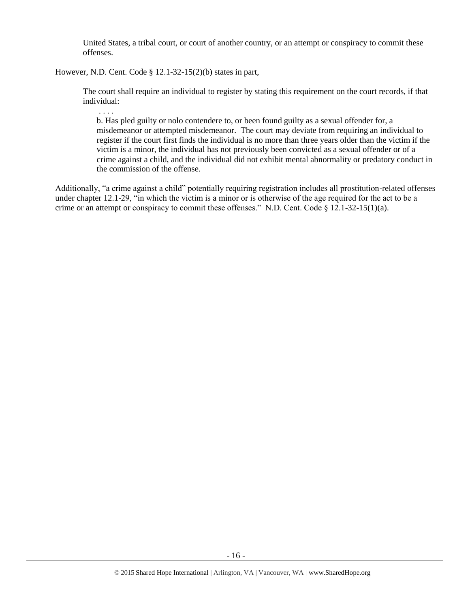United States, a tribal court, or court of another country, or an attempt or conspiracy to commit these offenses.

However, N.D. Cent. Code § 12.1-32-15(2)(b) states in part,

. . . .

The court shall require an individual to register by stating this requirement on the court records, if that individual:

b. Has pled guilty or nolo contendere to, or been found guilty as a sexual offender for, a misdemeanor or attempted misdemeanor. The court may deviate from requiring an individual to register if the court first finds the individual is no more than three years older than the victim if the victim is a minor, the individual has not previously been convicted as a sexual offender or of a crime against a child, and the individual did not exhibit mental abnormality or predatory conduct in the commission of the offense.

Additionally, "a crime against a child" potentially requiring registration includes all prostitution-related offenses under chapter 12.1-29, "in which the victim is a minor or is otherwise of the age required for the act to be a crime or an attempt or conspiracy to commit these offenses." N.D. Cent. Code  $\S$  12.1-32-15(1)(a).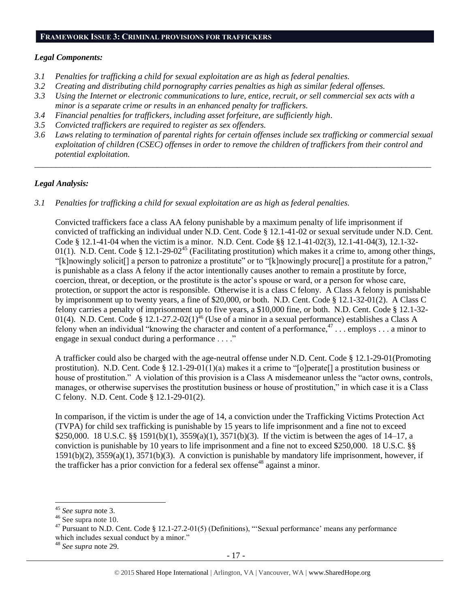#### **FRAMEWORK ISSUE 3: CRIMINAL PROVISIONS FOR TRAFFICKERS**

### *Legal Components:*

- *3.1 Penalties for trafficking a child for sexual exploitation are as high as federal penalties.*
- *3.2 Creating and distributing child pornography carries penalties as high as similar federal offenses.*
- *3.3 Using the Internet or electronic communications to lure, entice, recruit, or sell commercial sex acts with a minor is a separate crime or results in an enhanced penalty for traffickers.*
- *3.4 Financial penalties for traffickers, including asset forfeiture, are sufficiently high*.
- *3.5 Convicted traffickers are required to register as sex offenders.*
- *3.6 Laws relating to termination of parental rights for certain offenses include sex trafficking or commercial sexual exploitation of children (CSEC) offenses in order to remove the children of traffickers from their control and potential exploitation.*

*\_\_\_\_\_\_\_\_\_\_\_\_\_\_\_\_\_\_\_\_\_\_\_\_\_\_\_\_\_\_\_\_\_\_\_\_\_\_\_\_\_\_\_\_\_\_\_\_\_\_\_\_\_\_\_\_\_\_\_\_\_\_\_\_\_\_\_\_\_\_\_\_\_\_\_\_\_\_\_\_\_\_\_\_\_\_\_\_\_\_\_\_\_\_*

### *Legal Analysis:*

*3.1 Penalties for trafficking a child for sexual exploitation are as high as federal penalties.* 

Convicted traffickers face a class AA felony punishable by a maximum penalty of life imprisonment if convicted of trafficking an individual under N.D. Cent. Code § 12.1-41-02 or sexual servitude under N.D. Cent. Code § 12.1-41-04 when the victim is a minor. N.D. Cent. Code §§ 12.1-41-02(3), 12.1-41-04(3), 12.1-32- 01(1). N.D. Cent. Code § 12.1-29-02<sup>45</sup> (Facilitating prostitution) which makes it a crime to, among other things, "[k]nowingly solicit[] a person to patronize a prostitute" or to "[k]nowingly procure[] a prostitute for a patron," is punishable as a class A felony if the actor intentionally causes another to remain a prostitute by force, coercion, threat, or deception, or the prostitute is the actor's spouse or ward, or a person for whose care, protection, or support the actor is responsible. Otherwise it is a class C felony. A Class A felony is punishable by imprisonment up to twenty years, a fine of \$20,000, or both. N.D. Cent. Code § 12.1-32-01(2). A Class C felony carries a penalty of imprisonment up to five years, a \$10,000 fine, or both. N.D. Cent. Code § 12.1-32- 01(4). N.D. Cent. Code § 12.1-27.2-02(1)<sup>46</sup> (Use of a minor in a sexual performance) establishes a Class A felony when an individual "knowing the character and content of a performance, $47$ ... employs ... a minor to engage in sexual conduct during a performance . . . ."

A trafficker could also be charged with the age-neutral offense under N.D. Cent. Code § 12.1-29-01(Promoting prostitution). N.D. Cent. Code § 12.1-29-01(1)(a) makes it a crime to "[o]perate[] a prostitution business or house of prostitution." A violation of this provision is a Class A misdemeanor unless the "actor owns, controls, manages, or otherwise supervises the prostitution business or house of prostitution," in which case it is a Class C felony. N.D. Cent. Code § 12.1-29-01(2).

In comparison, if the victim is under the age of 14, a conviction under the Trafficking Victims Protection Act (TVPA) for child sex trafficking is punishable by 15 years to life imprisonment and a fine not to exceed \$250,000. 18 U.S.C. §§ 1591(b)(1), 3559(a)(1), 3571(b)(3). If the victim is between the ages of 14–17, a conviction is punishable by 10 years to life imprisonment and a fine not to exceed \$250,000. 18 U.S.C. §§ 1591(b)(2), 3559(a)(1), 3571(b)(3). A conviction is punishable by mandatory life imprisonment, however, if the trafficker has a prior conviction for a federal sex offense<sup>48</sup> against a minor.

<sup>45</sup> *See supra* note 3.

<sup>46</sup> See supra note [10.](#page-2-2)

<sup>&</sup>lt;sup>47</sup> Pursuant to N.D. Cent. Code § 12.1-27.2-01(5) (Definitions), "'Sexual performance' means any performance which includes sexual conduct by a minor."

<sup>48</sup> *See supra* note [29.](#page-10-0)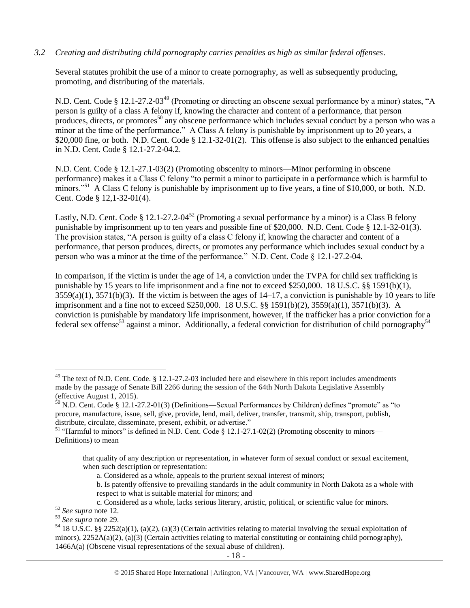## *3.2 Creating and distributing child pornography carries penalties as high as similar federal offenses*.

Several statutes prohibit the use of a minor to create pornography, as well as subsequently producing, promoting, and distributing of the materials.

<span id="page-17-0"></span>N.D. Cent. Code § 12.1-27.2-03<sup>49</sup> (Promoting or directing an obscene sexual performance by a minor) states, "A person is guilty of a class A felony if, knowing the character and content of a performance, that person produces, directs, or promotes<sup>50</sup> any obscene performance which includes sexual conduct by a person who was a minor at the time of the performance." A Class A felony is punishable by imprisonment up to 20 years, a \$20,000 fine, or both. N.D. Cent. Code § 12.1-32-01(2). This offense is also subject to the enhanced penalties in N.D. Cent. Code § 12.1-27.2-04.2.

N.D. Cent. Code § 12.1-27.1-03(2) (Promoting obscenity to minors—Minor performing in obscene performance) makes it a Class C felony "to permit a minor to participate in a performance which is harmful to minors."<sup>51</sup> A Class C felony is punishable by imprisonment up to five years, a fine of \$10,000, or both. N.D. Cent. Code § 12,1-32-01(4).

Lastly, N.D. Cent. Code § 12.1-27.2-04<sup>52</sup> (Promoting a sexual performance by a minor) is a Class B felony punishable by imprisonment up to ten years and possible fine of \$20,000. N.D. Cent. Code § 12.1-32-01(3). The provision states, "A person is guilty of a class C felony if, knowing the character and content of a performance, that person produces, directs, or promotes any performance which includes sexual conduct by a person who was a minor at the time of the performance." N.D. Cent. Code § 12.1-27.2-04.

In comparison, if the victim is under the age of 14, a conviction under the TVPA for child sex trafficking is punishable by 15 years to life imprisonment and a fine not to exceed \$250,000. 18 U.S.C. §§ 1591(b)(1),  $3559(a)(1)$ ,  $3571(b)(3)$ . If the victim is between the ages of  $14-17$ , a conviction is punishable by 10 years to life imprisonment and a fine not to exceed \$250,000. 18 U.S.C. §§ 1591(b)(2), 3559(a)(1), 3571(b)(3). A conviction is punishable by mandatory life imprisonment, however, if the trafficker has a prior conviction for a federal sex offense<sup>53</sup> against a minor. Additionally, a federal conviction for distribution of child pornography<sup>54</sup>

<sup>&</sup>lt;sup>49</sup> The text of N.D. Cent. Code. § 12.1-27.2-03 included here and elsewhere in this report includes amendments made by the passage of Senate Bill 2266 during the session of the 64th North Dakota Legislative Assembly (effective August 1, 2015).

 $50$  N.D. Cent. Code § 12.1-27.2-01(3) (Definitions—Sexual Performances by Children) defines "promote" as "to procure, manufacture, issue, sell, give, provide, lend, mail, deliver, transfer, transmit, ship, transport, publish, distribute, circulate, disseminate, present, exhibit, or advertise."

<sup>&</sup>lt;sup>51</sup> "Harmful to minors" is defined in N.D. Cent. Code § 12.1-27.1-02(2) (Promoting obscenity to minors— Definitions) to mean

that quality of any description or representation, in whatever form of sexual conduct or sexual excitement, when such description or representation:

a. Considered as a whole, appeals to the prurient sexual interest of minors;

b. Is patently offensive to prevailing standards in the adult community in North Dakota as a whole with respect to what is suitable material for minors; and

c. Considered as a whole, lacks serious literary, artistic, political, or scientific value for minors.

<sup>52</sup> *See supra* note [12.](#page-3-0)

<sup>53</sup> *See supra* note [29.](#page-10-0) 

 $54$  18 U.S.C. §§ 2252(a)(1), (a)(2), (a)(3) (Certain activities relating to material involving the sexual exploitation of minors),  $2252A(a)(2)$ ,  $(a)(3)$  (Certain activities relating to material constituting or containing child pornography), 1466A(a) (Obscene visual representations of the sexual abuse of children).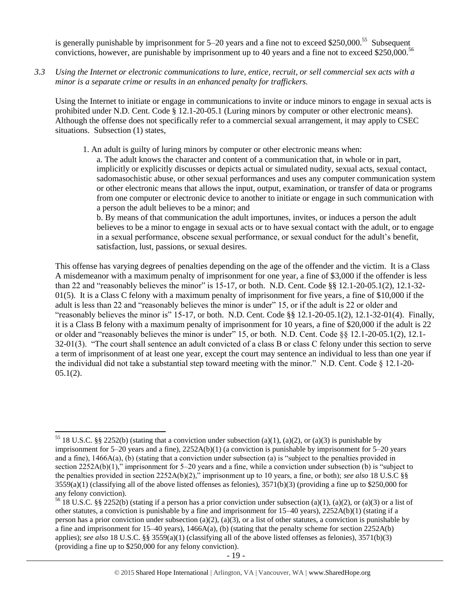is generally punishable by imprisonment for 5–20 years and a fine not to exceed \$250,000.<sup>55</sup> Subsequent convictions, however, are punishable by imprisonment up to 40 years and a fine not to exceed \$250,000.<sup>56</sup>

*3.3 Using the Internet or electronic communications to lure, entice, recruit, or sell commercial sex acts with a minor is a separate crime or results in an enhanced penalty for traffickers.*

Using the Internet to initiate or engage in communications to invite or induce minors to engage in sexual acts is prohibited under N.D. Cent. Code § 12.1-20-05.1 (Luring minors by computer or other electronic means). Although the offense does not specifically refer to a commercial sexual arrangement, it may apply to CSEC situations. Subsection (1) states,

1. An adult is guilty of luring minors by computer or other electronic means when:

a. The adult knows the character and content of a communication that, in whole or in part, implicitly or explicitly discusses or depicts actual or simulated nudity, sexual acts, sexual contact, sadomasochistic abuse, or other sexual performances and uses any computer communication system or other electronic means that allows the input, output, examination, or transfer of data or programs from one computer or electronic device to another to initiate or engage in such communication with a person the adult believes to be a minor; and

b. By means of that communication the adult importunes, invites, or induces a person the adult believes to be a minor to engage in sexual acts or to have sexual contact with the adult, or to engage in a sexual performance, obscene sexual performance, or sexual conduct for the adult's benefit, satisfaction, lust, passions, or sexual desires.

This offense has varying degrees of penalties depending on the age of the offender and the victim. It is a Class A misdemeanor with a maximum penalty of imprisonment for one year, a fine of \$3,000 if the offender is less than 22 and "reasonably believes the minor" is 15-17, or both. N.D. Cent. Code §§ 12.1-20-05.1(2), 12.1-32- 01(5). It is a Class C felony with a maximum penalty of imprisonment for five years, a fine of \$10,000 if the adult is less than 22 and "reasonably believes the minor is under" 15, or if the adult is 22 or older and "reasonably believes the minor is"  $15-17$ , or both. N.D. Cent. Code §§  $12.1-20-05.1(2)$ ,  $12.1-32-01(4)$ . Finally, it is a Class B felony with a maximum penalty of imprisonment for 10 years, a fine of \$20,000 if the adult is 22 or older and "reasonably believes the minor is under" 15, or both. N.D. Cent. Code §§ 12.1-20-05.1(2), 12.1- 32-01(3). "The court shall sentence an adult convicted of a class B or class C felony under this section to serve a term of imprisonment of at least one year, except the court may sentence an individual to less than one year if the individual did not take a substantial step toward meeting with the minor." N.D. Cent. Code  $\S$  12.1-20- $05.1(2)$ .

 $\overline{\phantom{a}}$ <sup>55</sup> 18 U.S.C. §§ 2252(b) (stating that a conviction under subsection (a)(1), (a)(2), or (a)(3) is punishable by imprisonment for 5–20 years and a fine), 2252A(b)(1) (a conviction is punishable by imprisonment for 5–20 years and a fine), 1466A(a), (b) (stating that a conviction under subsection (a) is "subject to the penalties provided in section 2252A(b)(1)," imprisonment for 5–20 years and a fine, while a conviction under subsection (b) is "subject to the penalties provided in section 2252A(b)(2)," imprisonment up to 10 years, a fine, or both); *see also* 18 U.S.C §§  $3559(a)(1)$  (classifying all of the above listed offenses as felonies),  $3571(b)(3)$  (providing a fine up to \$250,000 for any felony conviction).

<sup>&</sup>lt;sup>56</sup> 18 U.S.C. §§ 2252(b) (stating if a person has a prior conviction under subsection (a)(1), (a)(2), or (a)(3) or a list of other statutes, a conviction is punishable by a fine and imprisonment for 15–40 years), 2252A(b)(1) (stating if a person has a prior conviction under subsection (a)(2), (a)(3), or a list of other statutes, a conviction is punishable by a fine and imprisonment for  $15-40$  years),  $1466A(a)$ , (b) (stating that the penalty scheme for section  $2252A(b)$ applies); *see also* 18 U.S.C. §§ 3559(a)(1) (classifying all of the above listed offenses as felonies), 3571(b)(3) (providing a fine up to \$250,000 for any felony conviction).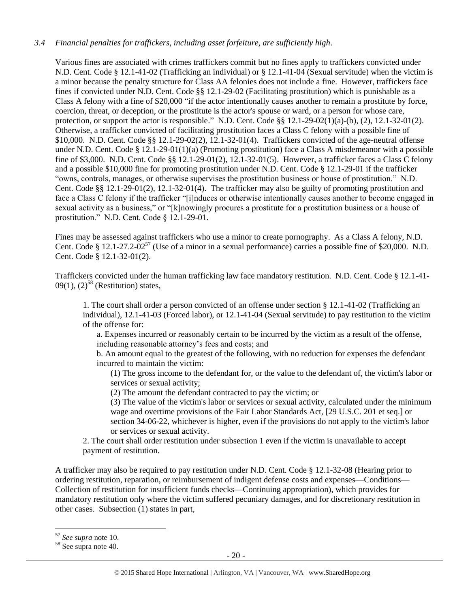## *3.4 Financial penalties for traffickers, including asset forfeiture, are sufficiently high*.

Various fines are associated with crimes traffickers commit but no fines apply to traffickers convicted under N.D. Cent. Code § 12.1-41-02 (Trafficking an individual) or § 12.1-41-04 (Sexual servitude) when the victim is a minor because the penalty structure for Class AA felonies does not include a fine. However, traffickers face fines if convicted under N.D. Cent. Code §§ 12.1-29-02 (Facilitating prostitution) which is punishable as a Class A felony with a fine of \$20,000 "if the actor intentionally causes another to remain a prostitute by force, coercion, threat, or deception, or the prostitute is the actor's spouse or ward, or a person for whose care, protection, or support the actor is responsible." N.D. Cent. Code §§ 12.1-29-02(1)(a)-(b), (2), 12.1-32-01(2). Otherwise, a trafficker convicted of facilitating prostitution faces a Class C felony with a possible fine of \$10,000. N.D. Cent. Code §§ 12.1-29-02(2), 12.1-32-01(4). Traffickers convicted of the age-neutral offense under N.D. Cent. Code § 12.1-29-01(1)(a) (Promoting prostitution) face a Class A misdemeanor with a possible fine of \$3,000. N.D. Cent. Code §§ 12.1-29-01(2), 12.1-32-01(5). However, a trafficker faces a Class C felony and a possible \$10,000 fine for promoting prostitution under N.D. Cent. Code § 12.1-29-01 if the trafficker "owns, controls, manages, or otherwise supervises the prostitution business or house of prostitution." N.D. Cent. Code §§ 12.1-29-01(2), 12.1-32-01(4). The trafficker may also be guilty of promoting prostitution and face a Class C felony if the trafficker "[i]nduces or otherwise intentionally causes another to become engaged in sexual activity as a business," or "[k]nowingly procures a prostitute for a prostitution business or a house of prostitution." N.D. Cent. Code § 12.1-29-01.

Fines may be assessed against traffickers who use a minor to create pornography. As a Class A felony, N.D. Cent. Code § 12.1-27.2-02<sup>57</sup> (Use of a minor in a sexual performance) carries a possible fine of \$20,000. N.D. Cent. Code § 12.1-32-01(2).

Traffickers convicted under the human trafficking law face mandatory restitution. N.D. Cent. Code § 12.1-41- 09(1),  $(2)^{58}$  (Restitution) states,

1. The court shall order a person convicted of an offense under section § 12.1-41-02 (Trafficking an individual), 12.1-41-03 (Forced labor), or 12.1-41-04 (Sexual servitude) to pay restitution to the victim of the offense for:

a. Expenses incurred or reasonably certain to be incurred by the victim as a result of the offense, including reasonable attorney's fees and costs; and

b. An amount equal to the greatest of the following, with no reduction for expenses the defendant incurred to maintain the victim:

(1) The gross income to the defendant for, or the value to the defendant of, the victim's labor or services or sexual activity;

(2) The amount the defendant contracted to pay the victim; or

(3) The value of the victim's labor or services or sexual activity, calculated under the minimum wage and overtime provisions of the Fair Labor Standards Act, [29 U.S.C. 201 et seq.] or section 34-06-22, whichever is higher, even if the provisions do not apply to the victim's labor or services or sexual activity.

2. The court shall order restitution under subsection 1 even if the victim is unavailable to accept payment of restitution.

A trafficker may also be required to pay restitution under N.D. Cent. Code § 12.1-32-08 (Hearing prior to ordering restitution, reparation, or reimbursement of indigent defense costs and expenses—Conditions— Collection of restitution for insufficient funds checks—Continuing appropriation), which provides for mandatory restitution only where the victim suffered pecuniary damages, and for discretionary restitution in other cases. Subsection (1) states in part,

<sup>57</sup> *See supra* note [10.](#page-2-3)

<sup>58</sup> See supra note [40.](#page-13-0)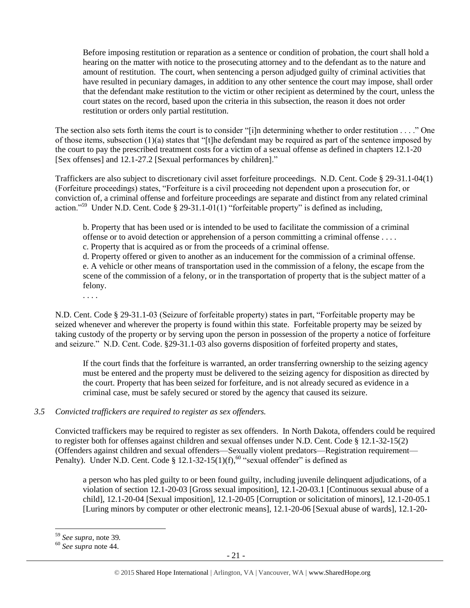Before imposing restitution or reparation as a sentence or condition of probation, the court shall hold a hearing on the matter with notice to the prosecuting attorney and to the defendant as to the nature and amount of restitution. The court, when sentencing a person adjudged guilty of criminal activities that have resulted in pecuniary damages, in addition to any other sentence the court may impose, shall order that the defendant make restitution to the victim or other recipient as determined by the court, unless the court states on the record, based upon the criteria in this subsection, the reason it does not order restitution or orders only partial restitution.

The section also sets forth items the court is to consider "[i]n determining whether to order restitution . . . ." One of those items, subsection  $(1)(a)$  states that "[t]he defendant may be required as part of the sentence imposed by the court to pay the prescribed treatment costs for a victim of a sexual offense as defined in chapters 12.1-20 [Sex offenses] and 12.1-27.2 [Sexual performances by children]."

Traffickers are also subject to discretionary civil asset forfeiture proceedings. N.D. Cent. Code § 29-31.1-04(1) (Forfeiture proceedings) states, "Forfeiture is a civil proceeding not dependent upon a prosecution for, or conviction of, a criminal offense and forfeiture proceedings are separate and distinct from any related criminal action."<sup>59</sup> Under N.D. Cent. Code § 29-31.1-01(1) "forfeitable property" is defined as including,

b. Property that has been used or is intended to be used to facilitate the commission of a criminal offense or to avoid detection or apprehension of a person committing a criminal offense . . . . c. Property that is acquired as or from the proceeds of a criminal offense.

d. Property offered or given to another as an inducement for the commission of a criminal offense. e. A vehicle or other means of transportation used in the commission of a felony, the escape from the scene of the commission of a felony, or in the transportation of property that is the subject matter of a

felony. . . . .

N.D. Cent. Code § 29-31.1-03 (Seizure of forfeitable property) states in part, "Forfeitable property may be seized whenever and wherever the property is found within this state. Forfeitable property may be seized by taking custody of the property or by serving upon the person in possession of the property a notice of forfeiture and seizure." N.D. Cent. Code. §29-31.1-03 also governs disposition of forfeited property and states,

If the court finds that the forfeiture is warranted, an order transferring ownership to the seizing agency must be entered and the property must be delivered to the seizing agency for disposition as directed by the court. Property that has been seized for forfeiture, and is not already secured as evidence in a criminal case, must be safely secured or stored by the agency that caused its seizure.

# *3.5 Convicted traffickers are required to register as sex offenders.*

Convicted traffickers may be required to register as sex offenders. In North Dakota, offenders could be required to register both for offenses against children and sexual offenses under N.D. Cent. Code § 12.1-32-15(2) (Offenders against children and sexual offenders—Sexually violent predators—Registration requirement— Penalty). Under N.D. Cent. Code § 12.1-32-15(1)(f),<sup>60</sup> "sexual offender" is defined as

a person who has pled guilty to or been found guilty, including juvenile delinquent adjudications, of a violation of section 12.1-20-03 [Gross sexual imposition], 12.1-20-03.1 [Continuous sexual abuse of a child], 12.1-20-04 [Sexual imposition], 12.1-20-05 [Corruption or solicitation of minors], 12.1-20-05.1 [Luring minors by computer or other electronic means], 12.1-20-06 [Sexual abuse of wards], 12.1-20-

<sup>59</sup> *See supra*, note [39](#page-12-0)*.*

<sup>60</sup> *See supra* note [44.](#page-14-0)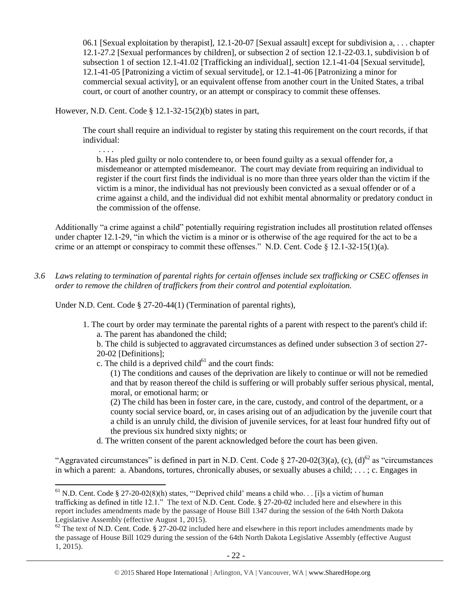06.1 [Sexual exploitation by therapist], 12.1-20-07 [Sexual assault] except for subdivision a, . . . chapter 12.1-27.2 [Sexual performances by children], or subsection 2 of section 12.1-22-03.1, subdivision b of subsection 1 of section 12.1-41.02 [Trafficking an individual], section 12.1-41-04 [Sexual servitude], 12.1-41-05 [Patronizing a victim of sexual servitude], or 12.1-41-06 [Patronizing a minor for commercial sexual activity], or an equivalent offense from another court in the United States, a tribal court, or court of another country, or an attempt or conspiracy to commit these offenses.

However, N.D. Cent. Code § 12.1-32-15(2)(b) states in part,

. . . .

 $\overline{\phantom{a}}$ 

The court shall require an individual to register by stating this requirement on the court records, if that individual:

b. Has pled guilty or nolo contendere to, or been found guilty as a sexual offender for, a misdemeanor or attempted misdemeanor. The court may deviate from requiring an individual to register if the court first finds the individual is no more than three years older than the victim if the victim is a minor, the individual has not previously been convicted as a sexual offender or of a crime against a child, and the individual did not exhibit mental abnormality or predatory conduct in the commission of the offense.

Additionally "a crime against a child" potentially requiring registration includes all prostitution related offenses under chapter 12.1-29, "in which the victim is a minor or is otherwise of the age required for the act to be a crime or an attempt or conspiracy to commit these offenses." N.D. Cent. Code § 12.1-32-15(1)(a).

*3.6 Laws relating to termination of parental rights for certain offenses include sex trafficking or CSEC offenses in order to remove the children of traffickers from their control and potential exploitation.* 

Under N.D. Cent. Code § 27-20-44(1) (Termination of parental rights),

1. The court by order may terminate the parental rights of a parent with respect to the parent's child if: a. The parent has abandoned the child;

b. The child is subjected to aggravated circumstances as defined under subsection 3 of section 27- 20-02 [Definitions];

c. The child is a deprived child $<sup>61</sup>$  and the court finds:</sup>

(1) The conditions and causes of the deprivation are likely to continue or will not be remedied and that by reason thereof the child is suffering or will probably suffer serious physical, mental, moral, or emotional harm; or

(2) The child has been in foster care, in the care, custody, and control of the department, or a county social service board, or, in cases arising out of an adjudication by the juvenile court that a child is an unruly child, the division of juvenile services, for at least four hundred fifty out of the previous six hundred sixty nights; or

d. The written consent of the parent acknowledged before the court has been given.

"Aggravated circumstances" is defined in part in N.D. Cent. Code  $\S 27-20-02(3)(a)$ , (c), (d)<sup>62</sup> as "circumstances" in which a parent: a. Abandons, tortures, chronically abuses, or sexually abuses a child; . . . ; c. Engages in

<sup>&</sup>lt;sup>61</sup> N.D. Cent. Code § 27-20-02(8)(h) states, "Deprived child' means a child who. . . [i]s a victim of human trafficking as defined in title 12.1." The text of N.D. Cent. Code. § 27-20-02 included here and elsewhere in this report includes amendments made by the passage of House Bill 1347 during the session of the 64th North Dakota Legislative Assembly (effective August 1, 2015).

 $62$  The text of N.D. Cent. Code. § 27-20-02 included here and elsewhere in this report includes amendments made by the passage of House Bill 1029 during the session of the 64th North Dakota Legislative Assembly (effective August 1, 2015).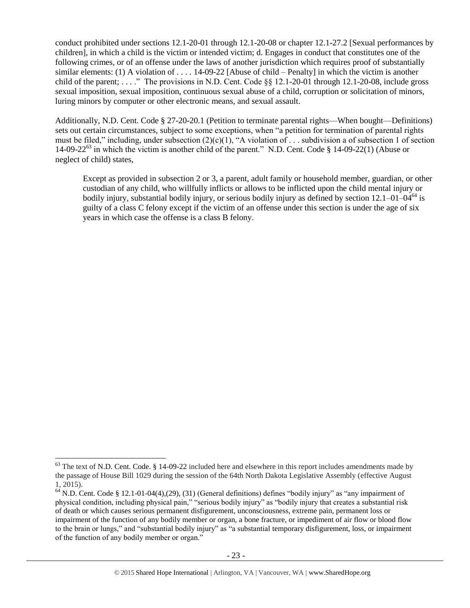conduct prohibited under sections 12.1-20-01 through 12.1-20-08 or chapter 12.1-27.2 [Sexual performances by children], in which a child is the victim or intended victim; d. Engages in conduct that constitutes one of the following crimes, or of an offense under the laws of another jurisdiction which requires proof of substantially similar elements: (1) A violation of . . . . 14-09-22 [Abuse of child – Penalty] in which the victim is another child of the parent; ...." The provisions in N.D. Cent. Code  $\S$ § 12.1-20-01 through 12.1-20-08, include gross sexual imposition, sexual imposition, continuous sexual abuse of a child, corruption or solicitation of minors, luring minors by computer or other electronic means, and sexual assault.

Additionally, N.D. Cent. Code § 27-20-20.1 (Petition to terminate parental rights—When bought—Definitions) sets out certain circumstances, subject to some exceptions, when "a petition for termination of parental rights must be filed," including, under subsection  $(2)(c)(1)$ , "A violation of ... subdivision a of subsection 1 of section 14-09-22<sup>63</sup> in which the victim is another child of the parent." N.D. Cent. Code § 14-09-22(1) (Abuse or neglect of child) states,

Except as provided in subsection 2 or 3, a parent, adult family or household member, guardian, or other custodian of any child, who willfully inflicts or allows to be inflicted upon the child mental injury or bodily injury, substantial bodily injury, or serious bodily injury as defined by section  $12.1-01-04^{64}$  is guilty of a class C felony except if the victim of an offense under this section is under the age of six years in which case the offense is a class B felony.

l

 $63$  The text of N.D. Cent. Code. § 14-09-22 included here and elsewhere in this report includes amendments made by the passage of House Bill 1029 during the session of the 64th North Dakota Legislative Assembly (effective August 1, 2015).

 $64$  N.D. Cent. Code § 12.1-01-04(4),(29), (31) (General definitions) defines "bodily injury" as "any impairment of physical condition, including physical pain," "serious bodily injury" as "bodily injury that creates a substantial risk of death or which causes serious permanent disfigurement, unconsciousness, extreme pain, permanent loss or impairment of the function of any bodily member or organ, a bone fracture, or impediment of air flow or blood flow to the brain or lungs," and "substantial bodily injury" as "a substantial temporary disfigurement, loss, or impairment of the function of any bodily member or organ."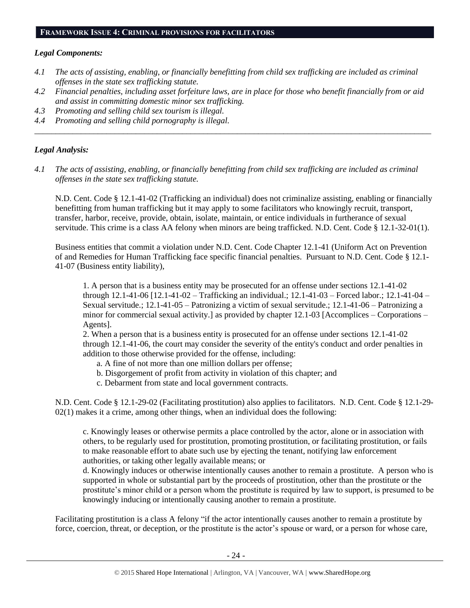## **FRAMEWORK ISSUE 4: CRIMINAL PROVISIONS FOR FACILITATORS**

## *Legal Components:*

- *4.1 The acts of assisting, enabling, or financially benefitting from child sex trafficking are included as criminal offenses in the state sex trafficking statute.*
- *4.2 Financial penalties, including asset forfeiture laws, are in place for those who benefit financially from or aid and assist in committing domestic minor sex trafficking.*

*\_\_\_\_\_\_\_\_\_\_\_\_\_\_\_\_\_\_\_\_\_\_\_\_\_\_\_\_\_\_\_\_\_\_\_\_\_\_\_\_\_\_\_\_\_\_\_\_\_\_\_\_\_\_\_\_\_\_\_\_\_\_\_\_\_\_\_\_\_\_\_\_\_\_\_\_\_\_\_\_\_\_\_\_\_\_\_\_\_\_\_\_\_\_*

- *4.3 Promoting and selling child sex tourism is illegal.*
- *4.4 Promoting and selling child pornography is illegal.*

## *Legal Analysis:*

*4.1 The acts of assisting, enabling, or financially benefitting from child sex trafficking are included as criminal offenses in the state sex trafficking statute.*

N.D. Cent. Code § 12.1-41-02 (Trafficking an individual) does not criminalize assisting, enabling or financially benefitting from human trafficking but it may apply to some facilitators who knowingly recruit, transport, transfer, harbor, receive, provide, obtain, isolate, maintain, or entice individuals in furtherance of sexual servitude. This crime is a class AA felony when minors are being trafficked. N.D. Cent. Code § 12.1-32-01(1).

Business entities that commit a violation under N.D. Cent. Code Chapter 12.1-41 (Uniform Act on Prevention of and Remedies for Human Trafficking face specific financial penalties. Pursuant to N.D. Cent. Code § 12.1- 41-07 (Business entity liability),

1. A person that is a business entity may be prosecuted for an offense under sections 12.1-41-02 through 12.1-41-06 [12.1-41-02 – Trafficking an individual.; 12.1-41-03 – Forced labor.; 12.1-41-04 – Sexual servitude.; 12.1-41-05 – Patronizing a victim of sexual servitude.; 12.1-41-06 – Patronizing a minor for commercial sexual activity.] as provided by chapter 12.1-03 [Accomplices – Corporations – Agents].

2. When a person that is a business entity is prosecuted for an offense under sections 12.1-41-02 through 12.1-41-06, the court may consider the severity of the entity's conduct and order penalties in addition to those otherwise provided for the offense, including:

- a. A fine of not more than one million dollars per offense;
- b. Disgorgement of profit from activity in violation of this chapter; and
- c. Debarment from state and local government contracts.

N.D. Cent. Code § 12.1-29-02 (Facilitating prostitution) also applies to facilitators. N.D. Cent. Code § 12.1-29-  $02(1)$  makes it a crime, among other things, when an individual does the following:

c. Knowingly leases or otherwise permits a place controlled by the actor, alone or in association with others, to be regularly used for prostitution, promoting prostitution, or facilitating prostitution, or fails to make reasonable effort to abate such use by ejecting the tenant, notifying law enforcement authorities, or taking other legally available means; or

d. Knowingly induces or otherwise intentionally causes another to remain a prostitute. A person who is supported in whole or substantial part by the proceeds of prostitution, other than the prostitute or the prostitute's minor child or a person whom the prostitute is required by law to support, is presumed to be knowingly inducing or intentionally causing another to remain a prostitute.

Facilitating prostitution is a class A felony "if the actor intentionally causes another to remain a prostitute by force, coercion, threat, or deception, or the prostitute is the actor's spouse or ward, or a person for whose care,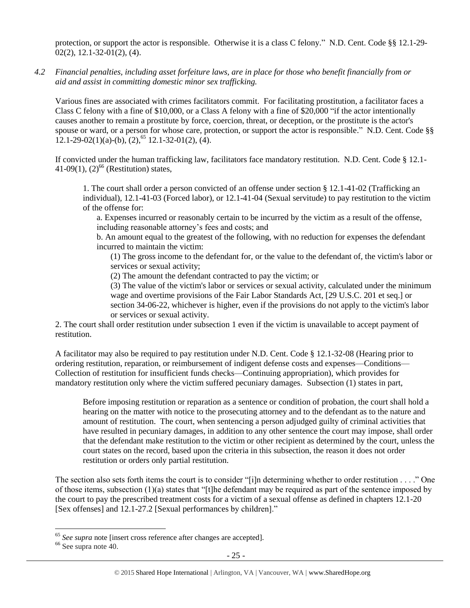protection, or support the actor is responsible. Otherwise it is a class C felony." N.D. Cent. Code §§ 12.1-29-  $02(2)$ , 12.1-32-01(2), (4).

*4.2 Financial penalties, including asset forfeiture laws, are in place for those who benefit financially from or aid and assist in committing domestic minor sex trafficking.*

Various fines are associated with crimes facilitators commit. For facilitating prostitution, a facilitator faces a Class C felony with a fine of \$10,000, or a Class A felony with a fine of \$20,000 "if the actor intentionally causes another to remain a prostitute by force, coercion, threat, or deception, or the prostitute is the actor's spouse or ward, or a person for whose care, protection, or support the actor is responsible." N.D. Cent. Code §§  $12.1-29-02(1)(a)-(b), (2),<sup>65</sup>12.1-32-01(2), (4).$ 

If convicted under the human trafficking law, facilitators face mandatory restitution. N.D. Cent. Code § 12.1- 41-09(1),  $(2)^{66}$  (Restitution) states,

1. The court shall order a person convicted of an offense under section § 12.1-41-02 (Trafficking an individual), 12.1-41-03 (Forced labor), or 12.1-41-04 (Sexual servitude) to pay restitution to the victim of the offense for:

a. Expenses incurred or reasonably certain to be incurred by the victim as a result of the offense, including reasonable attorney's fees and costs; and

b. An amount equal to the greatest of the following, with no reduction for expenses the defendant incurred to maintain the victim:

(1) The gross income to the defendant for, or the value to the defendant of, the victim's labor or services or sexual activity;

(2) The amount the defendant contracted to pay the victim; or

(3) The value of the victim's labor or services or sexual activity, calculated under the minimum wage and overtime provisions of the Fair Labor Standards Act, [29 U.S.C. 201 et seq.] or section 34-06-22, whichever is higher, even if the provisions do not apply to the victim's labor or services or sexual activity.

2. The court shall order restitution under subsection 1 even if the victim is unavailable to accept payment of restitution.

A facilitator may also be required to pay restitution under N.D. Cent. Code § 12.1-32-08 (Hearing prior to ordering restitution, reparation, or reimbursement of indigent defense costs and expenses—Conditions— Collection of restitution for insufficient funds checks—Continuing appropriation), which provides for mandatory restitution only where the victim suffered pecuniary damages. Subsection (1) states in part,

Before imposing restitution or reparation as a sentence or condition of probation, the court shall hold a hearing on the matter with notice to the prosecuting attorney and to the defendant as to the nature and amount of restitution. The court, when sentencing a person adjudged guilty of criminal activities that have resulted in pecuniary damages, in addition to any other sentence the court may impose, shall order that the defendant make restitution to the victim or other recipient as determined by the court, unless the court states on the record, based upon the criteria in this subsection, the reason it does not order restitution or orders only partial restitution.

The section also sets forth items the court is to consider "[i]n determining whether to order restitution . . . ." One of those items, subsection (1)(a) states that "[t]he defendant may be required as part of the sentence imposed by the court to pay the prescribed treatment costs for a victim of a sexual offense as defined in chapters 12.1-20 [Sex offenses] and 12.1-27.2 [Sexual performances by children]."

<sup>&</sup>lt;sup>65</sup> See supra note [insert cross reference after changes are accepted].

<sup>66</sup> See supra note [40.](#page-13-0)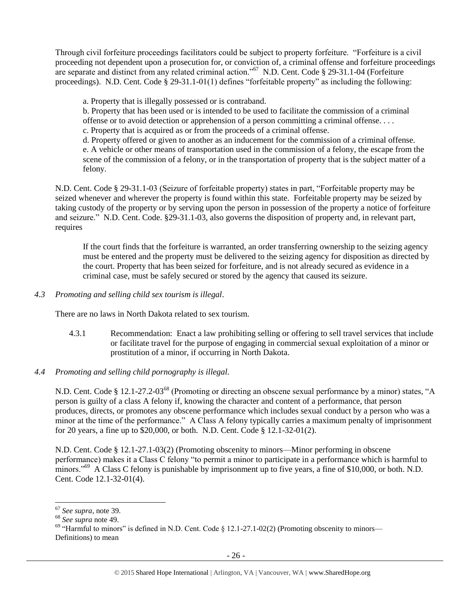Through civil forfeiture proceedings facilitators could be subject to property forfeiture. "Forfeiture is a civil proceeding not dependent upon a prosecution for, or conviction of, a criminal offense and forfeiture proceedings are separate and distinct from any related criminal action."<sup>67</sup> N.D. Cent. Code § 29-31.1-04 (Forfeiture proceedings). N.D. Cent. Code § 29-31.1-01(1) defines "forfeitable property" as including the following:

a. Property that is illegally possessed or is contraband.

b. Property that has been used or is intended to be used to facilitate the commission of a criminal offense or to avoid detection or apprehension of a person committing a criminal offense. . . .

c. Property that is acquired as or from the proceeds of a criminal offense.

d. Property offered or given to another as an inducement for the commission of a criminal offense. e. A vehicle or other means of transportation used in the commission of a felony, the escape from the scene of the commission of a felony, or in the transportation of property that is the subject matter of a felony.

N.D. Cent. Code § 29-31.1-03 (Seizure of forfeitable property) states in part, "Forfeitable property may be seized whenever and wherever the property is found within this state. Forfeitable property may be seized by taking custody of the property or by serving upon the person in possession of the property a notice of forfeiture and seizure." N.D. Cent. Code. §29-31.1-03, also governs the disposition of property and, in relevant part, requires

If the court finds that the forfeiture is warranted, an order transferring ownership to the seizing agency must be entered and the property must be delivered to the seizing agency for disposition as directed by the court. Property that has been seized for forfeiture, and is not already secured as evidence in a criminal case, must be safely secured or stored by the agency that caused its seizure.

*4.3 Promoting and selling child sex tourism is illegal*.

There are no laws in North Dakota related to sex tourism.

- 4.3.1 Recommendation: Enact a law prohibiting selling or offering to sell travel services that include or facilitate travel for the purpose of engaging in commercial sexual exploitation of a minor or prostitution of a minor, if occurring in North Dakota.
- *4.4 Promoting and selling child pornography is illegal.*

N.D. Cent. Code § 12.1-27.2-03<sup>68</sup> (Promoting or directing an obscene sexual performance by a minor) states, "A person is guilty of a class A felony if, knowing the character and content of a performance, that person produces, directs, or promotes any obscene performance which includes sexual conduct by a person who was a minor at the time of the performance." A Class A felony typically carries a maximum penalty of imprisonment for 20 years, a fine up to \$20,000, or both. N.D. Cent. Code § 12.1-32-01(2).

N.D. Cent. Code § 12.1-27.1-03(2) (Promoting obscenity to minors—Minor performing in obscene performance) makes it a Class C felony "to permit a minor to participate in a performance which is harmful to minors."<sup>69</sup> A Class C felony is punishable by imprisonment up to five years, a fine of \$10,000, or both. N.D. Cent. Code 12.1-32-01(4).

<sup>67</sup> *See supra*, note [39.](#page-12-0)

<sup>68</sup> *See supra* note [49.](#page-17-0)

 $69$  "Harmful to minors" is defined in N.D. Cent. Code § 12.1-27.1-02(2) (Promoting obscenity to minors— Definitions) to mean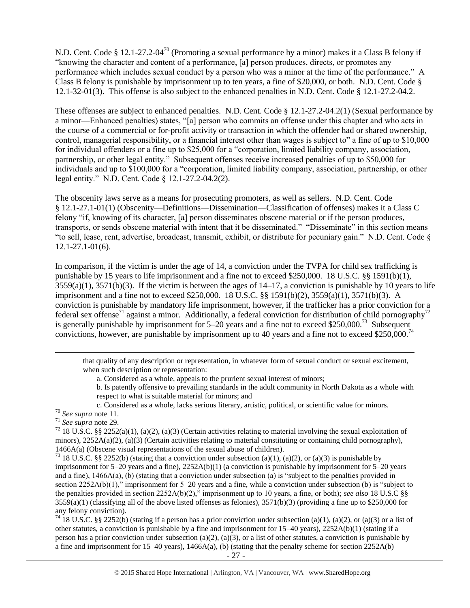N.D. Cent. Code § 12.1-27.2-04<sup>70</sup> (Promoting a sexual performance by a minor) makes it a Class B felony if "knowing the character and content of a performance, [a] person produces, directs, or promotes any performance which includes sexual conduct by a person who was a minor at the time of the performance." A Class B felony is punishable by imprisonment up to ten years, a fine of \$20,000, or both. N.D. Cent. Code § 12.1-32-01(3). This offense is also subject to the enhanced penalties in N.D. Cent. Code § 12.1-27.2-04.2.

These offenses are subject to enhanced penalties. N.D. Cent. Code § 12.1-27.2-04.2(1) (Sexual performance by a minor—Enhanced penalties) states, "[a] person who commits an offense under this chapter and who acts in the course of a commercial or for-profit activity or transaction in which the offender had or shared ownership, control, managerial responsibility, or a financial interest other than wages is subject to" a fine of up to \$10,000 for individual offenders or a fine up to \$25,000 for a "corporation, limited liability company, association, partnership, or other legal entity." Subsequent offenses receive increased penalties of up to \$50,000 for individuals and up to \$100,000 for a "corporation, limited liability company, association, partnership, or other legal entity." N.D. Cent. Code § 12.1-27.2-04.2(2).

The obscenity laws serve as a means for prosecuting promoters, as well as sellers. N.D. Cent. Code § 12.1-27.1-01(1) (Obscenity—Definitions—Dissemination—Classification of offenses) makes it a Class C felony "if, knowing of its character, [a] person disseminates obscene material or if the person produces, transports, or sends obscene material with intent that it be disseminated." "Disseminate" in this section means "to sell, lease, rent, advertise, broadcast, transmit, exhibit, or distribute for pecuniary gain." N.D. Cent. Code § 12.1-27.1-01(6).

In comparison, if the victim is under the age of 14, a conviction under the TVPA for child sex trafficking is punishable by 15 years to life imprisonment and a fine not to exceed \$250,000. 18 U.S.C. §§ 1591(b)(1),  $3559(a)(1)$ ,  $3571(b)(3)$ . If the victim is between the ages of  $14-17$ , a conviction is punishable by 10 years to life imprisonment and a fine not to exceed \$250,000. 18 U.S.C. §§ 1591(b)(2), 3559(a)(1), 3571(b)(3). A conviction is punishable by mandatory life imprisonment, however, if the trafficker has a prior conviction for a federal sex offense<sup>71</sup> against a minor. Additionally, a federal conviction for distribution of child pornography<sup>72</sup> is generally punishable by imprisonment for  $5-20$  years and a fine not to exceed \$250,000.<sup>73</sup> Subsequent convictions, however, are punishable by imprisonment up to 40 years and a fine not to exceed \$250,000.<sup>74</sup>

that quality of any description or representation, in whatever form of sexual conduct or sexual excitement, when such description or representation:

a. Considered as a whole, appeals to the prurient sexual interest of minors;

b. Is patently offensive to prevailing standards in the adult community in North Dakota as a whole with respect to what is suitable material for minors; and

c. Considered as a whole, lacks serious literary, artistic, political, or scientific value for minors.

l

<sup>71</sup> *See supra* note [29.](#page-10-0) 

<sup>72</sup> 18 U.S.C. §§ 2252(a)(1), (a)(2), (a)(3) (Certain activities relating to material involving the sexual exploitation of minors),  $2252A(a)(2)$ , (a)(3) (Certain activities relating to material constituting or containing child pornography), 1466A(a) (Obscene visual representations of the sexual abuse of children).

<sup>73</sup> 18 U.S.C. §§ 2252(b) (stating that a conviction under subsection (a)(1), (a)(2), or (a)(3) is punishable by imprisonment for 5–20 years and a fine), 2252A(b)(1) (a conviction is punishable by imprisonment for 5–20 years and a fine),  $1466A(a)$ , (b) (stating that a conviction under subsection (a) is "subject to the penalties provided in section 2252A(b)(1)," imprisonment for 5–20 years and a fine, while a conviction under subsection (b) is "subject to the penalties provided in section 2252A(b)(2)," imprisonment up to 10 years, a fine, or both); *see also* 18 U.S.C §§  $3559(a)(1)$  (classifying all of the above listed offenses as felonies),  $3571(b)(3)$  (providing a fine up to \$250,000 for any felony conviction).

<sup>74</sup> 18 U.S.C. §§ 2252(b) (stating if a person has a prior conviction under subsection (a)(1), (a)(2), or (a)(3) or a list of other statutes, a conviction is punishable by a fine and imprisonment for 15–40 years), 2252A(b)(1) (stating if a person has a prior conviction under subsection (a)(2), (a)(3), or a list of other statutes, a conviction is punishable by a fine and imprisonment for  $15-40$  years),  $1466A(a)$ , (b) (stating that the penalty scheme for section  $2252A(b)$ 

<sup>70</sup> *See supra* note 11.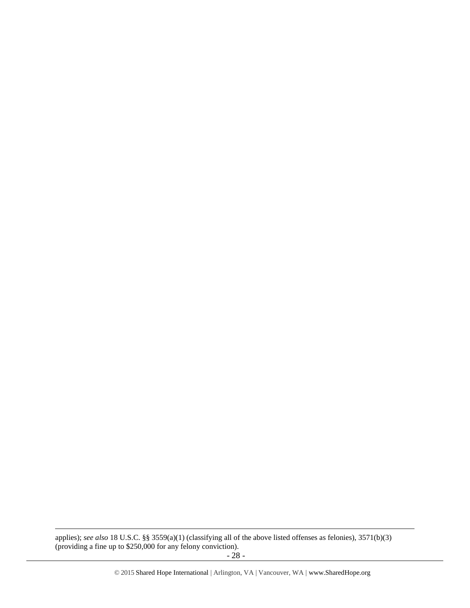applies); *see also* 18 U.S.C. §§ 3559(a)(1) (classifying all of the above listed offenses as felonies), 3571(b)(3) (providing a fine up to \$250,000 for any felony conviction).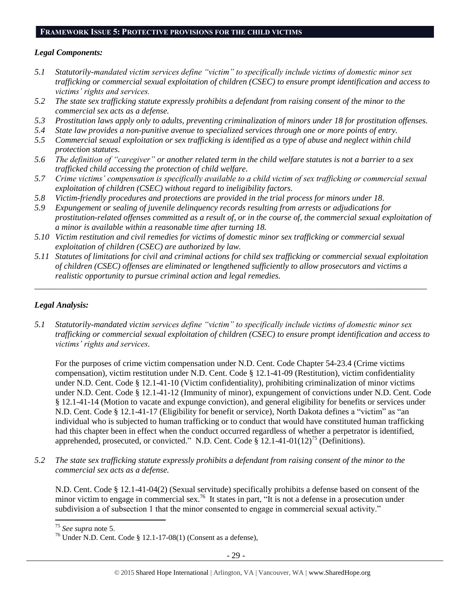# **FRAMEWORK ISSUE 5: PROTECTIVE PROVISIONS FOR THE CHILD VICTIMS**

### *Legal Components:*

- *5.1 Statutorily-mandated victim services define "victim" to specifically include victims of domestic minor sex trafficking or commercial sexual exploitation of children (CSEC) to ensure prompt identification and access to victims' rights and services.*
- *5.2 The state sex trafficking statute expressly prohibits a defendant from raising consent of the minor to the commercial sex acts as a defense.*
- *5.3 Prostitution laws apply only to adults, preventing criminalization of minors under 18 for prostitution offenses.*
- *5.4 State law provides a non-punitive avenue to specialized services through one or more points of entry.*
- *5.5 Commercial sexual exploitation or sex trafficking is identified as a type of abuse and neglect within child protection statutes.*
- *5.6 The definition of "caregiver" or another related term in the child welfare statutes is not a barrier to a sex trafficked child accessing the protection of child welfare.*
- *5.7 Crime victims' compensation is specifically available to a child victim of sex trafficking or commercial sexual exploitation of children (CSEC) without regard to ineligibility factors.*
- *5.8 Victim-friendly procedures and protections are provided in the trial process for minors under 18.*
- *5.9 Expungement or sealing of juvenile delinquency records resulting from arrests or adjudications for prostitution-related offenses committed as a result of, or in the course of, the commercial sexual exploitation of a minor is available within a reasonable time after turning 18.*
- *5.10 Victim restitution and civil remedies for victims of domestic minor sex trafficking or commercial sexual exploitation of children (CSEC) are authorized by law.*
- *5.11 Statutes of limitations for civil and criminal actions for child sex trafficking or commercial sexual exploitation of children (CSEC) offenses are eliminated or lengthened sufficiently to allow prosecutors and victims a realistic opportunity to pursue criminal action and legal remedies.*

*\_\_\_\_\_\_\_\_\_\_\_\_\_\_\_\_\_\_\_\_\_\_\_\_\_\_\_\_\_\_\_\_\_\_\_\_\_\_\_\_\_\_\_\_\_\_\_\_\_\_\_\_\_\_\_\_\_\_\_\_\_\_\_\_\_\_\_\_\_\_\_\_\_\_\_\_\_\_\_\_\_\_\_\_\_\_\_\_\_\_\_\_\_*

### *Legal Analysis:*

*5.1 Statutorily-mandated victim services define "victim" to specifically include victims of domestic minor sex trafficking or commercial sexual exploitation of children (CSEC) to ensure prompt identification and access to victims' rights and services.*

For the purposes of crime victim compensation under N.D. Cent. Code Chapter 54-23.4 (Crime victims compensation), victim restitution under N.D. Cent. Code § 12.1-41-09 (Restitution), victim confidentiality under N.D. Cent. Code § 12.1-41-10 (Victim confidentiality), prohibiting criminalization of minor victims under N.D. Cent. Code § 12.1-41-12 (Immunity of minor), expungement of convictions under N.D. Cent. Code § 12.1-41-14 (Motion to vacate and expunge conviction), and general eligibility for benefits or services under N.D. Cent. Code § 12.1-41-17 (Eligibility for benefit or service), North Dakota defines a "victim" as "an individual who is subjected to human trafficking or to conduct that would have constituted human trafficking had this chapter been in effect when the conduct occurred regardless of whether a perpetrator is identified, apprehended, prosecuted, or convicted." N.D. Cent. Code  $\S 12.1-41-01(12)^{75}$  (Definitions).

*5.2 The state sex trafficking statute expressly prohibits a defendant from raising consent of the minor to the commercial sex acts as a defense.*

N.D. Cent. Code § 12.1-41-04(2) (Sexual servitude) specifically prohibits a defense based on consent of the minor victim to engage in commercial sex.<sup>76</sup> It states in part, "It is not a defense in a prosecution under subdivision a of subsection 1 that the minor consented to engage in commercial sexual activity."

 $\overline{a}$ <sup>75</sup> *See supra* note [5.](#page-1-2)

<sup>&</sup>lt;sup>76</sup> Under N.D. Cent. Code § 12.1-17-08(1) (Consent as a defense),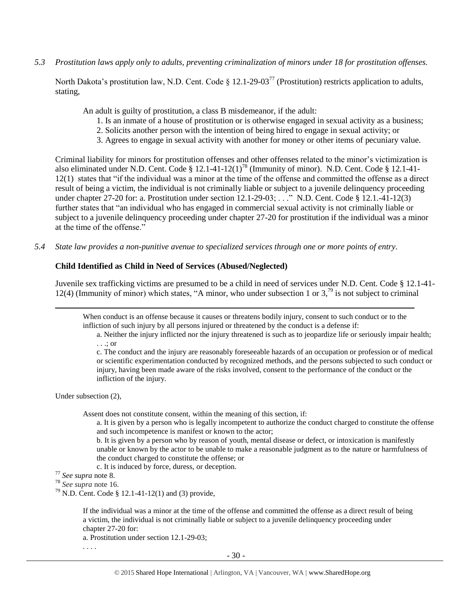*5.3 Prostitution laws apply only to adults, preventing criminalization of minors under 18 for prostitution offenses.*

North Dakota's prostitution law, N.D. Cent. Code § 12.1-29-03<sup>77</sup> (Prostitution) restricts application to adults, stating,

An adult is guilty of prostitution, a class B misdemeanor, if the adult:

- 1. Is an inmate of a house of prostitution or is otherwise engaged in sexual activity as a business;
- 2. Solicits another person with the intention of being hired to engage in sexual activity; or
- 3. Agrees to engage in sexual activity with another for money or other items of pecuniary value.

Criminal liability for minors for prostitution offenses and other offenses related to the minor's victimization is also eliminated under N.D. Cent. Code § 12.1-41-12(1)<sup>78</sup> (Immunity of minor). N.D. Cent. Code § 12.1-41-12(1) states that "if the individual was a minor at the time of the offense and committed the offense as a direct result of being a victim, the individual is not criminally liable or subject to a juvenile delinquency proceeding under chapter 27-20 for: a. Prostitution under section 12.1-29-03; . . ." N.D. Cent. Code § 12.1.-41-12(3) further states that "an individual who has engaged in commercial sexual activity is not criminally liable or subject to a juvenile delinquency proceeding under chapter 27-20 for prostitution if the individual was a minor at the time of the offense."

*5.4 State law provides a non-punitive avenue to specialized services through one or more points of entry.*

### **Child Identified as Child in Need of Services (Abused/Neglected)**

Juvenile sex trafficking victims are presumed to be a child in need of services under N.D. Cent. Code § 12.1-41- 12(4) (Immunity of minor) which states, "A minor, who under subsection 1 or  $3<sup>79</sup>$  is not subject to criminal

When conduct is an offense because it causes or threatens bodily injury, consent to such conduct or to the infliction of such injury by all persons injured or threatened by the conduct is a defense if:

a. Neither the injury inflicted nor the injury threatened is such as to jeopardize life or seriously impair health; . . .; or

c. The conduct and the injury are reasonably foreseeable hazards of an occupation or profession or of medical or scientific experimentation conducted by recognized methods, and the persons subjected to such conduct or injury, having been made aware of the risks involved, consent to the performance of the conduct or the infliction of the injury.

Under subsection (2),

 $\overline{\phantom{a}}$ 

Assent does not constitute consent, within the meaning of this section, if:

- a. It is given by a person who is legally incompetent to authorize the conduct charged to constitute the offense and such incompetence is manifest or known to the actor;
- b. It is given by a person who by reason of youth, mental disease or defect, or intoxication is manifestly unable or known by the actor to be unable to make a reasonable judgment as to the nature or harmfulness of the conduct charged to constitute the offense; or
- c. It is induced by force, duress, or deception.
- <sup>77</sup> *See supra* note [8.](#page-2-1)

<sup>78</sup> *See supra* note [16.](#page-5-0)

<sup>79</sup> N.D. Cent. Code § 12.1-41-12(1) and (3) provide,

If the individual was a minor at the time of the offense and committed the offense as a direct result of being a victim, the individual is not criminally liable or subject to a juvenile delinquency proceeding under chapter 27-20 for:

a. Prostitution under section 12.1-29-03;

. . . .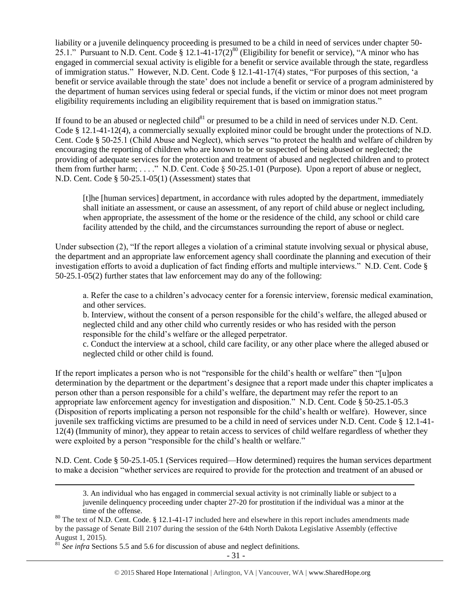liability or a juvenile delinquency proceeding is presumed to be a child in need of services under chapter 50- 25.1." Pursuant to N.D. Cent. Code § 12.1-41-17(2)<sup>80</sup> (Eligibility for benefit or service), "A minor who has engaged in commercial sexual activity is eligible for a benefit or service available through the state, regardless of immigration status." However, N.D. Cent. Code § 12.1-41-17(4) states, "For purposes of this section, 'a benefit or service available through the state' does not include a benefit or service of a program administered by the department of human services using federal or special funds, if the victim or minor does not meet program eligibility requirements including an eligibility requirement that is based on immigration status."

If found to be an abused or neglected child<sup>81</sup> or presumed to be a child in need of services under N.D. Cent. Code § 12.1-41-12(4), a commercially sexually exploited minor could be brought under the protections of N.D. Cent. Code § 50-25.1 (Child Abuse and Neglect), which serves "to protect the health and welfare of children by encouraging the reporting of children who are known to be or suspected of being abused or neglected; the providing of adequate services for the protection and treatment of abused and neglected children and to protect them from further harm; . . . ." N.D. Cent. Code § 50-25.1-01 (Purpose). Upon a report of abuse or neglect, N.D. Cent. Code § 50-25.1-05(1) (Assessment) states that

[t]he [human services] department, in accordance with rules adopted by the department, immediately shall initiate an assessment, or cause an assessment, of any report of child abuse or neglect including, when appropriate, the assessment of the home or the residence of the child, any school or child care facility attended by the child, and the circumstances surrounding the report of abuse or neglect.

Under subsection (2), "If the report alleges a violation of a criminal statute involving sexual or physical abuse, the department and an appropriate law enforcement agency shall coordinate the planning and execution of their investigation efforts to avoid a duplication of fact finding efforts and multiple interviews." N.D. Cent. Code § 50-25.1-05(2) further states that law enforcement may do any of the following:

a. Refer the case to a children's advocacy center for a forensic interview, forensic medical examination, and other services.

b. Interview, without the consent of a person responsible for the child's welfare, the alleged abused or neglected child and any other child who currently resides or who has resided with the person responsible for the child's welfare or the alleged perpetrator.

c. Conduct the interview at a school, child care facility, or any other place where the alleged abused or neglected child or other child is found.

If the report implicates a person who is not "responsible for the child's health or welfare" then "[u]pon determination by the department or the department's designee that a report made under this chapter implicates a person other than a person responsible for a child's welfare, the department may refer the report to an appropriate law enforcement agency for investigation and disposition." N.D. Cent. Code § 50-25.1-05.3 (Disposition of reports implicating a person not responsible for the child's health or welfare). However, since juvenile sex trafficking victims are presumed to be a child in need of services under N.D. Cent. Code § 12.1-41- 12(4) (Immunity of minor), they appear to retain access to services of child welfare regardless of whether they were exploited by a person "responsible for the child's health or welfare."

N.D. Cent. Code § 50-25.1-05.1 (Services required—How determined) requires the human services department to make a decision "whether services are required to provide for the protection and treatment of an abused or

3. An individual who has engaged in commercial sexual activity is not criminally liable or subject to a juvenile delinquency proceeding under chapter 27-20 for prostitution if the individual was a minor at the time of the offense.

<sup>81</sup> *See infra* Sections 5.5 and 5.6 for discussion of abuse and neglect definitions.

<sup>&</sup>lt;sup>80</sup> The text of N.D. Cent. Code. § 12.1-41-17 included here and elsewhere in this report includes amendments made by the passage of Senate Bill 2107 during the session of the 64th North Dakota Legislative Assembly (effective August 1, 2015).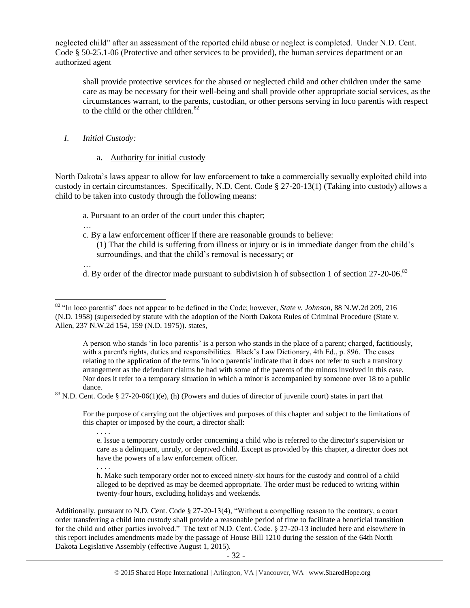neglected child" after an assessment of the reported child abuse or neglect is completed. Under N.D. Cent. Code § 50-25.1-06 (Protective and other services to be provided), the human services department or an authorized agent

shall provide protective services for the abused or neglected child and other children under the same care as may be necessary for their well-being and shall provide other appropriate social services, as the circumstances warrant, to the parents, custodian, or other persons serving in loco parentis with respect to the child or the other children.<sup>82</sup>

## *I. Initial Custody:*

## a. Authority for initial custody

North Dakota's laws appear to allow for law enforcement to take a commercially sexually exploited child into custody in certain circumstances. Specifically, N.D. Cent. Code § 27-20-13(1) (Taking into custody) allows a child to be taken into custody through the following means:

a. Pursuant to an order of the court under this chapter;

- … c. By a law enforcement officer if there are reasonable grounds to believe:
	- (1) That the child is suffering from illness or injury or is in immediate danger from the child's surroundings, and that the child's removal is necessary; or
- … d. By order of the director made pursuant to subdivision h of subsection 1 of section 27-20-06.<sup>83</sup>

A person who stands 'in loco parentis' is a person who stands in the place of a parent; charged, factitiously, with a parent's rights, duties and responsibilities. Black's Law Dictionary, 4th Ed., p. 896. The cases relating to the application of the terms 'in loco parentis' indicate that it does not refer to such a transitory arrangement as the defendant claims he had with some of the parents of the minors involved in this case. Nor does it refer to a temporary situation in which a minor is accompanied by someone over 18 to a public dance.

For the purpose of carrying out the objectives and purposes of this chapter and subject to the limitations of this chapter or imposed by the court, a director shall:

. . . .

 $\overline{\phantom{a}}$ 

. . . .

Additionally, pursuant to N.D. Cent. Code § 27-20-13(4), "Without a compelling reason to the contrary, a court order transferring a child into custody shall provide a reasonable period of time to facilitate a beneficial transition for the child and other parties involved." The text of N.D. Cent. Code. § 27-20-13 included here and elsewhere in this report includes amendments made by the passage of House Bill 1210 during the session of the 64th North Dakota Legislative Assembly (effective August 1, 2015).

<sup>82</sup> "In loco parentis" does not appear to be defined in the Code; however, *State v. Johnson*, 88 N.W.2d 209, 216 (N.D. 1958) (superseded by statute with the adoption of the North Dakota Rules of Criminal Procedure (State v. Allen, 237 N.W.2d 154, 159 (N.D. 1975)). states,

 $83$  N.D. Cent. Code § 27-20-06(1)(e), (h) (Powers and duties of director of juvenile court) states in part that

e. Issue a temporary custody order concerning a child who is referred to the director's supervision or care as a delinquent, unruly, or deprived child. Except as provided by this chapter, a director does not have the powers of a law enforcement officer.

h. Make such temporary order not to exceed ninety-six hours for the custody and control of a child alleged to be deprived as may be deemed appropriate. The order must be reduced to writing within twenty-four hours, excluding holidays and weekends.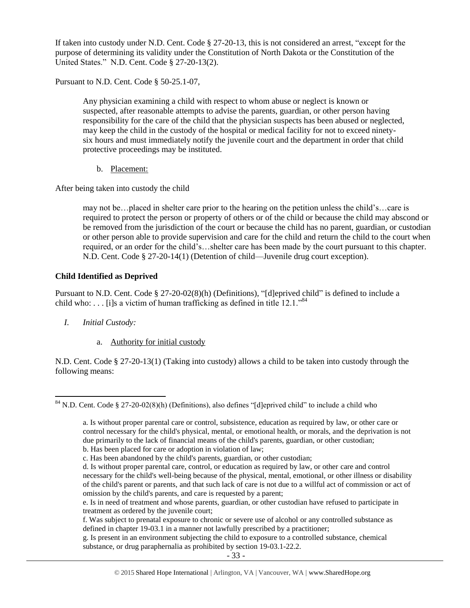If taken into custody under N.D. Cent. Code § 27-20-13, this is not considered an arrest, "except for the purpose of determining its validity under the Constitution of North Dakota or the Constitution of the United States." N.D. Cent. Code § 27-20-13(2).

Pursuant to N.D. Cent. Code § 50-25.1-07,

Any physician examining a child with respect to whom abuse or neglect is known or suspected, after reasonable attempts to advise the parents, guardian, or other person having responsibility for the care of the child that the physician suspects has been abused or neglected, may keep the child in the custody of the hospital or medical facility for not to exceed ninetysix hours and must immediately notify the juvenile court and the department in order that child protective proceedings may be instituted.

b. Placement:

After being taken into custody the child

may not be…placed in shelter care prior to the hearing on the petition unless the child's…care is required to protect the person or property of others or of the child or because the child may abscond or be removed from the jurisdiction of the court or because the child has no parent, guardian, or custodian or other person able to provide supervision and care for the child and return the child to the court when required, or an order for the child's…shelter care has been made by the court pursuant to this chapter. N.D. Cent. Code § 27-20-14(1) (Detention of child—Juvenile drug court exception).

## **Child Identified as Deprived**

Pursuant to N.D. Cent. Code § 27-20-02(8)(h) (Definitions), "[d]eprived child" is defined to include a child who: . . . [i]s a victim of human trafficking as defined in title  $12.1$ ."<sup>84</sup>

*I. Initial Custody:* 

 $\overline{\phantom{a}}$ 

a. Authority for initial custody

N.D. Cent. Code § 27-20-13(1) (Taking into custody) allows a child to be taken into custody through the following means:

<sup>&</sup>lt;sup>84</sup> N.D. Cent. Code § 27-20-02(8)(h) (Definitions), also defines "[d]eprived child" to include a child who

a. Is without proper parental care or control, subsistence, education as required by law, or other care or control necessary for the child's physical, mental, or emotional health, or morals, and the deprivation is not due primarily to the lack of financial means of the child's parents, guardian, or other custodian;

b. Has been placed for care or adoption in violation of law;

c. Has been abandoned by the child's parents, guardian, or other custodian;

d. Is without proper parental care, control, or education as required by law, or other care and control necessary for the child's well-being because of the physical, mental, emotional, or other illness or disability of the child's parent or parents, and that such lack of care is not due to a willful act of commission or act of omission by the child's parents, and care is requested by a parent;

e. Is in need of treatment and whose parents, guardian, or other custodian have refused to participate in treatment as ordered by the juvenile court;

f. Was subject to prenatal exposure to chronic or severe use of alcohol or any controlled substance as defined in chapter 19-03.1 in a manner not lawfully prescribed by a practitioner;

g. Is present in an environment subjecting the child to exposure to a controlled substance, chemical substance, or drug paraphernalia as prohibited by section 19-03.1-22.2.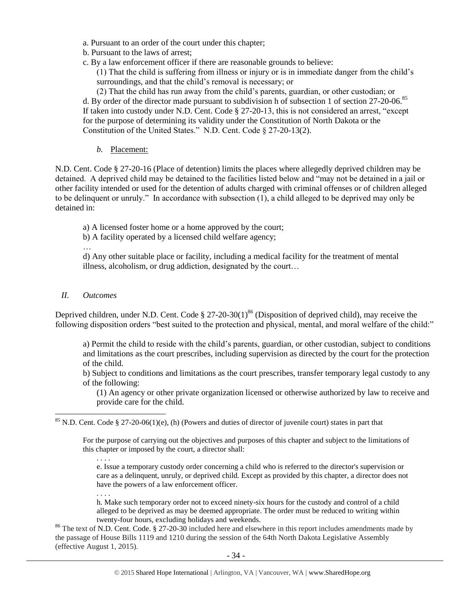- a. Pursuant to an order of the court under this chapter;
- b. Pursuant to the laws of arrest;
- c. By a law enforcement officer if there are reasonable grounds to believe:

(1) That the child is suffering from illness or injury or is in immediate danger from the child's surroundings, and that the child's removal is necessary; or

(2) That the child has run away from the child's parents, guardian, or other custodian; or d. By order of the director made pursuant to subdivision h of subsection 1 of section 27-20-06.<sup>85</sup> If taken into custody under N.D. Cent. Code § 27-20-13, this is not considered an arrest, "except for the purpose of determining its validity under the Constitution of North Dakota or the Constitution of the United States." N.D. Cent. Code § 27-20-13(2).

*b.* Placement:

N.D. Cent. Code § 27-20-16 (Place of detention) limits the places where allegedly deprived children may be detained. A deprived child may be detained to the facilities listed below and "may not be detained in a jail or other facility intended or used for the detention of adults charged with criminal offenses or of children alleged to be delinquent or unruly." In accordance with subsection (1), a child alleged to be deprived may only be detained in:

a) A licensed foster home or a home approved by the court;

b) A facility operated by a licensed child welfare agency;

…

d) Any other suitable place or facility, including a medical facility for the treatment of mental illness, alcoholism, or drug addiction, designated by the court…

## *II. Outcomes*

Deprived children, under N.D. Cent. Code § 27-20-30(1)<sup>86</sup> (Disposition of deprived child), may receive the following disposition orders "best suited to the protection and physical, mental, and moral welfare of the child:"

a) Permit the child to reside with the child's parents, guardian, or other custodian, subject to conditions and limitations as the court prescribes, including supervision as directed by the court for the protection of the child.

b) Subject to conditions and limitations as the court prescribes, transfer temporary legal custody to any of the following:

(1) An agency or other private organization licensed or otherwise authorized by law to receive and provide care for the child.

 $\overline{a}$  $85$  N.D. Cent. Code § 27-20-06(1)(e), (h) (Powers and duties of director of juvenile court) states in part that

For the purpose of carrying out the objectives and purposes of this chapter and subject to the limitations of this chapter or imposed by the court, a director shall:

. . . . e. Issue a temporary custody order concerning a child who is referred to the director's supervision or care as a delinquent, unruly, or deprived child. Except as provided by this chapter, a director does not have the powers of a law enforcement officer.

. . . . h. Make such temporary order not to exceed ninety-six hours for the custody and control of a child alleged to be deprived as may be deemed appropriate. The order must be reduced to writing within twenty-four hours, excluding holidays and weekends.

<sup>86</sup> The text of N.D. Cent. Code. § 27-20-30 included here and elsewhere in this report includes amendments made by the passage of House Bills 1119 and 1210 during the session of the 64th North Dakota Legislative Assembly (effective August 1, 2015).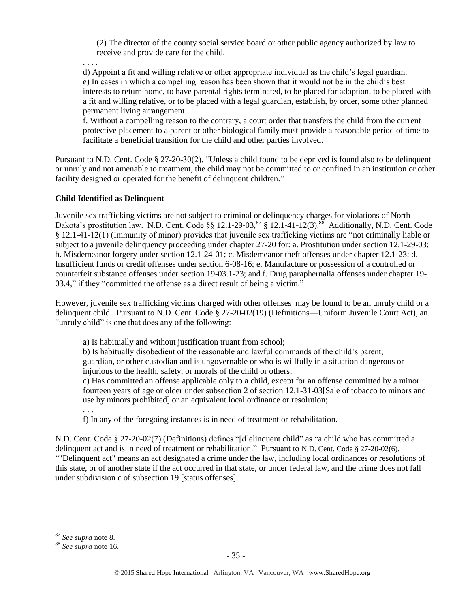(2) The director of the county social service board or other public agency authorized by law to receive and provide care for the child.

. . . .

d) Appoint a fit and willing relative or other appropriate individual as the child's legal guardian. e) In cases in which a compelling reason has been shown that it would not be in the child's best interests to return home, to have parental rights terminated, to be placed for adoption, to be placed with a fit and willing relative, or to be placed with a legal guardian, establish, by order, some other planned permanent living arrangement.

f. Without a compelling reason to the contrary, a court order that transfers the child from the current protective placement to a parent or other biological family must provide a reasonable period of time to facilitate a beneficial transition for the child and other parties involved.

Pursuant to N.D. Cent. Code § 27-20-30(2), "Unless a child found to be deprived is found also to be delinquent or unruly and not amenable to treatment, the child may not be committed to or confined in an institution or other facility designed or operated for the benefit of delinquent children."

## **Child Identified as Delinquent**

Juvenile sex trafficking victims are not subject to criminal or delinquency charges for violations of North Dakota's prostitution law. N.D. Cent. Code  $\S \ S 12.1-29-03$ ,  $\S 3 \ S 12.1-41-12(3)$ . Additionally, N.D. Cent. Code § 12.1-41-12(1) (Immunity of minor) provides that juvenile sex trafficking victims are "not criminally liable or subject to a juvenile delinquency proceeding under chapter 27-20 for: a. Prostitution under section 12.1-29-03; b. Misdemeanor forgery under section 12.1-24-01; c. Misdemeanor theft offenses under chapter 12.1-23; d. Insufficient funds or credit offenses under section 6-08-16; e. Manufacture or possession of a controlled or counterfeit substance offenses under section 19-03.1-23; and f. Drug paraphernalia offenses under chapter 19- 03.4," if they "committed the offense as a direct result of being a victim."

However, juvenile sex trafficking victims charged with other offenses may be found to be an unruly child or a delinquent child. Pursuant to N.D. Cent. Code § 27-20-02(19) (Definitions—Uniform Juvenile Court Act), an "unruly child" is one that does any of the following:

a) Is habitually and without justification truant from school;

b) Is habitually disobedient of the reasonable and lawful commands of the child's parent,

guardian, or other custodian and is ungovernable or who is willfully in a situation dangerous or injurious to the health, safety, or morals of the child or others;

c) Has committed an offense applicable only to a child, except for an offense committed by a minor fourteen years of age or older under subsection 2 of section 12.1-31-03[Sale of tobacco to minors and use by minors prohibited] or an equivalent local ordinance or resolution;

. . .

f) In any of the foregoing instances is in need of treatment or rehabilitation.

N.D. Cent. Code § 27-20-02(7) (Definitions) defines "[d]elinquent child" as "a child who has committed a delinquent act and is in need of treatment or rehabilitation." Pursuant to N.D. Cent. Code § 27-20-02(6), ""Delinquent act" means an act designated a crime under the law, including local ordinances or resolutions of this state, or of another state if the act occurred in that state, or under federal law, and the crime does not fall under subdivision c of subsection 19 [status offenses].

<sup>87</sup> *See supra* note [8.](#page-2-1)

<sup>88</sup> *See supra* note [16.](#page-5-0)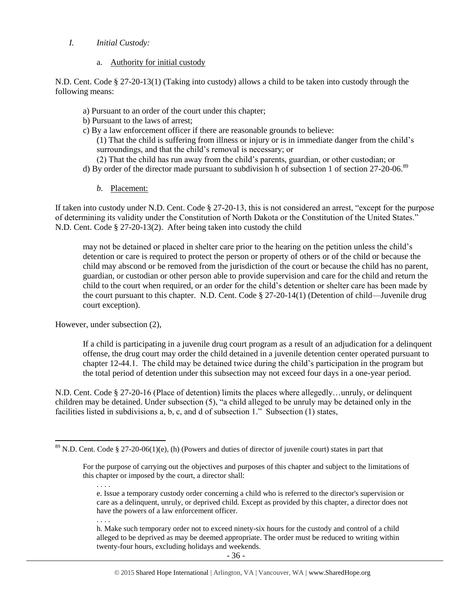## *I. Initial Custody:*

a. Authority for initial custody

N.D. Cent. Code § 27-20-13(1) (Taking into custody) allows a child to be taken into custody through the following means:

- a) Pursuant to an order of the court under this chapter;
- b) Pursuant to the laws of arrest;
- c) By a law enforcement officer if there are reasonable grounds to believe:

(1) That the child is suffering from illness or injury or is in immediate danger from the child's surroundings, and that the child's removal is necessary; or

- (2) That the child has run away from the child's parents, guardian, or other custodian; or
- d) By order of the director made pursuant to subdivision h of subsection 1 of section 27-20-06.<sup>89</sup>
	- *b.* Placement:

If taken into custody under N.D. Cent. Code § 27-20-13, this is not considered an arrest, "except for the purpose of determining its validity under the Constitution of North Dakota or the Constitution of the United States." N.D. Cent. Code § 27-20-13(2). After being taken into custody the child

may not be detained or placed in shelter care prior to the hearing on the petition unless the child's detention or care is required to protect the person or property of others or of the child or because the child may abscond or be removed from the jurisdiction of the court or because the child has no parent, guardian, or custodian or other person able to provide supervision and care for the child and return the child to the court when required, or an order for the child's detention or shelter care has been made by the court pursuant to this chapter. N.D. Cent. Code § 27-20-14(1) (Detention of child—Juvenile drug court exception).

However, under subsection (2),

If a child is participating in a juvenile drug court program as a result of an adjudication for a delinquent offense, the drug court may order the child detained in a juvenile detention center operated pursuant to chapter 12-44.1. The child may be detained twice during the child's participation in the program but the total period of detention under this subsection may not exceed four days in a one-year period.

N.D. Cent. Code § 27-20-16 (Place of detention) limits the places where allegedly…unruly, or delinquent children may be detained. Under subsection (5), "a child alleged to be unruly may be detained only in the facilities listed in subdivisions a, b, c, and d of subsection 1." Subsection (1) states,

. . . .

h. Make such temporary order not to exceed ninety-six hours for the custody and control of a child alleged to be deprived as may be deemed appropriate. The order must be reduced to writing within twenty-four hours, excluding holidays and weekends.

 $\overline{a}$  $89$  N.D. Cent. Code § 27-20-06(1)(e), (h) (Powers and duties of director of juvenile court) states in part that

For the purpose of carrying out the objectives and purposes of this chapter and subject to the limitations of this chapter or imposed by the court, a director shall:

<sup>. . . .</sup>  e. Issue a temporary custody order concerning a child who is referred to the director's supervision or care as a delinquent, unruly, or deprived child. Except as provided by this chapter, a director does not have the powers of a law enforcement officer.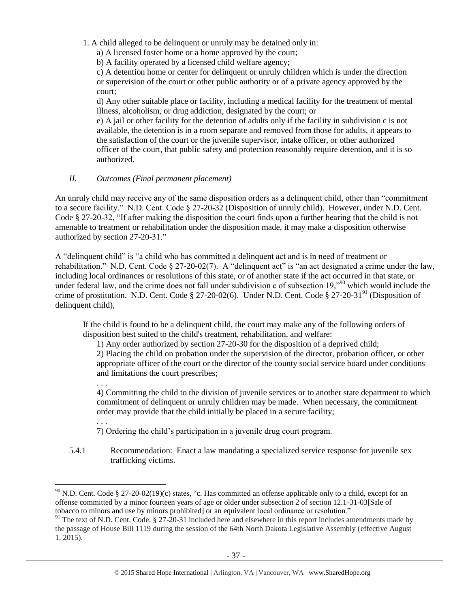- 1. A child alleged to be delinquent or unruly may be detained only in:
	- a) A licensed foster home or a home approved by the court;
	- b) A facility operated by a licensed child welfare agency;

c) A detention home or center for delinquent or unruly children which is under the direction or supervision of the court or other public authority or of a private agency approved by the court;

d) Any other suitable place or facility, including a medical facility for the treatment of mental illness, alcoholism, or drug addiction, designated by the court; or

e) A jail or other facility for the detention of adults only if the facility in subdivision c is not available, the detention is in a room separate and removed from those for adults, it appears to the satisfaction of the court or the juvenile supervisor, intake officer, or other authorized officer of the court, that public safety and protection reasonably require detention, and it is so authorized.

## *II. Outcomes (Final permanent placement)*

. . .

An unruly child may receive any of the same disposition orders as a delinquent child, other than "commitment to a secure facility." N.D. Cent. Code § 27-20-32 (Disposition of unruly child). However, under N.D. Cent. Code § 27-20-32, "If after making the disposition the court finds upon a further hearing that the child is not amenable to treatment or rehabilitation under the disposition made, it may make a disposition otherwise authorized by section 27-20-31."

A "delinquent child" is "a child who has committed a delinquent act and is in need of treatment or rehabilitation." N.D. Cent. Code § 27-20-02(7). A "delinquent act" is "an act designated a crime under the law, including local ordinances or resolutions of this state, or of another state if the act occurred in that state, or under federal law, and the crime does not fall under subdivision c of subsection 19,<sup>090</sup> which would include the crime of prostitution. N.D. Cent. Code § 27-20-02(6). Under N.D. Cent. Code § 27-20-31<sup>91</sup> (Disposition of delinquent child),

If the child is found to be a delinquent child, the court may make any of the following orders of disposition best suited to the child's treatment, rehabilitation, and welfare:

1) Any order authorized by section 27-20-30 for the disposition of a deprived child; 2) Placing the child on probation under the supervision of the director, probation officer, or other appropriate officer of the court or the director of the county social service board under conditions and limitations the court prescribes;

. . . 4) Committing the child to the division of juvenile services or to another state department to which commitment of delinquent or unruly children may be made. When necessary, the commitment order may provide that the child initially be placed in a secure facility;

- 7) Ordering the child's participation in a juvenile drug court program.
- 5.4.1 Recommendation: Enact a law mandating a specialized service response for juvenile sex trafficking victims.

 $\overline{\phantom{a}}$ <sup>90</sup> N.D. Cent. Code § 27-20-02(19)(c) states, "c. Has committed an offense applicable only to a child, except for an offense committed by a minor fourteen years of age or older under subsection 2 of section 12.1-31-03[Sale of tobacco to minors and use by minors prohibited] or an equivalent local ordinance or resolution."

 $91$  The text of N.D. Cent. Code. § 27-20-31 included here and elsewhere in this report includes amendments made by the passage of House Bill 1119 during the session of the 64th North Dakota Legislative Assembly (effective August 1, 2015).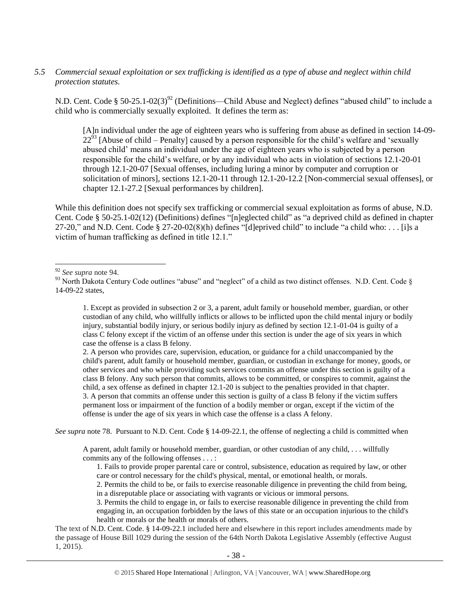## *5.5 Commercial sexual exploitation or sex trafficking is identified as a type of abuse and neglect within child protection statutes.*

N.D. Cent. Code § 50-25.1-02(3)<sup>92</sup> (Definitions—Child Abuse and Neglect) defines "abused child" to include a child who is commercially sexually exploited. It defines the term as:

<span id="page-37-0"></span>[A]n individual under the age of eighteen years who is suffering from abuse as defined in section 14-09-  $22<sup>93</sup>$  [Abuse of child – Penalty] caused by a person responsible for the child's welfare and 'sexually abused child' means an individual under the age of eighteen years who is subjected by a person responsible for the child's welfare, or by any individual who acts in violation of sections 12.1-20-01 through 12.1-20-07 [Sexual offenses, including luring a minor by computer and corruption or solicitation of minors], sections 12.1-20-11 through 12.1-20-12.2 [Non-commercial sexual offenses], or chapter 12.1-27.2 [Sexual performances by children].

While this definition does not specify sex trafficking or commercial sexual exploitation as forms of abuse, N.D. Cent. Code § 50-25.1-02(12) (Definitions) defines "[n]eglected child" as "a deprived child as defined in chapter 27-20," and N.D. Cent. Code § 27-20-02(8)(h) defines "[d]eprived child" to include "a child who: . . . [i]s a victim of human trafficking as defined in title 12.1."

2. A person who provides care, supervision, education, or guidance for a child unaccompanied by the child's parent, adult family or household member, guardian, or custodian in exchange for money, goods, or other services and who while providing such services commits an offense under this section is guilty of a class B felony. Any such person that commits, allows to be committed, or conspires to commit, against the child, a sex offense as defined in chapter 12.1-20 is subject to the penalties provided in that chapter. 3. A person that commits an offense under this section is guilty of a class B felony if the victim suffers permanent loss or impairment of the function of a bodily member or organ, except if the victim of the offense is under the age of six years in which case the offense is a class A felony.

*See supra* note 78. Pursuant to N.D. Cent. Code § 14-09-22.1, the offense of neglecting a child is committed when

A parent, adult family or household member, guardian, or other custodian of any child, . . . willfully commits any of the following offenses . . . :

1. Fails to provide proper parental care or control, subsistence, education as required by law, or other care or control necessary for the child's physical, mental, or emotional health, or morals.

2. Permits the child to be, or fails to exercise reasonable diligence in preventing the child from being, in a disreputable place or associating with vagrants or vicious or immoral persons.

3. Permits the child to engage in, or fails to exercise reasonable diligence in preventing the child from engaging in, an occupation forbidden by the laws of this state or an occupation injurious to the child's health or morals or the health or morals of others.

The text of N.D. Cent. Code. § 14-09-22.1 included here and elsewhere in this report includes amendments made by the passage of House Bill 1029 during the session of the 64th North Dakota Legislative Assembly (effective August 1, 2015).

 $\overline{\phantom{a}}$ <sup>92</sup> *See supra* note 94.

<sup>93</sup> North Dakota Century Code outlines "abuse" and "neglect" of a child as two distinct offenses. N.D. Cent. Code § 14-09-22 states,

<sup>1.</sup> Except as provided in subsection 2 or 3, a parent, adult family or household member, guardian, or other custodian of any child, who willfully inflicts or allows to be inflicted upon the child mental injury or bodily injury, substantial bodily injury, or serious bodily injury as defined by section 12.1-01-04 is guilty of a class C felony except if the victim of an offense under this section is under the age of six years in which case the offense is a class B felony.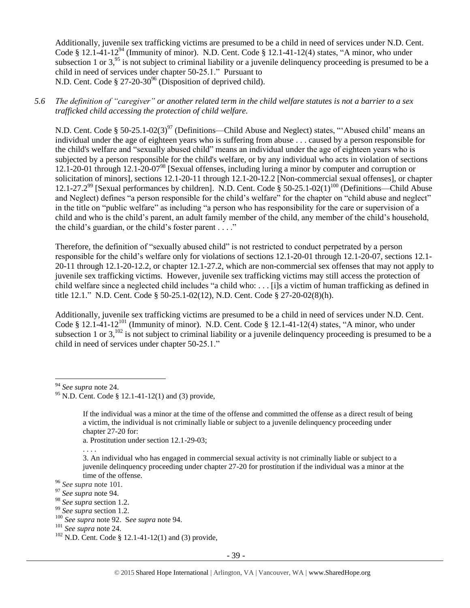Additionally, juvenile sex trafficking victims are presumed to be a child in need of services under N.D. Cent. Code § 12.1-41-12<sup>94</sup> (Immunity of minor). N.D. Cent. Code § 12.1-41-12(4) states, "A minor, who under subsection 1 or  $3<sup>95</sup>$  is not subject to criminal liability or a juvenile delinquency proceeding is presumed to be a child in need of services under chapter 50-25.1." Pursuant to N.D. Cent. Code  $\S 27-20-30<sup>96</sup>$  (Disposition of deprived child).

*5.6 The definition of "caregiver" or another related term in the child welfare statutes is not a barrier to a sex trafficked child accessing the protection of child welfare.*

N.D. Cent. Code § 50-25.1-02(3)<sup>97</sup> (Definitions—Child Abuse and Neglect) states, "'Abused child' means an individual under the age of eighteen years who is suffering from abuse . . . caused by a person responsible for the child's welfare and "sexually abused child" means an individual under the age of eighteen years who is subjected by a person responsible for the child's welfare, or by any individual who acts in violation of sections 12.1-20-01 through 12.1-20-07<sup>98</sup> [Sexual offenses, including luring a minor by computer and corruption or solicitation of minors], sections 12.1-20-11 through 12.1-20-12.2 [Non-commercial sexual offenses], or chapter 12.1-27.2<sup>99</sup> [Sexual performances by children]. N.D. Cent. Code  $\S 50-25.1-02(1)^{100}$  (Definitions—Child Abuse and Neglect) defines "a person responsible for the child's welfare" for the chapter on "child abuse and neglect" in the title on "public welfare" as including "a person who has responsibility for the care or supervision of a child and who is the child's parent, an adult family member of the child, any member of the child's household, the child's guardian, or the child's foster parent . . . ."

Therefore, the definition of "sexually abused child" is not restricted to conduct perpetrated by a person responsible for the child's welfare only for violations of sections 12.1-20-01 through 12.1-20-07, sections 12.1- 20-11 through 12.1-20-12.2, or chapter 12.1-27.2, which are non-commercial sex offenses that may not apply to juvenile sex trafficking victims. However, juvenile sex trafficking victims may still access the protection of child welfare since a neglected child includes "a child who: . . . [i]s a victim of human trafficking as defined in title 12.1." N.D. Cent. Code § 50-25.1-02(12), N.D. Cent. Code § 27-20-02(8)(h).

Additionally, juvenile sex trafficking victims are presumed to be a child in need of services under N.D. Cent. Code § 12.1-41-12<sup>101</sup> (Immunity of minor). N.D. Cent. Code § 12.1-41-12(4) states, "A minor, who under subsection 1 or  $3$ ,  $^{102}$  is not subject to criminal liability or a juvenile delinquency proceeding is presumed to be a child in need of services under chapter 50-25.1."

 $\overline{\phantom{a}}$ 

a. Prostitution under section 12.1-29-03;

<sup>94</sup> *See supra* note 24.

<sup>95</sup> N.D. Cent. Code § 12.1-41-12(1) and (3) provide,

If the individual was a minor at the time of the offense and committed the offense as a direct result of being a victim, the individual is not criminally liable or subject to a juvenile delinquency proceeding under chapter 27-20 for:

<sup>3.</sup> An individual who has engaged in commercial sexual activity is not criminally liable or subject to a juvenile delinquency proceeding under chapter 27-20 for prostitution if the individual was a minor at the time of the offense.

<sup>96</sup> *See supra* note 101.

<sup>97</sup> *See supra* note 94.

<sup>98</sup> *See supra* section 1.2.

<sup>99</sup> *See supra* section 1.2.

<sup>100</sup> *See supra* not[e 92.](#page-37-0) S*ee supra* note 94.

<sup>101</sup> *See supra* note 24.

 $102$  N.D. Cent. Code § 12.1-41-12(1) and (3) provide,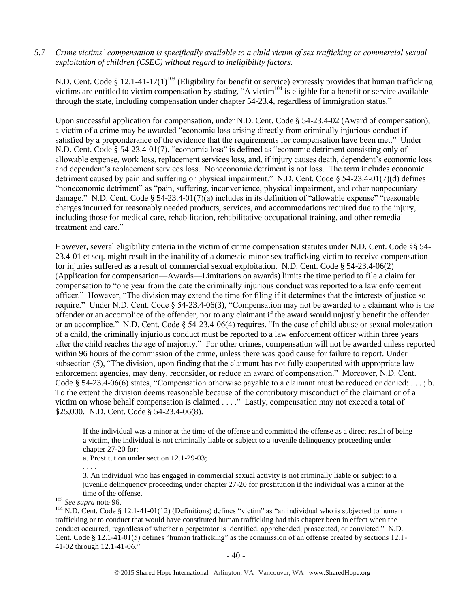*5.7 Crime victims' compensation is specifically available to a child victim of sex trafficking or commercial sexual exploitation of children (CSEC) without regard to ineligibility factors.*

N.D. Cent. Code § 12.1-41-17(1)<sup>103</sup> (Eligibility for benefit or service) expressly provides that human trafficking victims are entitled to victim compensation by stating, "A victim<sup>104</sup> is eligible for a benefit or service available through the state, including compensation under chapter 54-23.4, regardless of immigration status."

Upon successful application for compensation, under N.D. Cent. Code § 54-23.4-02 (Award of compensation), a victim of a crime may be awarded "economic loss arising directly from criminally injurious conduct if satisfied by a preponderance of the evidence that the requirements for compensation have been met." Under N.D. Cent. Code § 54-23.4-01(7), "economic loss" is defined as "economic detriment consisting only of allowable expense, work loss, replacement services loss, and, if injury causes death, dependent's economic loss and dependent's replacement services loss. Noneconomic detriment is not loss. The term includes economic detriment caused by pain and suffering or physical impairment." N.D. Cent. Code § 54-23.4-01(7)(d) defines "noneconomic detriment" as "pain, suffering, inconvenience, physical impairment, and other nonpecuniary damage." N.D. Cent. Code § 54-23.4-01(7)(a) includes in its definition of "allowable expense" "reasonable charges incurred for reasonably needed products, services, and accommodations required due to the injury, including those for medical care, rehabilitation, rehabilitative occupational training, and other remedial treatment and care."

However, several eligibility criteria in the victim of crime compensation statutes under N.D. Cent. Code §§ 54- 23.4-01 et seq. might result in the inability of a domestic minor sex trafficking victim to receive compensation for injuries suffered as a result of commercial sexual exploitation. N.D. Cent. Code § 54-23.4-06(2) (Application for compensation—Awards—Limitations on awards) limits the time period to file a claim for compensation to "one year from the date the criminally injurious conduct was reported to a law enforcement officer." However, "The division may extend the time for filing if it determines that the interests of justice so require." Under N.D. Cent. Code § 54-23.4-06(3), "Compensation may not be awarded to a claimant who is the offender or an accomplice of the offender, nor to any claimant if the award would unjustly benefit the offender or an accomplice." N.D. Cent. Code § 54-23.4-06(4) requires, "In the case of child abuse or sexual molestation of a child, the criminally injurious conduct must be reported to a law enforcement officer within three years after the child reaches the age of majority." For other crimes, compensation will not be awarded unless reported within 96 hours of the commission of the crime, unless there was good cause for failure to report. Under subsection (5), "The division, upon finding that the claimant has not fully cooperated with appropriate law enforcement agencies, may deny, reconsider, or reduce an award of compensation." Moreover, N.D. Cent. Code § 54-23.4-06(6) states, "Compensation otherwise payable to a claimant must be reduced or denied:  $\dots$ ; b. To the extent the division deems reasonable because of the contributory misconduct of the claimant or of a victim on whose behalf compensation is claimed . . . ." Lastly, compensation may not exceed a total of \$25,000. N.D. Cent. Code § 54-23.4-06(8).

a. Prostitution under section 12.1-29-03;

. . . .

 $\overline{\phantom{a}}$ 

3. An individual who has engaged in commercial sexual activity is not criminally liable or subject to a juvenile delinquency proceeding under chapter 27-20 for prostitution if the individual was a minor at the time of the offense.

<sup>103</sup> *See supra* note 96.

 $104$  N.D. Cent. Code § 12.1-41-01(12) (Definitions) defines "victim" as "an individual who is subjected to human trafficking or to conduct that would have constituted human trafficking had this chapter been in effect when the conduct occurred, regardless of whether a perpetrator is identified, apprehended, prosecuted, or convicted." N.D. Cent. Code § 12.1-41-01(5) defines "human trafficking" as the commission of an offense created by sections 12.1- 41-02 through 12.1-41-06."

If the individual was a minor at the time of the offense and committed the offense as a direct result of being a victim, the individual is not criminally liable or subject to a juvenile delinquency proceeding under chapter 27-20 for: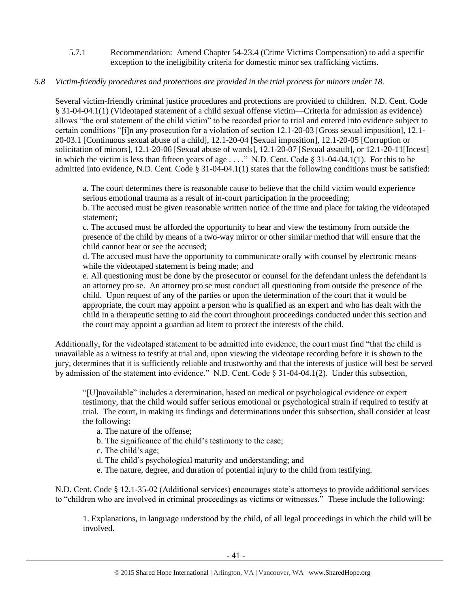5.7.1 Recommendation: Amend Chapter 54-23.4 (Crime Victims Compensation) to add a specific exception to the ineligibility criteria for domestic minor sex trafficking victims.

## *5.8 Victim-friendly procedures and protections are provided in the trial process for minors under 18.*

Several victim-friendly criminal justice procedures and protections are provided to children. N.D. Cent. Code § 31-04-04.1(1) (Videotaped statement of a child sexual offense victim—Criteria for admission as evidence) allows "the oral statement of the child victim" to be recorded prior to trial and entered into evidence subject to certain conditions "[i]n any prosecution for a violation of section 12.1-20-03 [Gross sexual imposition], 12.1- 20-03.1 [Continuous sexual abuse of a child], 12.1-20-04 [Sexual imposition], 12.1-20-05 [Corruption or solicitation of minors], 12.1-20-06 [Sexual abuse of wards], 12.1-20-07 [Sexual assault], or 12.1-20-11[Incest] in which the victim is less than fifteen years of age . . . ." N.D. Cent. Code § 31-04-04.1(1). For this to be admitted into evidence, N.D. Cent. Code § 31-04-04.1(1) states that the following conditions must be satisfied:

a. The court determines there is reasonable cause to believe that the child victim would experience serious emotional trauma as a result of in-court participation in the proceeding;

b. The accused must be given reasonable written notice of the time and place for taking the videotaped statement;

c. The accused must be afforded the opportunity to hear and view the testimony from outside the presence of the child by means of a two-way mirror or other similar method that will ensure that the child cannot hear or see the accused;

d. The accused must have the opportunity to communicate orally with counsel by electronic means while the videotaped statement is being made; and

e. All questioning must be done by the prosecutor or counsel for the defendant unless the defendant is an attorney pro se. An attorney pro se must conduct all questioning from outside the presence of the child. Upon request of any of the parties or upon the determination of the court that it would be appropriate, the court may appoint a person who is qualified as an expert and who has dealt with the child in a therapeutic setting to aid the court throughout proceedings conducted under this section and the court may appoint a guardian ad litem to protect the interests of the child.

Additionally, for the videotaped statement to be admitted into evidence, the court must find "that the child is unavailable as a witness to testify at trial and, upon viewing the videotape recording before it is shown to the jury, determines that it is sufficiently reliable and trustworthy and that the interests of justice will best be served by admission of the statement into evidence." N.D. Cent. Code § 31-04-04.1(2). Under this subsection,

"[U]navailable" includes a determination, based on medical or psychological evidence or expert testimony, that the child would suffer serious emotional or psychological strain if required to testify at trial. The court, in making its findings and determinations under this subsection, shall consider at least the following:

a. The nature of the offense;

b. The significance of the child's testimony to the case;

c. The child's age;

d. The child's psychological maturity and understanding; and

e. The nature, degree, and duration of potential injury to the child from testifying.

N.D. Cent. Code § 12.1-35-02 (Additional services) encourages state's attorneys to provide additional services to "children who are involved in criminal proceedings as victims or witnesses." These include the following:

1. Explanations, in language understood by the child, of all legal proceedings in which the child will be involved.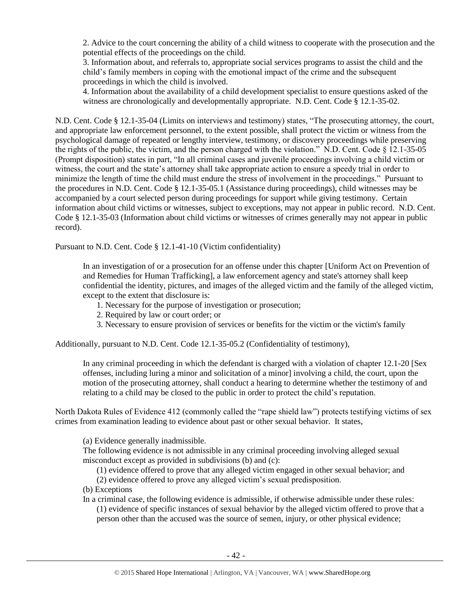2. Advice to the court concerning the ability of a child witness to cooperate with the prosecution and the potential effects of the proceedings on the child.

3. Information about, and referrals to, appropriate social services programs to assist the child and the child's family members in coping with the emotional impact of the crime and the subsequent proceedings in which the child is involved.

4. Information about the availability of a child development specialist to ensure questions asked of the witness are chronologically and developmentally appropriate. N.D. Cent. Code § 12.1-35-02.

N.D. Cent. Code § 12.1-35-04 (Limits on interviews and testimony) states, "The prosecuting attorney, the court, and appropriate law enforcement personnel, to the extent possible, shall protect the victim or witness from the psychological damage of repeated or lengthy interview, testimony, or discovery proceedings while preserving the rights of the public, the victim, and the person charged with the violation." N.D. Cent. Code § 12.1-35-05 (Prompt disposition) states in part, "In all criminal cases and juvenile proceedings involving a child victim or witness, the court and the state's attorney shall take appropriate action to ensure a speedy trial in order to minimize the length of time the child must endure the stress of involvement in the proceedings." Pursuant to the procedures in N.D. Cent. Code § 12.1-35-05.1 (Assistance during proceedings), child witnesses may be accompanied by a court selected person during proceedings for support while giving testimony. Certain information about child victims or witnesses, subject to exceptions, may not appear in public record. N.D. Cent. Code § 12.1-35-03 (Information about child victims or witnesses of crimes generally may not appear in public record).

Pursuant to N.D. Cent. Code § 12.1-41-10 (Victim confidentiality)

In an investigation of or a prosecution for an offense under this chapter [Uniform Act on Prevention of and Remedies for Human Trafficking], a law enforcement agency and state's attorney shall keep confidential the identity, pictures, and images of the alleged victim and the family of the alleged victim, except to the extent that disclosure is:

- 1. Necessary for the purpose of investigation or prosecution;
- 2. Required by law or court order; or
- 3. Necessary to ensure provision of services or benefits for the victim or the victim's family

Additionally, pursuant to N.D. Cent. Code 12.1-35-05.2 (Confidentiality of testimony),

In any criminal proceeding in which the defendant is charged with a violation of chapter 12.1-20 [Sex offenses, including luring a minor and solicitation of a minor] involving a child, the court, upon the motion of the prosecuting attorney, shall conduct a hearing to determine whether the testimony of and relating to a child may be closed to the public in order to protect the child's reputation.

North Dakota Rules of Evidence 412 (commonly called the "rape shield law") protects testifying victims of sex crimes from examination leading to evidence about past or other sexual behavior. It states,

(a) Evidence generally inadmissible.

The following evidence is not admissible in any criminal proceeding involving alleged sexual misconduct except as provided in subdivisions (b) and (c):

(1) evidence offered to prove that any alleged victim engaged in other sexual behavior; and

(2) evidence offered to prove any alleged victim's sexual predisposition.

- (b) Exceptions
- In a criminal case, the following evidence is admissible, if otherwise admissible under these rules:

(1) evidence of specific instances of sexual behavior by the alleged victim offered to prove that a person other than the accused was the source of semen, injury, or other physical evidence;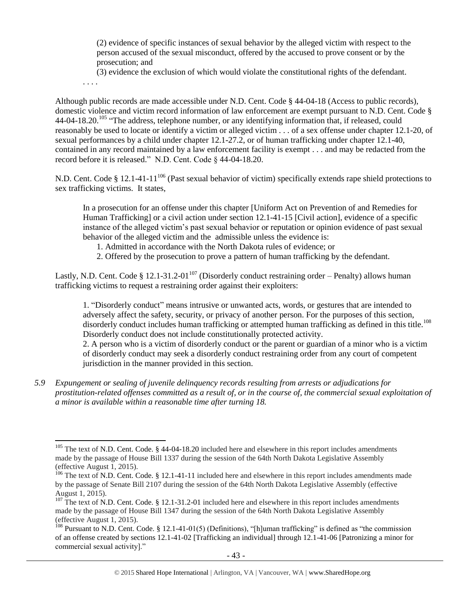(2) evidence of specific instances of sexual behavior by the alleged victim with respect to the person accused of the sexual misconduct, offered by the accused to prove consent or by the prosecution; and

(3) evidence the exclusion of which would violate the constitutional rights of the defendant.

. . . .

Although public records are made accessible under N.D. Cent. Code § 44-04-18 (Access to public records), domestic violence and victim record information of law enforcement are exempt pursuant to N.D. Cent. Code § 44-04-18.20.<sup>105</sup> "The address, telephone number, or any identifying information that, if released, could reasonably be used to locate or identify a victim or alleged victim . . . of a sex offense under chapter 12.1-20, of sexual performances by a child under chapter 12.1-27.2, or of human trafficking under chapter 12.1-40, contained in any record maintained by a law enforcement facility is exempt . . . and may be redacted from the record before it is released." N.D. Cent. Code § 44-04-18.20.

N.D. Cent. Code § 12.1-41-11<sup>106</sup> (Past sexual behavior of victim) specifically extends rape shield protections to sex trafficking victims. It states,

In a prosecution for an offense under this chapter [Uniform Act on Prevention of and Remedies for Human Trafficking] or a civil action under section 12.1-41-15 [Civil action], evidence of a specific instance of the alleged victim's past sexual behavior or reputation or opinion evidence of past sexual behavior of the alleged victim and the admissible unless the evidence is:

- 1. Admitted in accordance with the North Dakota rules of evidence; or
- 2. Offered by the prosecution to prove a pattern of human trafficking by the defendant.

Lastly, N.D. Cent. Code § 12.1-31.2-01<sup>107</sup> (Disorderly conduct restraining order – Penalty) allows human trafficking victims to request a restraining order against their exploiters:

1. "Disorderly conduct" means intrusive or unwanted acts, words, or gestures that are intended to adversely affect the safety, security, or privacy of another person. For the purposes of this section, disorderly conduct includes human trafficking or attempted human trafficking as defined in this title.<sup>108</sup> Disorderly conduct does not include constitutionally protected activity.

2. A person who is a victim of disorderly conduct or the parent or guardian of a minor who is a victim of disorderly conduct may seek a disorderly conduct restraining order from any court of competent jurisdiction in the manner provided in this section.

*5.9 Expungement or sealing of juvenile delinquency records resulting from arrests or adjudications for prostitution-related offenses committed as a result of, or in the course of, the commercial sexual exploitation of a minor is available within a reasonable time after turning 18.*

 $\overline{a}$ <sup>105</sup> The text of N.D. Cent. Code. § 44-04-18.20 included here and elsewhere in this report includes amendments made by the passage of House Bill 1337 during the session of the 64th North Dakota Legislative Assembly (effective August 1, 2015).

<sup>&</sup>lt;sup>106</sup> The text of N.D. Cent. Code. § 12.1-41-11 included here and elsewhere in this report includes amendments made by the passage of Senate Bill 2107 during the session of the 64th North Dakota Legislative Assembly (effective August 1, 2015).

<sup>&</sup>lt;sup>107</sup> The text of N.D. Cent. Code. § 12.1-31.2-01 included here and elsewhere in this report includes amendments made by the passage of House Bill 1347 during the session of the 64th North Dakota Legislative Assembly (effective August 1, 2015).

<sup>108</sup> Pursuant to N.D. Cent. Code. § 12.1-41-01(5) (Definitions), "[h]uman trafficking" is defined as "the commission of an offense created by sections 12.1-41-02 [Trafficking an individual] through 12.1-41-06 [Patronizing a minor for commercial sexual activity]."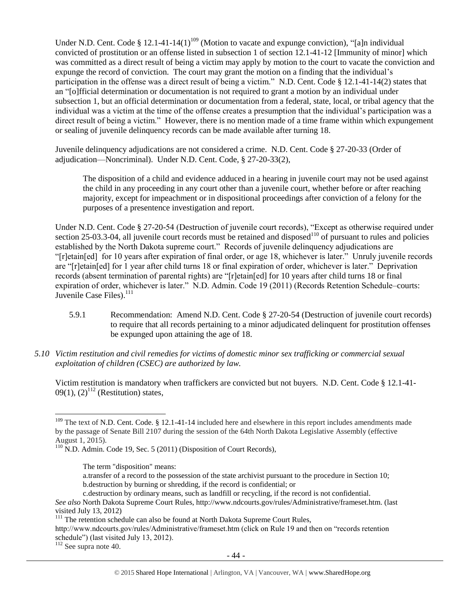Under N.D. Cent. Code § 12.1-41-14(1)<sup>109</sup> (Motion to vacate and expunge conviction), "[a]n individual convicted of prostitution or an offense listed in subsection 1 of section 12.1-41-12 [Immunity of minor] which was committed as a direct result of being a victim may apply by motion to the court to vacate the conviction and expunge the record of conviction. The court may grant the motion on a finding that the individual's participation in the offense was a direct result of being a victim." N.D. Cent. Code § 12.1-41-14(2) states that an "[o]fficial determination or documentation is not required to grant a motion by an individual under subsection 1, but an official determination or documentation from a federal, state, local, or tribal agency that the individual was a victim at the time of the offense creates a presumption that the individual's participation was a direct result of being a victim." However, there is no mention made of a time frame within which expungement or sealing of juvenile delinquency records can be made available after turning 18.

Juvenile delinquency adjudications are not considered a crime. N.D. Cent. Code § 27-20-33 (Order of adjudication—Noncriminal). Under N.D. Cent. Code, § 27-20-33(2),

The disposition of a child and evidence adduced in a hearing in juvenile court may not be used against the child in any proceeding in any court other than a juvenile court, whether before or after reaching majority, except for impeachment or in dispositional proceedings after conviction of a felony for the purposes of a presentence investigation and report.

Under N.D. Cent. Code § 27-20-54 (Destruction of juvenile court records), "Except as otherwise required under section 25-03.3-04, all juvenile court records must be retained and disposed<sup>110</sup> of pursuant to rules and policies established by the North Dakota supreme court." Records of juvenile delinquency adjudications are "[r]etain[ed] for 10 years after expiration of final order, or age 18, whichever is later." Unruly juvenile records are "[r]etain[ed] for 1 year after child turns 18 or final expiration of order, whichever is later." Deprivation records (absent termination of parental rights) are "[r]etain[ed] for 10 years after child turns 18 or final expiration of order, whichever is later." N.D. Admin. Code 19 (2011) (Records Retention Schedule–courts: Juvenile Case Files).<sup>111</sup>

- 5.9.1 Recommendation: Amend N.D. Cent. Code § 27-20-54 (Destruction of juvenile court records) to require that all records pertaining to a minor adjudicated delinquent for prostitution offenses be expunged upon attaining the age of 18.
- *5.10 Victim restitution and civil remedies for victims of domestic minor sex trafficking or commercial sexual exploitation of children (CSEC) are authorized by law.*

Victim restitution is mandatory when traffickers are convicted but not buyers. N.D. Cent. Code § 12.1-41- 09(1),  $(2)^{112}$  (Restitution) states,

a.transfer of a record to the possession of the state archivist pursuant to the procedure in Section 10; b.destruction by burning or shredding, if the record is confidential; or

<sup>112</sup> See supra note [40.](#page-13-0)

 $\overline{a}$  $109$  The text of N.D. Cent. Code. § 12.1-41-14 included here and elsewhere in this report includes amendments made by the passage of Senate Bill 2107 during the session of the 64th North Dakota Legislative Assembly (effective August 1, 2015).

<sup>&</sup>lt;sup>110</sup> N.D. Admin. Code 19, Sec. 5 (2011) (Disposition of Court Records),

The term "disposition" means:

c.destruction by ordinary means, such as landfill or recycling, if the record is not confidential. *See also* North Dakota Supreme Court Rules, http://www.ndcourts.gov/rules/Administrative/frameset.htm. (last visited July 13, 2012)

<sup>&</sup>lt;sup>111</sup> The retention schedule can also be found at North Dakota Supreme Court Rules,

http://www.ndcourts.gov/rules/Administrative/frameset.htm (click on Rule 19 and then on "records retention schedule") (last visited July 13, 2012).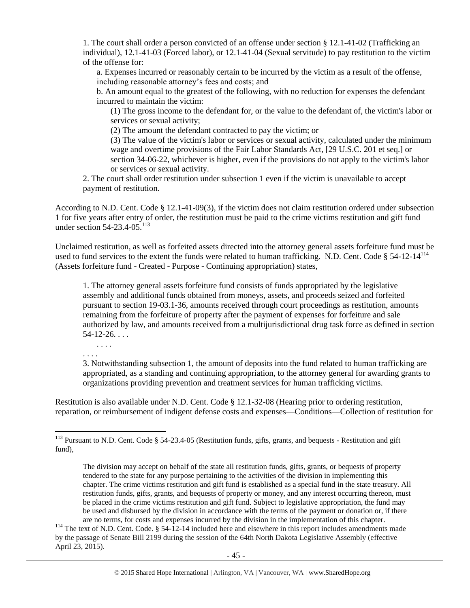1. The court shall order a person convicted of an offense under section § 12.1-41-02 (Trafficking an individual), 12.1-41-03 (Forced labor), or 12.1-41-04 (Sexual servitude) to pay restitution to the victim of the offense for:

a. Expenses incurred or reasonably certain to be incurred by the victim as a result of the offense, including reasonable attorney's fees and costs; and

b. An amount equal to the greatest of the following, with no reduction for expenses the defendant incurred to maintain the victim:

(1) The gross income to the defendant for, or the value to the defendant of, the victim's labor or services or sexual activity;

(2) The amount the defendant contracted to pay the victim; or

(3) The value of the victim's labor or services or sexual activity, calculated under the minimum wage and overtime provisions of the Fair Labor Standards Act, [29 U.S.C. 201 et seq.] or section 34-06-22, whichever is higher, even if the provisions do not apply to the victim's labor or services or sexual activity.

2. The court shall order restitution under subsection 1 even if the victim is unavailable to accept payment of restitution.

According to N.D. Cent. Code § 12.1-41-09(3), if the victim does not claim restitution ordered under subsection 1 for five years after entry of order, the restitution must be paid to the crime victims restitution and gift fund under section 54-23.4-05. 113

Unclaimed restitution, as well as forfeited assets directed into the attorney general assets forfeiture fund must be used to fund services to the extent the funds were related to human trafficking. N.D. Cent. Code  $\S 54-12-14^{114}$ (Assets forfeiture fund - Created - Purpose - Continuing appropriation) states,

1. The attorney general assets forfeiture fund consists of funds appropriated by the legislative assembly and additional funds obtained from moneys, assets, and proceeds seized and forfeited pursuant to section 19-03.1-36, amounts received through court proceedings as restitution, amounts remaining from the forfeiture of property after the payment of expenses for forfeiture and sale authorized by law, and amounts received from a multijurisdictional drug task force as defined in section  $54-12-26...$ 

. . . . . . . .

 $\overline{\phantom{a}}$ 

3. Notwithstanding subsection 1, the amount of deposits into the fund related to human trafficking are appropriated, as a standing and continuing appropriation, to the attorney general for awarding grants to organizations providing prevention and treatment services for human trafficking victims.

Restitution is also available under N.D. Cent. Code § 12.1-32-08 (Hearing prior to ordering restitution, reparation, or reimbursement of indigent defense costs and expenses—Conditions—Collection of restitution for

 $113$  Pursuant to N.D. Cent. Code § 54-23.4-05 (Restitution funds, gifts, grants, and bequests - Restitution and gift fund),

The division may accept on behalf of the state all restitution funds, gifts, grants, or bequests of property tendered to the state for any purpose pertaining to the activities of the division in implementing this chapter. The crime victims restitution and gift fund is established as a special fund in the state treasury. All restitution funds, gifts, grants, and bequests of property or money, and any interest occurring thereon, must be placed in the crime victims restitution and gift fund. Subject to legislative appropriation, the fund may be used and disbursed by the division in accordance with the terms of the payment or donation or, if there are no terms, for costs and expenses incurred by the division in the implementation of this chapter.

<sup>&</sup>lt;sup>114</sup> The text of N.D. Cent. Code. § 54-12-14 included here and elsewhere in this report includes amendments made by the passage of Senate Bill 2199 during the session of the 64th North Dakota Legislative Assembly (effective April 23, 2015).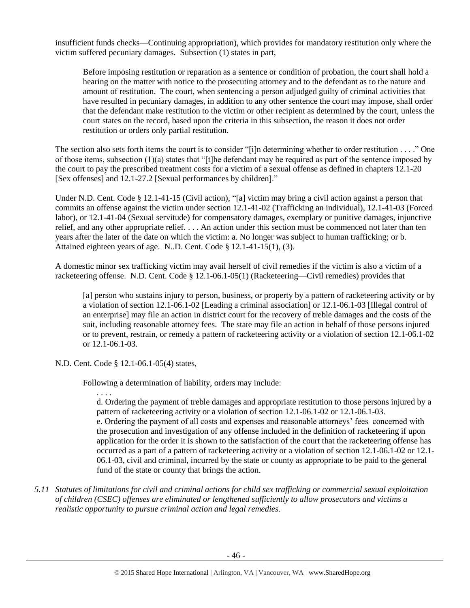insufficient funds checks—Continuing appropriation), which provides for mandatory restitution only where the victim suffered pecuniary damages. Subsection (1) states in part,

Before imposing restitution or reparation as a sentence or condition of probation, the court shall hold a hearing on the matter with notice to the prosecuting attorney and to the defendant as to the nature and amount of restitution. The court, when sentencing a person adjudged guilty of criminal activities that have resulted in pecuniary damages, in addition to any other sentence the court may impose, shall order that the defendant make restitution to the victim or other recipient as determined by the court, unless the court states on the record, based upon the criteria in this subsection, the reason it does not order restitution or orders only partial restitution.

The section also sets forth items the court is to consider "[i]n determining whether to order restitution . . . ." One of those items, subsection (1)(a) states that "[t]he defendant may be required as part of the sentence imposed by the court to pay the prescribed treatment costs for a victim of a sexual offense as defined in chapters 12.1-20 [Sex offenses] and 12.1-27.2 [Sexual performances by children]."

Under N.D. Cent. Code § 12.1-41-15 (Civil action), "[a] victim may bring a civil action against a person that commits an offense against the victim under section 12.1-41-02 (Trafficking an individual), 12.1-41-03 (Forced labor), or 12.1-41-04 (Sexual servitude) for compensatory damages, exemplary or punitive damages, injunctive relief, and any other appropriate relief. . . . An action under this section must be commenced not later than ten years after the later of the date on which the victim: a. No longer was subject to human trafficking; or b. Attained eighteen years of age. N..D. Cent. Code § 12.1-41-15(1), (3).

A domestic minor sex trafficking victim may avail herself of civil remedies if the victim is also a victim of a racketeering offense. N.D. Cent. Code § 12.1-06.1-05(1) (Racketeering—Civil remedies) provides that

[a] person who sustains injury to person, business, or property by a pattern of racketeering activity or by a violation of section 12.1-06.1-02 [Leading a criminal association] or 12.1-06.1-03 [Illegal control of an enterprise] may file an action in district court for the recovery of treble damages and the costs of the suit, including reasonable attorney fees. The state may file an action in behalf of those persons injured or to prevent, restrain, or remedy a pattern of racketeering activity or a violation of section 12.1-06.1-02 or 12.1-06.1-03.

N.D. Cent. Code § 12.1-06.1-05(4) states,

Following a determination of liability, orders may include:

. . . .

d. Ordering the payment of treble damages and appropriate restitution to those persons injured by a pattern of racketeering activity or a violation of section 12.1-06.1-02 or 12.1-06.1-03. e. Ordering the payment of all costs and expenses and reasonable attorneys' fees concerned with the prosecution and investigation of any offense included in the definition of racketeering if upon application for the order it is shown to the satisfaction of the court that the racketeering offense has occurred as a part of a pattern of racketeering activity or a violation of section 12.1-06.1-02 or 12.1- 06.1-03, civil and criminal, incurred by the state or county as appropriate to be paid to the general fund of the state or county that brings the action.

*5.11 Statutes of limitations for civil and criminal actions for child sex trafficking or commercial sexual exploitation of children (CSEC) offenses are eliminated or lengthened sufficiently to allow prosecutors and victims a realistic opportunity to pursue criminal action and legal remedies.*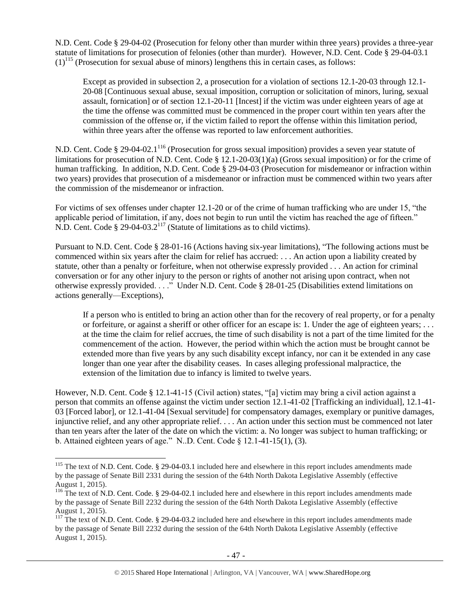N.D. Cent. Code § 29-04-02 (Prosecution for felony other than murder within three years) provides a three-year statute of limitations for prosecution of felonies (other than murder). However, N.D. Cent. Code § 29-04-03.1  $(1)^{115}$  (Prosecution for sexual abuse of minors) lengthens this in certain cases, as follows:

Except as provided in subsection 2, a prosecution for a violation of sections 12.1-20-03 through 12.1- 20-08 [Continuous sexual abuse, sexual imposition, corruption or solicitation of minors, luring, sexual assault, fornication] or of section 12.1-20-11 [Incest] if the victim was under eighteen years of age at the time the offense was committed must be commenced in the proper court within ten years after the commission of the offense or, if the victim failed to report the offense within this limitation period, within three years after the offense was reported to law enforcement authorities.

N.D. Cent. Code § 29-04-02.1<sup>116</sup> (Prosecution for gross sexual imposition) provides a seven year statute of limitations for prosecution of N.D. Cent. Code § 12.1-20-03(1)(a) (Gross sexual imposition) or for the crime of human trafficking. In addition, N.D. Cent. Code § 29-04-03 (Prosecution for misdemeanor or infraction within two years) provides that prosecution of a misdemeanor or infraction must be commenced within two years after the commission of the misdemeanor or infraction.

For victims of sex offenses under chapter 12.1-20 or of the crime of human trafficking who are under 15, "the applicable period of limitation, if any, does not begin to run until the victim has reached the age of fifteen." N.D. Cent. Code  $\S 29-04-03.2^{117}$  (Statute of limitations as to child victims).

Pursuant to N.D. Cent. Code § 28-01-16 (Actions having six-year limitations), "The following actions must be commenced within six years after the claim for relief has accrued: . . . An action upon a liability created by statute, other than a penalty or forfeiture, when not otherwise expressly provided . . . An action for criminal conversation or for any other injury to the person or rights of another not arising upon contract, when not otherwise expressly provided. . . ." Under N.D. Cent. Code § 28-01-25 (Disabilities extend limitations on actions generally—Exceptions),

If a person who is entitled to bring an action other than for the recovery of real property, or for a penalty or forfeiture, or against a sheriff or other officer for an escape is: 1. Under the age of eighteen years; . . . at the time the claim for relief accrues, the time of such disability is not a part of the time limited for the commencement of the action. However, the period within which the action must be brought cannot be extended more than five years by any such disability except infancy, nor can it be extended in any case longer than one year after the disability ceases. In cases alleging professional malpractice, the extension of the limitation due to infancy is limited to twelve years.

However, N.D. Cent. Code § 12.1-41-15 (Civil action) states, "[a] victim may bring a civil action against a person that commits an offense against the victim under section 12.1-41-02 [Trafficking an individual], 12.1-41- 03 [Forced labor], or 12.1-41-04 [Sexual servitude] for compensatory damages, exemplary or punitive damages, injunctive relief, and any other appropriate relief. . . . An action under this section must be commenced not later than ten years after the later of the date on which the victim: a. No longer was subject to human trafficking; or b. Attained eighteen years of age." N.D. Cent. Code  $\S$  12.1-41-15(1), (3).

l

 $115$  The text of N.D. Cent. Code. § 29-04-03.1 included here and elsewhere in this report includes amendments made by the passage of Senate Bill 2331 during the session of the 64th North Dakota Legislative Assembly (effective August 1, 2015).

<sup>&</sup>lt;sup>116</sup> The text of N.D. Cent. Code. § 29-04-02.1 included here and elsewhere in this report includes amendments made by the passage of Senate Bill 2232 during the session of the 64th North Dakota Legislative Assembly (effective August 1, 2015).

<sup>&</sup>lt;sup>117</sup> The text of N.D. Cent. Code. § 29-04-03.2 included here and elsewhere in this report includes amendments made by the passage of Senate Bill 2232 during the session of the 64th North Dakota Legislative Assembly (effective August 1, 2015).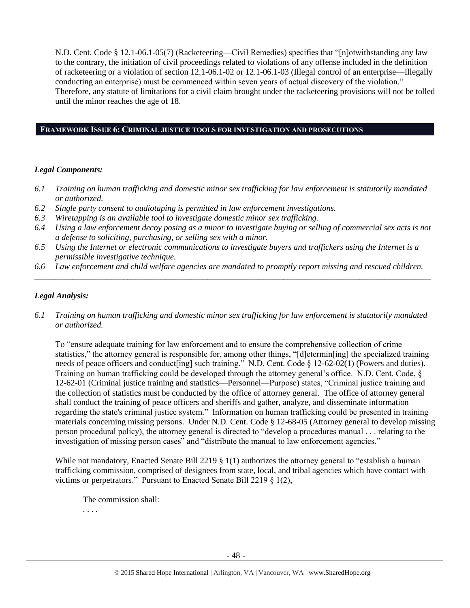N.D. Cent. Code § 12.1-06.1-05(7) (Racketeering—Civil Remedies) specifies that "[n]otwithstanding any law to the contrary, the initiation of civil proceedings related to violations of any offense included in the definition of racketeering or a violation of section 12.1-06.1-02 or 12.1-06.1-03 (Illegal control of an enterprise—Illegally conducting an enterprise) must be commenced within seven years of actual discovery of the violation." Therefore, any statute of limitations for a civil claim brought under the racketeering provisions will not be tolled until the minor reaches the age of 18.

#### **FRAMEWORK ISSUE 6: CRIMINAL JUSTICE TOOLS FOR INVESTIGATION AND PROSECUTIONS**

### *Legal Components:*

- *6.1 Training on human trafficking and domestic minor sex trafficking for law enforcement is statutorily mandated or authorized.*
- *6.2 Single party consent to audiotaping is permitted in law enforcement investigations.*
- *6.3 Wiretapping is an available tool to investigate domestic minor sex trafficking.*
- *6.4 Using a law enforcement decoy posing as a minor to investigate buying or selling of commercial sex acts is not a defense to soliciting, purchasing, or selling sex with a minor.*
- *6.5 Using the Internet or electronic communications to investigate buyers and traffickers using the Internet is a permissible investigative technique.*
- *6.6 Law enforcement and child welfare agencies are mandated to promptly report missing and rescued children. \_\_\_\_\_\_\_\_\_\_\_\_\_\_\_\_\_\_\_\_\_\_\_\_\_\_\_\_\_\_\_\_\_\_\_\_\_\_\_\_\_\_\_\_\_\_\_\_\_\_\_\_\_\_\_\_\_\_\_\_\_\_\_\_\_\_\_\_\_\_\_\_\_\_\_\_\_\_\_\_\_\_\_\_\_\_\_\_\_\_\_\_\_\_*

## *Legal Analysis:*

*6.1 Training on human trafficking and domestic minor sex trafficking for law enforcement is statutorily mandated or authorized.*

To "ensure adequate training for law enforcement and to ensure the comprehensive collection of crime statistics," the attorney general is responsible for, among other things, "[d]etermin[ing] the specialized training needs of peace officers and conduct [ing] such training." N.D. Cent. Code § 12-62-02(1) (Powers and duties). Training on human trafficking could be developed through the attorney general's office. N.D. Cent. Code, § 12-62-01 (Criminal justice training and statistics—Personnel—Purpose) states, "Criminal justice training and the collection of statistics must be conducted by the office of attorney general. The office of attorney general shall conduct the training of peace officers and sheriffs and gather, analyze, and disseminate information regarding the state's criminal justice system." Information on human trafficking could be presented in training materials concerning missing persons. Under N.D. Cent. Code § 12-68-05 (Attorney general to develop missing person procedural policy), the attorney general is directed to "develop a procedures manual . . . relating to the investigation of missing person cases" and "distribute the manual to law enforcement agencies."

While not mandatory, Enacted Senate Bill 2219 § 1(1) authorizes the attorney general to "establish a human trafficking commission, comprised of designees from state, local, and tribal agencies which have contact with victims or perpetrators." Pursuant to Enacted Senate Bill 2219 § 1(2),

The commission shall:

. . . .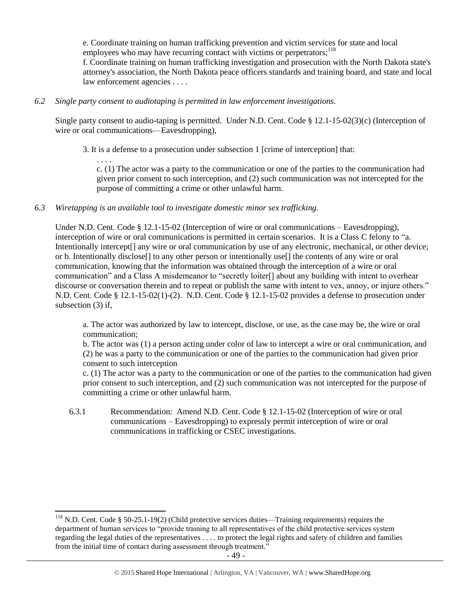e. Coordinate training on human trafficking prevention and victim services for state and local employees who may have recurring contact with victims or perpetrators; $^{118}$ 

f. Coordinate training on human trafficking investigation and prosecution with the North Dakota state's attorney's association, the North Dakota peace officers standards and training board, and state and local law enforcement agencies . . . .

## *6.2 Single party consent to audiotaping is permitted in law enforcement investigations.*

Single party consent to audio-taping is permitted. Under N.D. Cent. Code § 12.1-15-02(3)(c) (Interception of wire or oral communications—Eavesdropping),

3. It is a defense to a prosecution under subsection 1 [crime of interception] that:

. . . . c. (1) The actor was a party to the communication or one of the parties to the communication had given prior consent to such interception, and (2) such communication was not intercepted for the purpose of committing a crime or other unlawful harm.

## *6.3 Wiretapping is an available tool to investigate domestic minor sex trafficking.*

Under N.D. Cent. Code § 12.1-15-02 (Interception of wire or oral communications – Eavesdropping), interception of wire or oral communications is permitted in certain scenarios. It is a Class C felony to "a. Intentionally intercept[] any wire or oral communication by use of any electronic, mechanical, or other device; or b. Intentionally disclose[] to any other person or intentionally use[] the contents of any wire or oral communication, knowing that the information was obtained through the interception of a wire or oral communication" and a Class A misdemeanor to "secretly loiter[] about any building with intent to overhear discourse or conversation therein and to repeat or publish the same with intent to vex, annoy, or injure others." N.D. Cent. Code § 12.1-15-02(1)-(2). N.D. Cent. Code § 12.1-15-02 provides a defense to prosecution under subsection (3) if,

a. The actor was authorized by law to intercept, disclose, or use, as the case may be, the wire or oral communication;

b. The actor was (1) a person acting under color of law to intercept a wire or oral communication, and (2) he was a party to the communication or one of the parties to the communication had given prior consent to such interception

c. (1) The actor was a party to the communication or one of the parties to the communication had given prior consent to such interception, and (2) such communication was not intercepted for the purpose of committing a crime or other unlawful harm.

6.3.1 Recommendation: Amend N.D. Cent. Code § 12.1-15-02 (Interception of wire or oral communications – Eavesdropping) to expressly permit interception of wire or oral communications in trafficking or CSEC investigations.

l

<sup>&</sup>lt;sup>118</sup> N.D. Cent. Code § 50-25.1-19(2) (Child protective services duties—Training requirements) requires the department of human services to "provide training to all representatives of the child protective services system regarding the legal duties of the representatives . . . . to protect the legal rights and safety of children and families from the initial time of contact during assessment through treatment."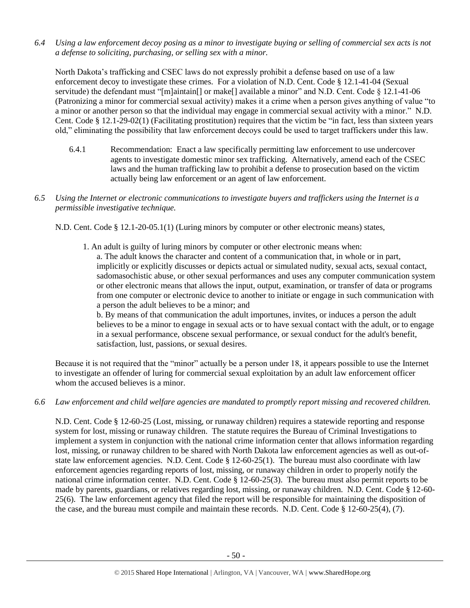*6.4 Using a law enforcement decoy posing as a minor to investigate buying or selling of commercial sex acts is not a defense to soliciting, purchasing, or selling sex with a minor.*

North Dakota's trafficking and CSEC laws do not expressly prohibit a defense based on use of a law enforcement decoy to investigate these crimes. For a violation of N.D. Cent. Code § 12.1-41-04 (Sexual servitude) the defendant must "[m]aintain[] or make[] available a minor" and N.D. Cent. Code § 12.1-41-06 (Patronizing a minor for commercial sexual activity) makes it a crime when a person gives anything of value "to a minor or another person so that the individual may engage in commercial sexual activity with a minor." N.D. Cent. Code § 12.1-29-02(1) (Facilitating prostitution) requires that the victim be "in fact, less than sixteen years old," eliminating the possibility that law enforcement decoys could be used to target traffickers under this law.

- 6.4.1 Recommendation: Enact a law specifically permitting law enforcement to use undercover agents to investigate domestic minor sex trafficking. Alternatively, amend each of the CSEC laws and the human trafficking law to prohibit a defense to prosecution based on the victim actually being law enforcement or an agent of law enforcement.
- *6.5 Using the Internet or electronic communications to investigate buyers and traffickers using the Internet is a permissible investigative technique.*

N.D. Cent. Code § 12.1-20-05.1(1) (Luring minors by computer or other electronic means) states,

1. An adult is guilty of luring minors by computer or other electronic means when: a. The adult knows the character and content of a communication that, in whole or in part, implicitly or explicitly discusses or depicts actual or simulated nudity, sexual acts, sexual contact, sadomasochistic abuse, or other sexual performances and uses any computer communication system or other electronic means that allows the input, output, examination, or transfer of data or programs from one computer or electronic device to another to initiate or engage in such communication with a person the adult believes to be a minor; and

b. By means of that communication the adult importunes, invites, or induces a person the adult believes to be a minor to engage in sexual acts or to have sexual contact with the adult, or to engage in a sexual performance, obscene sexual performance, or sexual conduct for the adult's benefit, satisfaction, lust, passions, or sexual desires.

Because it is not required that the "minor" actually be a person under 18, it appears possible to use the Internet to investigate an offender of luring for commercial sexual exploitation by an adult law enforcement officer whom the accused believes is a minor.

*6.6 Law enforcement and child welfare agencies are mandated to promptly report missing and recovered children.*

N.D. Cent. Code § 12-60-25 (Lost, missing, or runaway children) requires a statewide reporting and response system for lost, missing or runaway children. The statute requires the Bureau of Criminal Investigations to implement a system in conjunction with the national crime information center that allows information regarding lost, missing, or runaway children to be shared with North Dakota law enforcement agencies as well as out-ofstate law enforcement agencies. N.D. Cent. Code  $\S 12-60-25(1)$ . The bureau must also coordinate with law enforcement agencies regarding reports of lost, missing, or runaway children in order to properly notify the national crime information center. N.D. Cent. Code § 12-60-25(3). The bureau must also permit reports to be made by parents, guardians, or relatives regarding lost, missing, or runaway children. N.D. Cent. Code § 12-60- 25(6). The law enforcement agency that filed the report will be responsible for maintaining the disposition of the case, and the bureau must compile and maintain these records. N.D. Cent. Code § 12-60-25(4), (7).